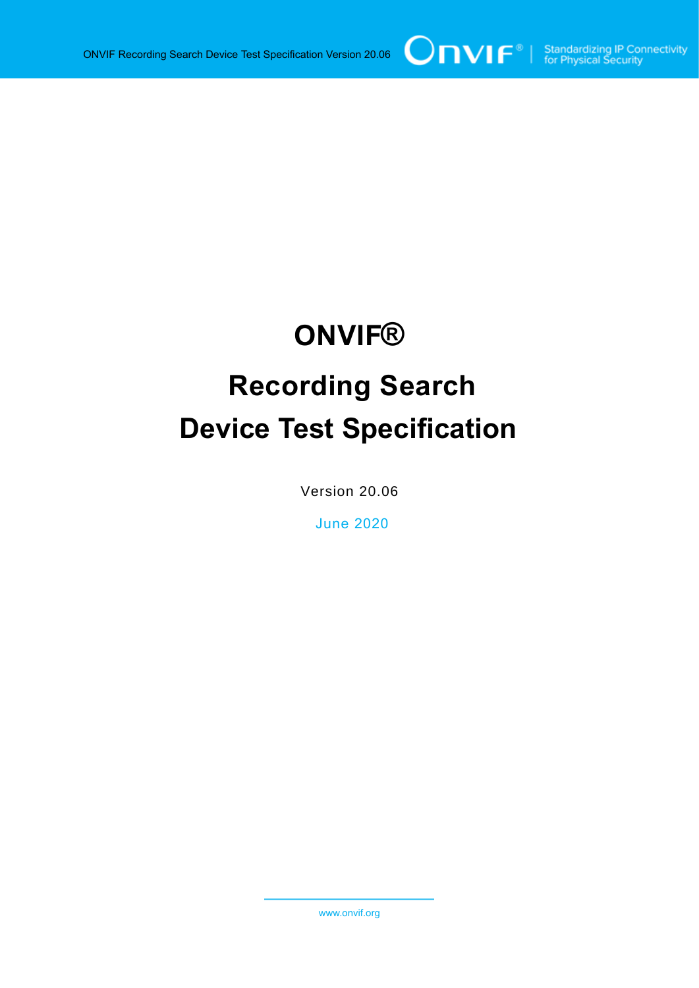# **ONVIF®**

# **Recording Search Device Test Specification**

Version 20.06

June 2020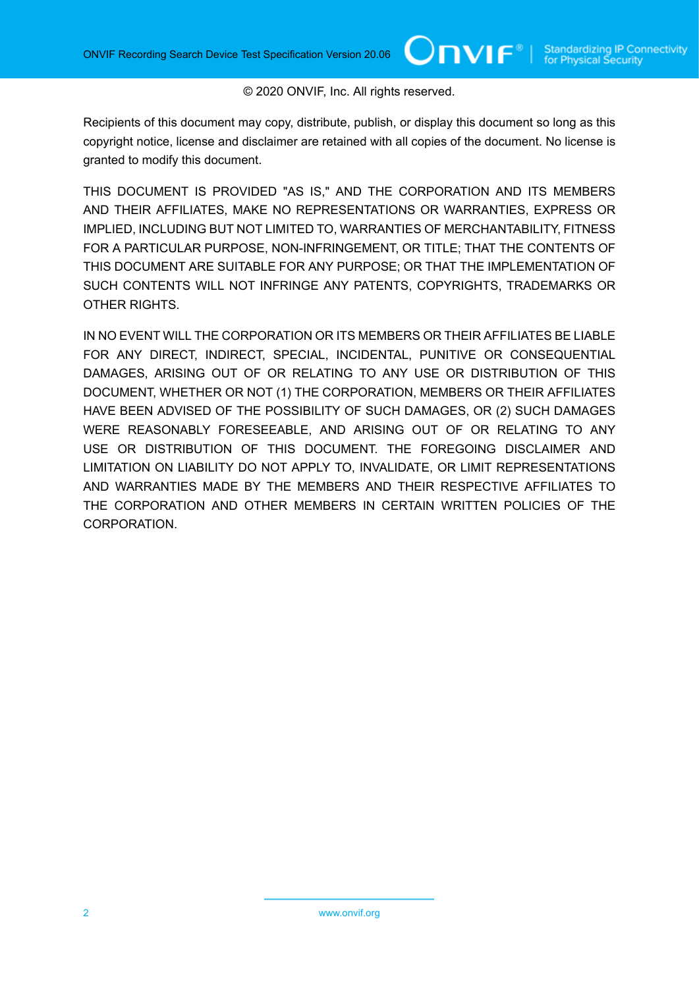#### © 2020 ONVIF, Inc. All rights reserved.

 $\bigcup$ NIF $^\circ$ l

Recipients of this document may copy, distribute, publish, or display this document so long as this copyright notice, license and disclaimer are retained with all copies of the document. No license is granted to modify this document.

THIS DOCUMENT IS PROVIDED "AS IS," AND THE CORPORATION AND ITS MEMBERS AND THEIR AFFILIATES, MAKE NO REPRESENTATIONS OR WARRANTIES, EXPRESS OR IMPLIED, INCLUDING BUT NOT LIMITED TO, WARRANTIES OF MERCHANTABILITY, FITNESS FOR A PARTICULAR PURPOSE, NON-INFRINGEMENT, OR TITLE; THAT THE CONTENTS OF THIS DOCUMENT ARE SUITABLE FOR ANY PURPOSE; OR THAT THE IMPLEMENTATION OF SUCH CONTENTS WILL NOT INFRINGE ANY PATENTS, COPYRIGHTS, TRADEMARKS OR OTHER RIGHTS.

IN NO EVENT WILL THE CORPORATION OR ITS MEMBERS OR THEIR AFFILIATES BE LIABLE FOR ANY DIRECT, INDIRECT, SPECIAL, INCIDENTAL, PUNITIVE OR CONSEQUENTIAL DAMAGES, ARISING OUT OF OR RELATING TO ANY USE OR DISTRIBUTION OF THIS DOCUMENT, WHETHER OR NOT (1) THE CORPORATION, MEMBERS OR THEIR AFFILIATES HAVE BEEN ADVISED OF THE POSSIBILITY OF SUCH DAMAGES, OR (2) SUCH DAMAGES WERE REASONABLY FORESEEABLE, AND ARISING OUT OF OR RELATING TO ANY USE OR DISTRIBUTION OF THIS DOCUMENT. THE FOREGOING DISCLAIMER AND LIMITATION ON LIABILITY DO NOT APPLY TO, INVALIDATE, OR LIMIT REPRESENTATIONS AND WARRANTIES MADE BY THE MEMBERS AND THEIR RESPECTIVE AFFILIATES TO THE CORPORATION AND OTHER MEMBERS IN CERTAIN WRITTEN POLICIES OF THE CORPORATION.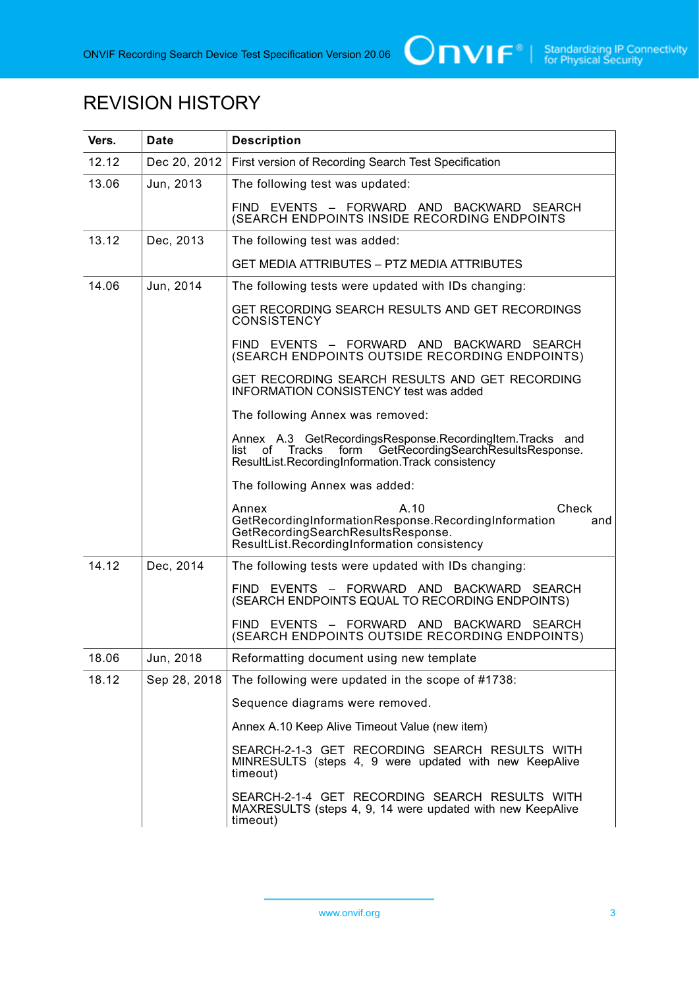

# REVISION HISTORY

| Vers. | <b>Date</b>  | <b>Description</b>                                                                                                                                                            |  |  |
|-------|--------------|-------------------------------------------------------------------------------------------------------------------------------------------------------------------------------|--|--|
| 12.12 | Dec 20, 2012 | First version of Recording Search Test Specification                                                                                                                          |  |  |
| 13.06 | Jun, 2013    | The following test was updated:                                                                                                                                               |  |  |
|       |              | FIND EVENTS - FORWARD AND BACKWARD SEARCH<br>(SEARCH ENDPOINTS INSIDE RECORDING ENDPOINTS                                                                                     |  |  |
| 13.12 | Dec, 2013    | The following test was added:                                                                                                                                                 |  |  |
|       |              | <b>GET MEDIA ATTRIBUTES - PTZ MEDIA ATTRIBUTES</b>                                                                                                                            |  |  |
| 14.06 | Jun, 2014    | The following tests were updated with IDs changing:                                                                                                                           |  |  |
|       |              | GET RECORDING SEARCH RESULTS AND GET RECORDINGS<br><b>CONSISTENCY</b>                                                                                                         |  |  |
|       |              | FIND EVENTS - FORWARD AND BACKWARD SEARCH<br>(SEARCH ENDPOINTS OUTSIDE RECORDING ENDPOINTS)                                                                                   |  |  |
|       |              | GET RECORDING SEARCH RESULTS AND GET RECORDING<br><b>INFORMATION CONSISTENCY test was added</b>                                                                               |  |  |
|       |              | The following Annex was removed:                                                                                                                                              |  |  |
|       |              | Annex A.3 GetRecordingsResponse.RecordingItem.Tracks and<br>GetRecordingSearchResultsResponse.<br>form<br>list of Tracks<br>ResultList.RecordingInformation.Track consistency |  |  |
|       |              | The following Annex was added:                                                                                                                                                |  |  |
|       |              | Check<br>Annex<br>A.10<br>GetRecordingInformationResponse.RecordingInformation<br>and<br>GetRecordingSearchResultsResponse.<br>ResultList.RecordingInformation consistency    |  |  |
| 14.12 | Dec, 2014    | The following tests were updated with IDs changing:                                                                                                                           |  |  |
|       |              | FIND EVENTS - FORWARD AND BACKWARD SEARCH<br>(SEARCH ENDPOINTS EQUAL TO RECORDING ENDPOINTS)                                                                                  |  |  |
|       |              | FIND EVENTS - FORWARD AND BACKWARD SEARCH<br>(SEARCH ENDPOINTS OUTSIDE RECORDING ENDPOINTS)                                                                                   |  |  |
| 18.06 | Jun, 2018    | Reformatting document using new template                                                                                                                                      |  |  |
| 18.12 | Sep 28, 2018 | The following were updated in the scope of #1738:                                                                                                                             |  |  |
|       |              | Sequence diagrams were removed.                                                                                                                                               |  |  |
|       |              | Annex A.10 Keep Alive Timeout Value (new item)                                                                                                                                |  |  |
|       |              | SEARCH-2-1-3 GET RECORDING SEARCH RESULTS WITH<br>MINRESULTS (steps 4, 9 were updated with new KeepAlive<br>timeout)                                                          |  |  |
|       |              | SEARCH-2-1-4 GET RECORDING SEARCH RESULTS WITH<br>MAXRESULTS (steps 4, 9, 14 were updated with new KeepAlive<br>timeout)                                                      |  |  |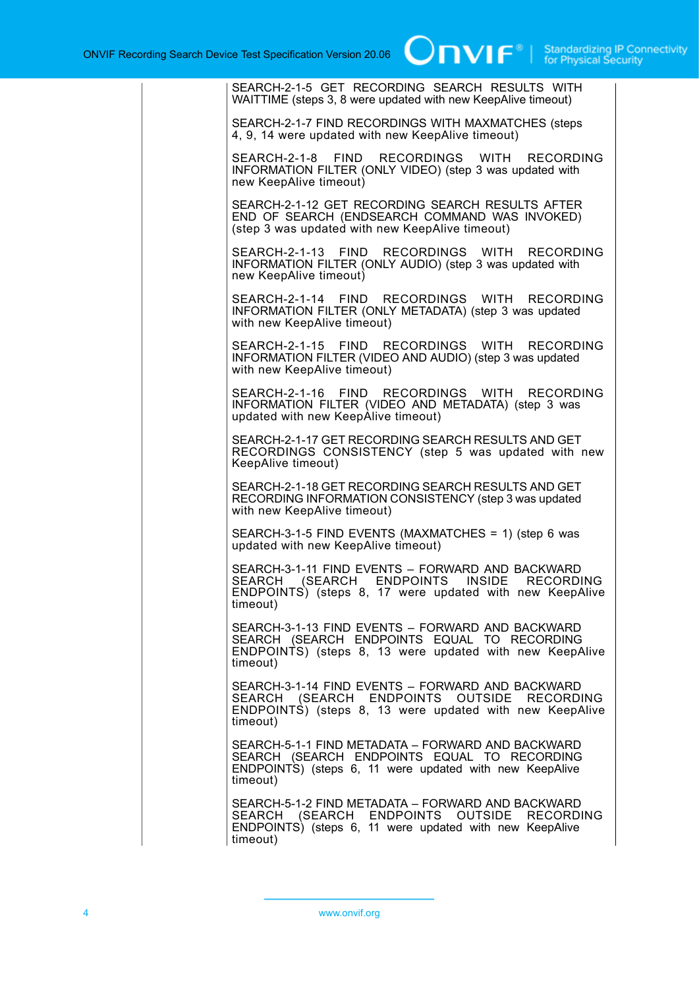| SEARCH-2-1-5 GET RECORDING SEARCH RESULTS WITH<br>WAITTIME (steps 3, 8 were updated with new KeepAlive timeout)                                                         |
|-------------------------------------------------------------------------------------------------------------------------------------------------------------------------|
| SEARCH-2-1-7 FIND RECORDINGS WITH MAXMATCHES (steps<br>4, 9, 14 were updated with new KeepAlive timeout)                                                                |
| SEARCH-2-1-8 FIND RECORDINGS WITH<br><b>RECORDING</b><br>INFORMATION FILTER (ONLY VIDEO) (step 3 was updated with<br>new KeepAlive timeout)                             |
| SEARCH-2-1-12 GET RECORDING SEARCH RESULTS AFTER<br>END OF SEARCH (ENDSEARCH COMMAND WAS INVOKED)<br>(step 3 was updated with new KeepAlive timeout)                    |
| SEARCH-2-1-13 FIND RECORDINGS WITH RECORDING<br>INFORMATION FILTER (ONLY AUDIO) (step 3 was updated with<br>new KeepAlive timeout)                                      |
| SEARCH-2-1-14 FIND RECORDINGS WITH RECORDING<br>INFORMATION FILTER (ONLY METADATA) (step 3 was updated<br>with new KeepAlive timeout)                                   |
| SEARCH-2-1-15 FIND RECORDINGS WITH RECORDING<br>INFORMATION FILTER (VIDEO AND AUDIO) (step 3 was updated<br>with new KeepAlive timeout)                                 |
| SEARCH-2-1-16 FIND RECORDINGS WITH RECORDING<br>INFORMATION FILTER (VIDEO AND METADATA) (step 3 was<br>updated with new KeepAlive timeout)                              |
| SEARCH-2-1-17 GET RECORDING SEARCH RESULTS AND GET<br>RECORDINGS CONSISTENCY (step 5 was updated with new<br>KeepAlive timeout)                                         |
| SEARCH-2-1-18 GET RECORDING SEARCH RESULTS AND GET<br>RECORDING INFORMATION CONSISTENCY (step 3 was updated<br>with new KeepAlive timeout)                              |
| SEARCH-3-1-5 FIND EVENTS (MAXMATCHES = 1) (step 6 was<br>updated with new KeepAlive timeout)                                                                            |
| SEARCH-3-1-11 FIND EVENTS - FORWARD AND BACKWARD<br>SEARCH (SEARCH ENDPOINTS INSIDE RECORDING<br>ENDPOINTS) (steps 8, 17 were updated with new KeepAlive<br>timeout)    |
| SEARCH-3-1-13 FIND EVENTS - FORWARD AND BACKWARD<br>SEARCH (SEARCH ENDPOINTS EQUAL TO RECORDING<br>ENDPOINTS) (steps 8, 13 were updated with new KeepAlive<br>timeout)  |
| SEARCH-3-1-14 FIND EVENTS - FORWARD AND BACKWARD<br>SEARCH (SEARCH ENDPOINTS OUTSIDE RECORDING<br>ENDPOINTS) (steps 8, 13 were updated with new KeepAlive<br>timeout)   |
| SEARCH-5-1-1 FIND METADATA - FORWARD AND BACKWARD<br>SEARCH (SEARCH ENDPOINTS EQUAL TO RECORDING<br>ENDPOINTS) (steps 6, 11 were updated with new KeepAlive<br>timeout) |
| SEARCH-5-1-2 FIND METADATA - FORWARD AND BACKWARD<br>SEARCH (SEARCH ENDPOINTS OUTSIDE RECORDING<br>ENDPOINTS) (steps 6, 11 were updated with new KeepAlive<br>timeout)  |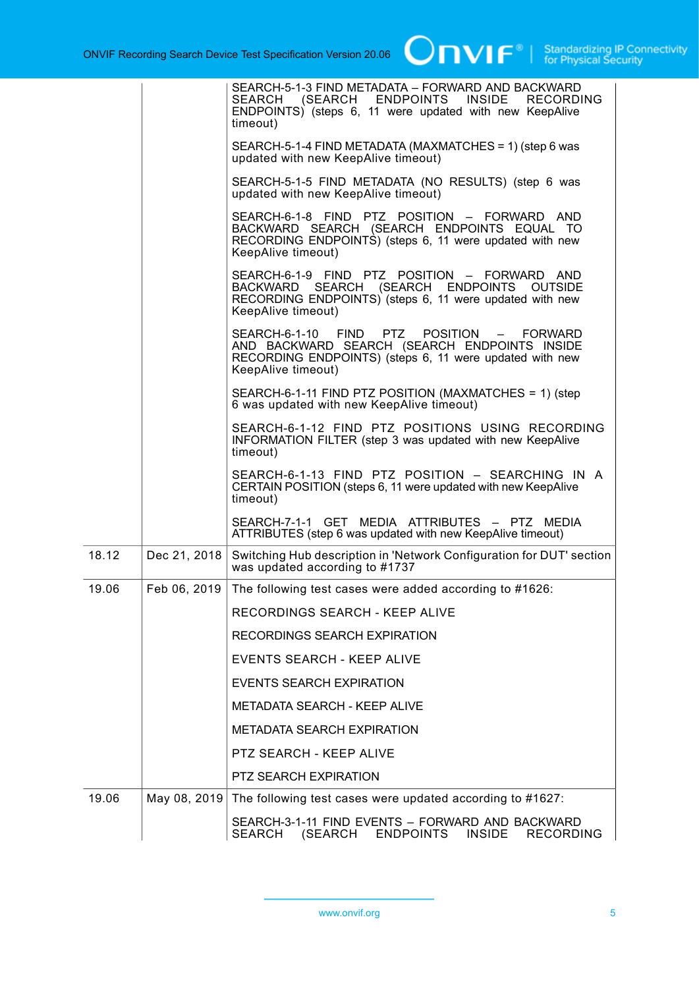$\boxed{\color{red}{\bigcap\mathbf{VIF}^{\text{}}\mid \ \text{Standardizing IP Connectivity}}}$ 

|       |              | SEARCH-5-1-3 FIND METADATA - FORWARD AND BACKWARD<br>SEARCH (SEARCH ENDPOINTS INSIDE RECORDING<br>ENDPOINTS) (steps 6, 11 were updated with new KeepAlive<br>timeout)         |
|-------|--------------|-------------------------------------------------------------------------------------------------------------------------------------------------------------------------------|
|       |              | SEARCH-5-1-4 FIND METADATA (MAXMATCHES = 1) (step 6 was<br>updated with new KeepAlive timeout)                                                                                |
|       |              | SEARCH-5-1-5 FIND METADATA (NO RESULTS) (step 6 was<br>updated with new KeepAlive timeout)                                                                                    |
|       |              | SEARCH-6-1-8 FIND PTZ POSITION - FORWARD AND<br>BACKWARD SEARCH (SEARCH ENDPOINTS EQUAL TO<br>RECORDING ENDPOINTS) (steps 6, 11 were updated with new<br>KeepAlive timeout)   |
|       |              | SEARCH-6-1-9 FIND PTZ POSITION - FORWARD AND<br>BACKWARD SEARCH (SEARCH ENDPOINTS OUTSIDE<br>RECORDING ENDPOINTS) (steps 6, 11 were updated with new<br>KeepAlive timeout)    |
|       |              | SEARCH-6-1-10 FIND PTZ<br>POSITION - FORWARD<br>AND BACKWARD SEARCH (SEARCH ENDPOINTS INSIDE<br>RECORDING ENDPOINTS) (steps 6, 11 were updated with new<br>KeepAlive timeout) |
|       |              | SEARCH-6-1-11 FIND PTZ POSITION (MAXMATCHES = 1) (step<br>6 was updated with new KeepAlive timeout)                                                                           |
|       |              | SEARCH-6-1-12 FIND PTZ POSITIONS USING RECORDING<br><b>INFORMATION FILTER (step 3 was updated with new KeepAlive</b><br>timeout)                                              |
|       |              | SEARCH-6-1-13 FIND PTZ POSITION - SEARCHING IN A<br>CERTAIN POSITION (steps 6, 11 were updated with new KeepAlive<br>timeout)                                                 |
|       |              | SEARCH-7-1-1 GET MEDIA ATTRIBUTES - PTZ MEDIA<br>ATTRIBUTES (step 6 was updated with new KeepAlive timeout)                                                                   |
| 18.12 | Dec 21, 2018 | Switching Hub description in 'Network Configuration for DUT' section<br>was updated according to #1737                                                                        |
| 19.06 | Feb 06, 2019 | The following test cases were added according to #1626:                                                                                                                       |
|       |              | RECORDINGS SEARCH - KEEP ALIVE                                                                                                                                                |
|       |              | RECORDINGS SEARCH EXPIRATION                                                                                                                                                  |
|       |              | EVENTS SEARCH - KEEP ALIVE                                                                                                                                                    |
|       |              | EVENTS SEARCH EXPIRATION                                                                                                                                                      |
|       |              | <b>METADATA SEARCH - KEEP ALIVE</b>                                                                                                                                           |
|       |              | <b>METADATA SEARCH EXPIRATION</b>                                                                                                                                             |
|       |              | PTZ SEARCH - KEEP ALIVE                                                                                                                                                       |
|       |              | <b>PTZ SEARCH EXPIRATION</b>                                                                                                                                                  |
| 19.06 | May 08, 2019 | The following test cases were updated according to #1627:                                                                                                                     |
|       |              | SEARCH-3-1-11 FIND EVENTS - FORWARD AND BACKWARD<br>SEARCH<br>(SEARCH<br><b>ENDPOINTS</b><br><b>INSIDE</b><br><b>RECORDING</b>                                                |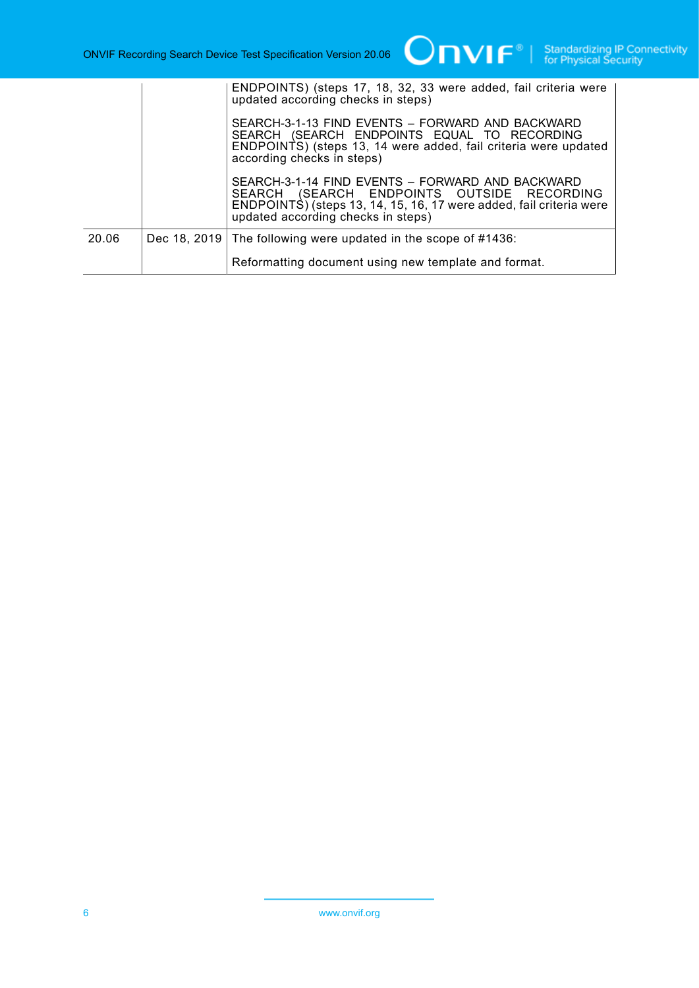|       | ENDPOINTS) (steps 17, 18, 32, 33 were added, fail criteria were<br>updated according checks in steps)                                                                                                       |
|-------|-------------------------------------------------------------------------------------------------------------------------------------------------------------------------------------------------------------|
|       | SEARCH-3-1-13 FIND EVENTS - FORWARD AND BACKWARD<br>SEARCH (SEARCH ENDPOINTS EQUAL TO RECORDING<br>ENDPOINTS) (steps 13, 14 were added, fail criteria were updated<br>according checks in steps)            |
|       | SEARCH-3-1-14 FIND EVENTS - FORWARD AND BACKWARD<br>SEARCH (SEARCH ENDPOINTS OUTSIDE RECORDING<br>ENDPOINTS) (steps 13, 14, 15, 16, 17 were added, fail criteria were<br>updated according checks in steps) |
| 20.06 | Dec 18, 2019 The following were updated in the scope of $\#1436$ :                                                                                                                                          |
|       | Reformatting document using new template and format.                                                                                                                                                        |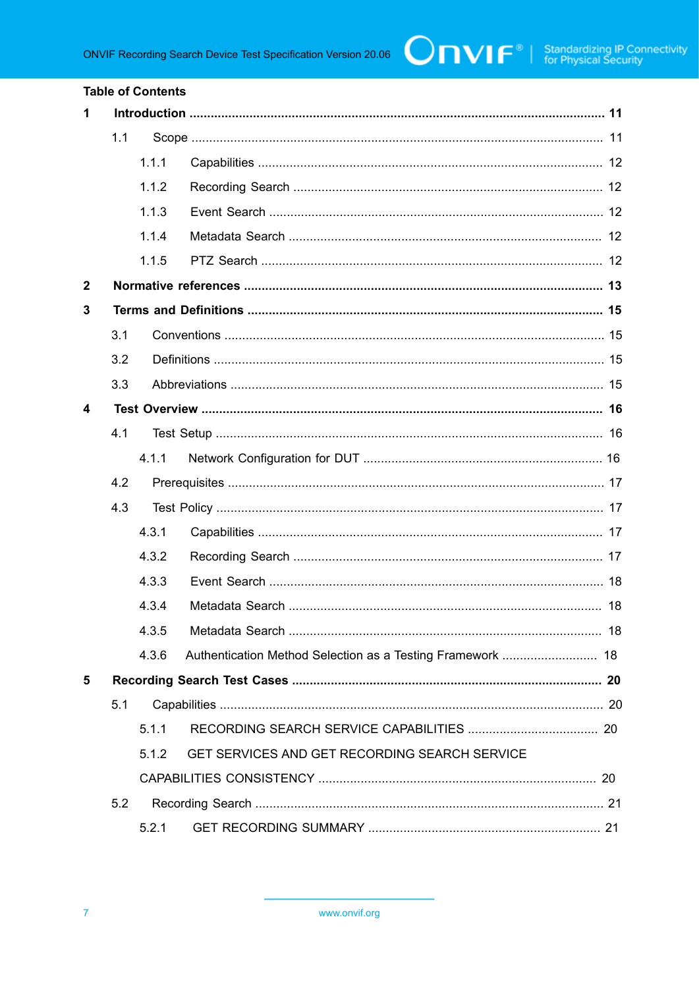| <b>Table of Contents</b> |     |       |                                                            |  |
|--------------------------|-----|-------|------------------------------------------------------------|--|
| 1                        |     |       |                                                            |  |
|                          | 1.1 |       |                                                            |  |
|                          |     | 1.1.1 |                                                            |  |
|                          |     | 1.1.2 |                                                            |  |
|                          |     | 1.1.3 |                                                            |  |
|                          |     | 1.1.4 |                                                            |  |
|                          |     | 1.1.5 |                                                            |  |
| $\mathbf{2}$             |     |       |                                                            |  |
| 3                        |     |       |                                                            |  |
|                          | 3.1 |       |                                                            |  |
|                          | 3.2 |       |                                                            |  |
|                          | 3.3 |       |                                                            |  |
| 4                        |     |       |                                                            |  |
|                          | 4.1 |       |                                                            |  |
|                          |     | 4.1.1 |                                                            |  |
|                          | 4.2 |       |                                                            |  |
|                          | 4.3 |       |                                                            |  |
|                          |     | 4.3.1 |                                                            |  |
|                          |     | 4.3.2 |                                                            |  |
|                          |     | 4.3.3 |                                                            |  |
|                          |     |       |                                                            |  |
|                          |     | 4.3.5 |                                                            |  |
|                          |     | 4.3.6 | Authentication Method Selection as a Testing Framework  18 |  |
| 5                        |     |       |                                                            |  |
|                          | 5.1 |       |                                                            |  |
|                          |     | 5.1.1 |                                                            |  |
|                          |     | 5.1.2 | GET SERVICES AND GET RECORDING SEARCH SERVICE              |  |
|                          |     |       |                                                            |  |
|                          | 5.2 |       |                                                            |  |
|                          |     | 5.2.1 |                                                            |  |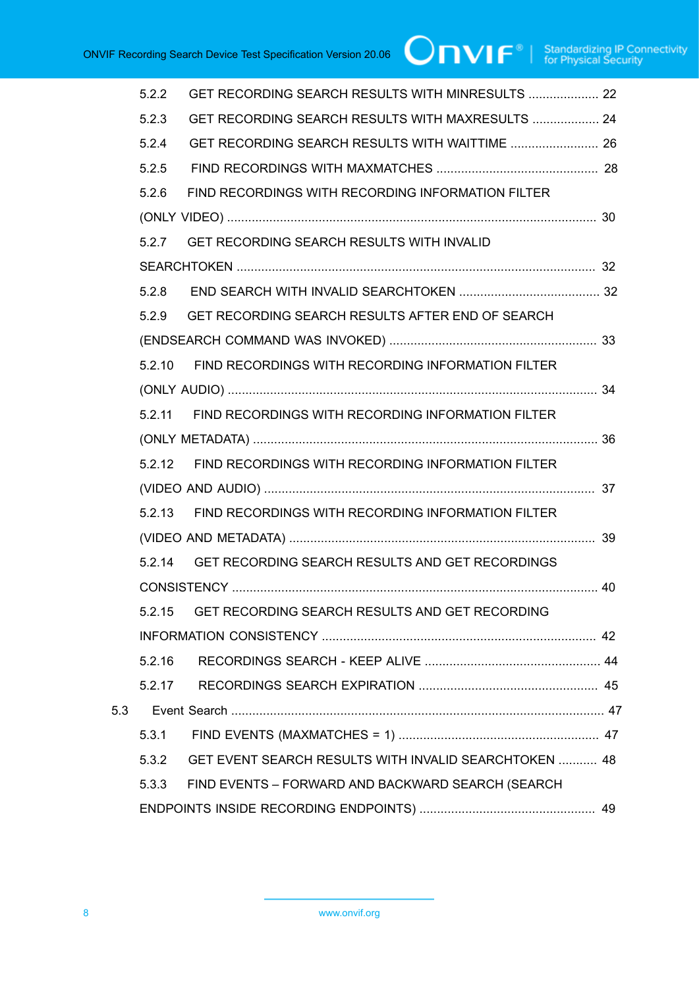|     | 5.2.2  | GET RECORDING SEARCH RESULTS WITH MINRESULTS  22         |  |
|-----|--------|----------------------------------------------------------|--|
|     | 5.2.3  | GET RECORDING SEARCH RESULTS WITH MAXRESULTS  24         |  |
|     | 5.2.4  | GET RECORDING SEARCH RESULTS WITH WAITTIME  26           |  |
|     | 5.2.5  |                                                          |  |
|     | 5.2.6  | FIND RECORDINGS WITH RECORDING INFORMATION FILTER        |  |
|     |        |                                                          |  |
|     | 5.2.7  | <b>GET RECORDING SEARCH RESULTS WITH INVALID</b>         |  |
|     |        |                                                          |  |
|     | 5.2.8  |                                                          |  |
|     |        | 5.2.9 GET RECORDING SEARCH RESULTS AFTER END OF SEARCH   |  |
|     |        |                                                          |  |
|     | 5.2.10 | FIND RECORDINGS WITH RECORDING INFORMATION FILTER        |  |
|     |        |                                                          |  |
|     |        | 5.2.11 FIND RECORDINGS WITH RECORDING INFORMATION FILTER |  |
|     |        |                                                          |  |
|     |        | 5.2.12 FIND RECORDINGS WITH RECORDING INFORMATION FILTER |  |
|     |        |                                                          |  |
|     |        | 5.2.13 FIND RECORDINGS WITH RECORDING INFORMATION FILTER |  |
|     |        |                                                          |  |
|     | 5.2.14 | GET RECORDING SEARCH RESULTS AND GET RECORDINGS          |  |
|     |        |                                                          |  |
|     |        | 5.2.15 GET RECORDING SEARCH RESULTS AND GET RECORDING    |  |
|     |        |                                                          |  |
|     | 5.2.16 |                                                          |  |
|     |        |                                                          |  |
| 5.3 |        |                                                          |  |
|     | 5.3.1  |                                                          |  |
|     | 5.3.2  | GET EVENT SEARCH RESULTS WITH INVALID SEARCHTOKEN  48    |  |
|     | 5.3.3  | FIND EVENTS - FORWARD AND BACKWARD SEARCH (SEARCH        |  |
|     |        |                                                          |  |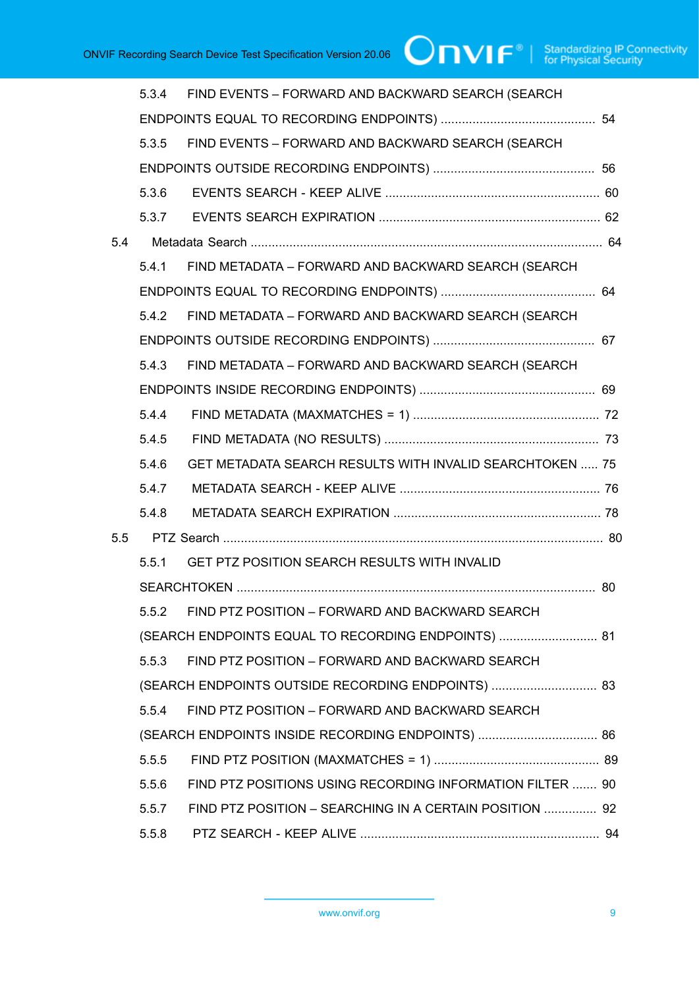|     | 5.3.4 | FIND EVENTS - FORWARD AND BACKWARD SEARCH (SEARCH         |  |
|-----|-------|-----------------------------------------------------------|--|
|     |       |                                                           |  |
|     | 5.3.5 | FIND EVENTS - FORWARD AND BACKWARD SEARCH (SEARCH         |  |
|     |       |                                                           |  |
|     | 5.3.6 |                                                           |  |
|     | 5.3.7 |                                                           |  |
| 5.4 |       |                                                           |  |
|     | 5.4.1 | FIND METADATA - FORWARD AND BACKWARD SEARCH (SEARCH       |  |
|     |       |                                                           |  |
|     | 5.4.2 | FIND METADATA - FORWARD AND BACKWARD SEARCH (SEARCH       |  |
|     |       |                                                           |  |
|     | 5.4.3 | FIND METADATA - FORWARD AND BACKWARD SEARCH (SEARCH       |  |
|     |       |                                                           |  |
|     | 5.4.4 |                                                           |  |
|     | 5.4.5 |                                                           |  |
|     | 5.4.6 | GET METADATA SEARCH RESULTS WITH INVALID SEARCHTOKEN  75  |  |
|     | 5.4.7 |                                                           |  |
|     | 5.4.8 |                                                           |  |
| 5.5 |       |                                                           |  |
|     | 5.5.1 | GET PTZ POSITION SEARCH RESULTS WITH INVALID              |  |
|     |       |                                                           |  |
|     | 5.5.2 | FIND PTZ POSITION - FORWARD AND BACKWARD SEARCH           |  |
|     |       | (SEARCH ENDPOINTS EQUAL TO RECORDING ENDPOINTS)  81       |  |
|     | 5.5.3 | FIND PTZ POSITION - FORWARD AND BACKWARD SEARCH           |  |
|     |       | (SEARCH ENDPOINTS OUTSIDE RECORDING ENDPOINTS)  83        |  |
|     | 5.5.4 | FIND PTZ POSITION - FORWARD AND BACKWARD SEARCH           |  |
|     |       | (SEARCH ENDPOINTS INSIDE RECORDING ENDPOINTS)  86         |  |
|     | 5.5.5 |                                                           |  |
|     | 5.5.6 | FIND PTZ POSITIONS USING RECORDING INFORMATION FILTER  90 |  |
|     | 5.5.7 | FIND PTZ POSITION - SEARCHING IN A CERTAIN POSITION  92   |  |
|     | 5.5.8 |                                                           |  |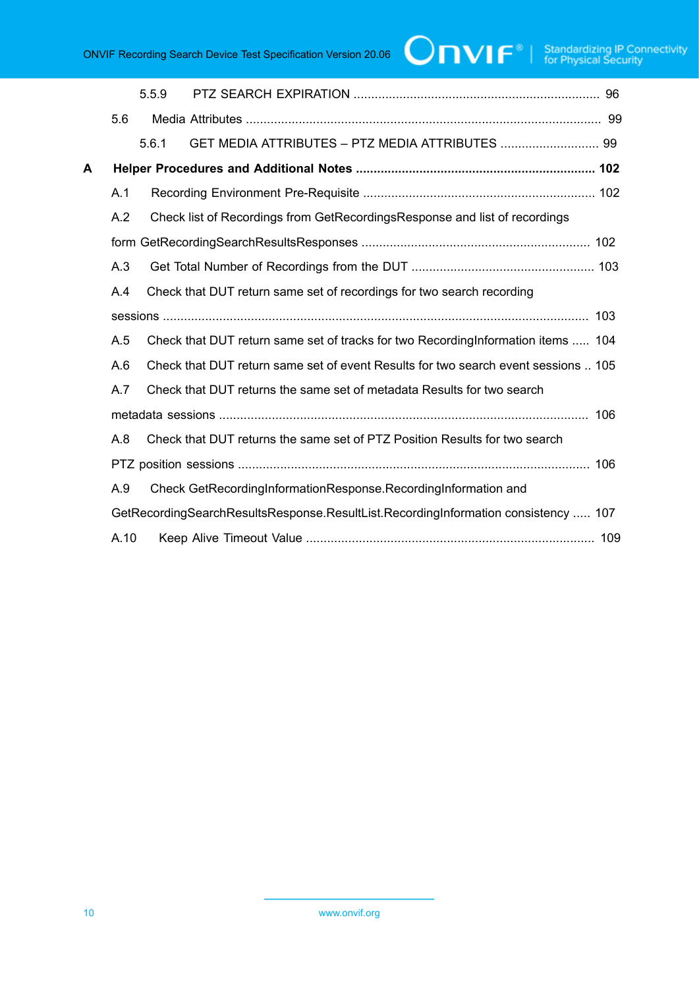# $\boxed{\color{red}{\bigcap\mathbf{VIF}^{\circ}\mid \; \substack{\text{Standardizing IP Connectivity} \\ \text{for Physical Security}}}$

|   |      | 5.5.9 |                                                                                    |     |
|---|------|-------|------------------------------------------------------------------------------------|-----|
|   | 5.6  |       |                                                                                    |     |
|   |      | 5.6.1 | GET MEDIA ATTRIBUTES - PTZ MEDIA ATTRIBUTES  99                                    |     |
| А |      |       |                                                                                    |     |
|   | A.1  |       |                                                                                    |     |
|   | A.2  |       | Check list of Recordings from GetRecordingsResponse and list of recordings         |     |
|   |      |       |                                                                                    |     |
|   | A.3  |       |                                                                                    |     |
|   | A.4  |       | Check that DUT return same set of recordings for two search recording              |     |
|   |      |       |                                                                                    |     |
|   | A.5  |       | Check that DUT return same set of tracks for two Recording Information items  104  |     |
|   | A.6  |       | Check that DUT return same set of event Results for two search event sessions  105 |     |
|   | A.7  |       | Check that DUT returns the same set of metadata Results for two search             |     |
|   |      |       |                                                                                    | 106 |
|   | A.8  |       | Check that DUT returns the same set of PTZ Position Results for two search         |     |
|   |      |       |                                                                                    |     |
|   | A.9  |       | Check GetRecordingInformationResponse.RecordingInformation and                     |     |
|   |      |       | GetRecordingSearchResultsResponse.ResultList.RecordingInformation consistency  107 |     |
|   | A.10 |       |                                                                                    |     |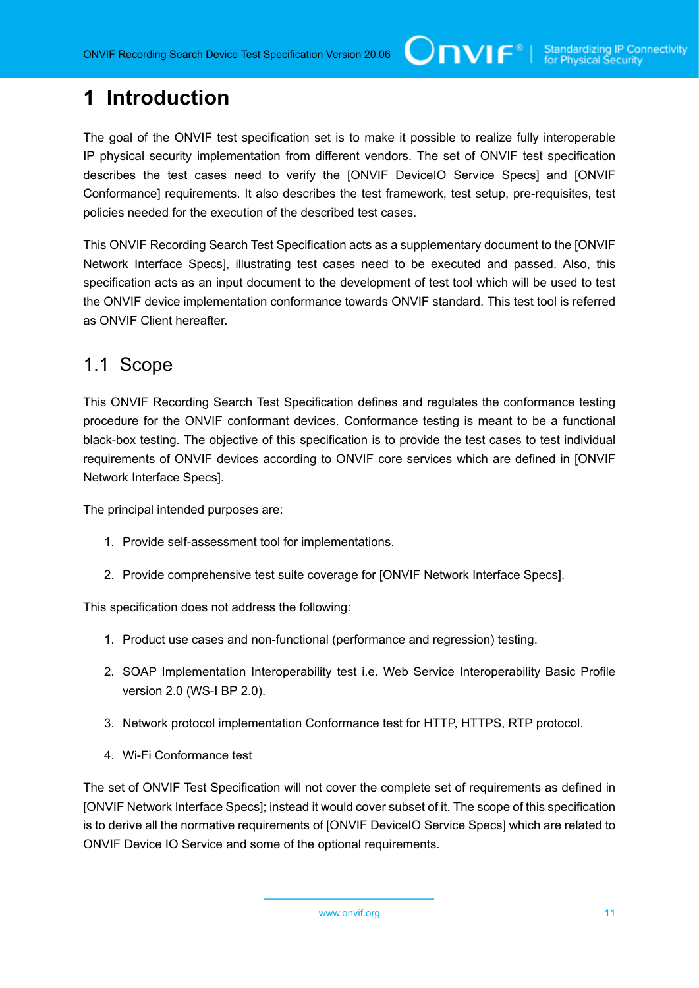# <span id="page-10-0"></span>**1 Introduction**

The goal of the ONVIF test specification set is to make it possible to realize fully interoperable IP physical security implementation from different vendors. The set of ONVIF test specification describes the test cases need to verify the [ONVIF DeviceIO Service Specs] and [ONVIF Conformance] requirements. It also describes the test framework, test setup, pre-requisites, test policies needed for the execution of the described test cases.

This ONVIF Recording Search Test Specification acts as a supplementary document to the [ONVIF Network Interface Specs], illustrating test cases need to be executed and passed. Also, this specification acts as an input document to the development of test tool which will be used to test the ONVIF device implementation conformance towards ONVIF standard. This test tool is referred as ONVIF Client hereafter.

### <span id="page-10-1"></span>1.1 Scope

This ONVIF Recording Search Test Specification defines and regulates the conformance testing procedure for the ONVIF conformant devices. Conformance testing is meant to be a functional black-box testing. The objective of this specification is to provide the test cases to test individual requirements of ONVIF devices according to ONVIF core services which are defined in [ONVIF Network Interface Specs].

The principal intended purposes are:

- 1. Provide self-assessment tool for implementations.
- 2. Provide comprehensive test suite coverage for [ONVIF Network Interface Specs].

This specification does not address the following:

- 1. Product use cases and non-functional (performance and regression) testing.
- 2. SOAP Implementation Interoperability test i.e. Web Service Interoperability Basic Profile version 2.0 (WS-I BP 2.0).
- 3. Network protocol implementation Conformance test for HTTP, HTTPS, RTP protocol.
- 4. Wi-Fi Conformance test

The set of ONVIF Test Specification will not cover the complete set of requirements as defined in [ONVIF Network Interface Specs]; instead it would cover subset of it. The scope of this specification is to derive all the normative requirements of [ONVIF DeviceIO Service Specs] which are related to ONVIF Device IO Service and some of the optional requirements.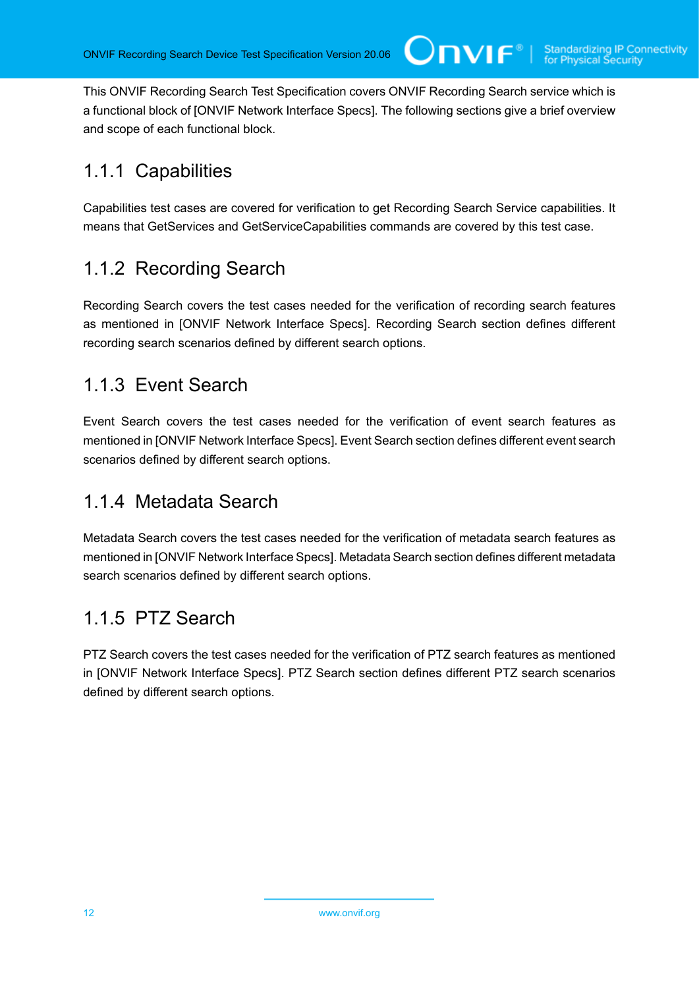This ONVIF Recording Search Test Specification covers ONVIF Recording Search service which is a functional block of [ONVIF Network Interface Specs]. The following sections give a brief overview and scope of each functional block.

# <span id="page-11-0"></span>1.1.1 Capabilities

Capabilities test cases are covered for verification to get Recording Search Service capabilities. It means that GetServices and GetServiceCapabilities commands are covered by this test case.

# <span id="page-11-1"></span>1.1.2 Recording Search

Recording Search covers the test cases needed for the verification of recording search features as mentioned in [ONVIF Network Interface Specs]. Recording Search section defines different recording search scenarios defined by different search options.

## <span id="page-11-2"></span>1.1.3 Event Search

Event Search covers the test cases needed for the verification of event search features as mentioned in [ONVIF Network Interface Specs]. Event Search section defines different event search scenarios defined by different search options.

# <span id="page-11-3"></span>1.1.4 Metadata Search

Metadata Search covers the test cases needed for the verification of metadata search features as mentioned in [ONVIF Network Interface Specs]. Metadata Search section defines different metadata search scenarios defined by different search options.

# <span id="page-11-4"></span>1.1.5 PTZ Search

PTZ Search covers the test cases needed for the verification of PTZ search features as mentioned in [ONVIF Network Interface Specs]. PTZ Search section defines different PTZ search scenarios defined by different search options.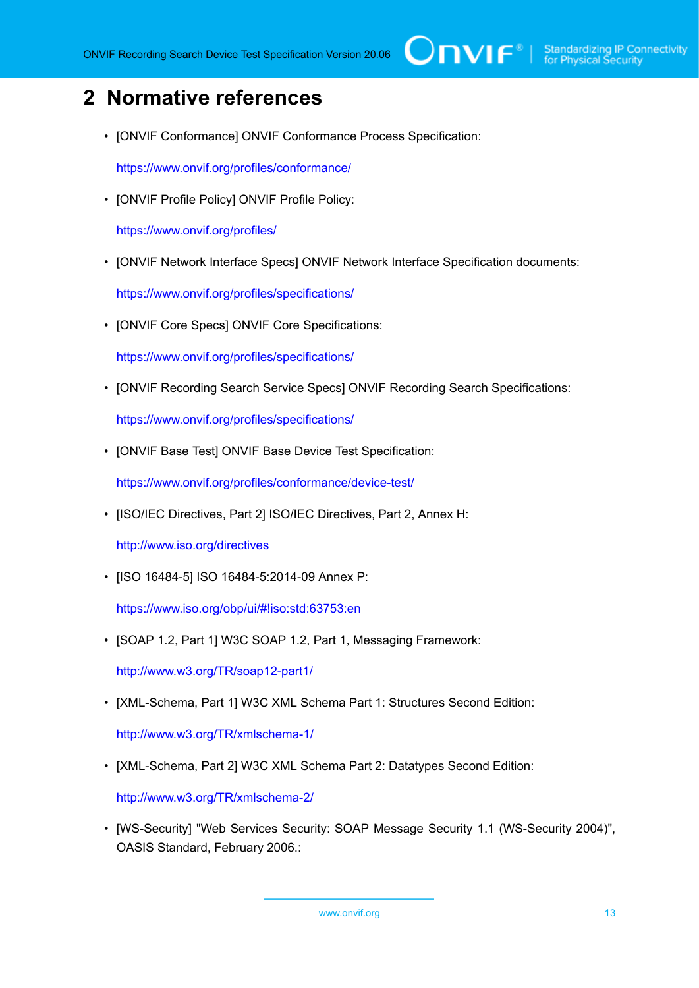# <span id="page-12-0"></span>**2 Normative references**

• [ONVIF Conformance] ONVIF Conformance Process Specification:

<https://www.onvif.org/profiles/conformance/>

• [ONVIF Profile Policy] ONVIF Profile Policy:

<https://www.onvif.org/profiles/>

• [ONVIF Network Interface Specs] ONVIF Network Interface Specification documents:

<https://www.onvif.org/profiles/specifications/>

• [ONVIF Core Specs] ONVIF Core Specifications:

<https://www.onvif.org/profiles/specifications/>

• [ONVIF Recording Search Service Specs] ONVIF Recording Search Specifications:

<https://www.onvif.org/profiles/specifications/>

• [ONVIF Base Test] ONVIF Base Device Test Specification:

<https://www.onvif.org/profiles/conformance/device-test/>

• [ISO/IEC Directives, Part 2] ISO/IEC Directives, Part 2, Annex H:

<http://www.iso.org/directives>

• [ISO 16484-5] ISO 16484-5:2014-09 Annex P:

<https://www.iso.org/obp/ui/#!iso:std:63753:en>

• [SOAP 1.2, Part 1] W3C SOAP 1.2, Part 1, Messaging Framework:

<http://www.w3.org/TR/soap12-part1/>

• [XML-Schema, Part 1] W3C XML Schema Part 1: Structures Second Edition:

<http://www.w3.org/TR/xmlschema-1/>

• [XML-Schema, Part 2] W3C XML Schema Part 2: Datatypes Second Edition:

<http://www.w3.org/TR/xmlschema-2/>

• [WS-Security] "Web Services Security: SOAP Message Security 1.1 (WS-Security 2004)", OASIS Standard, February 2006.: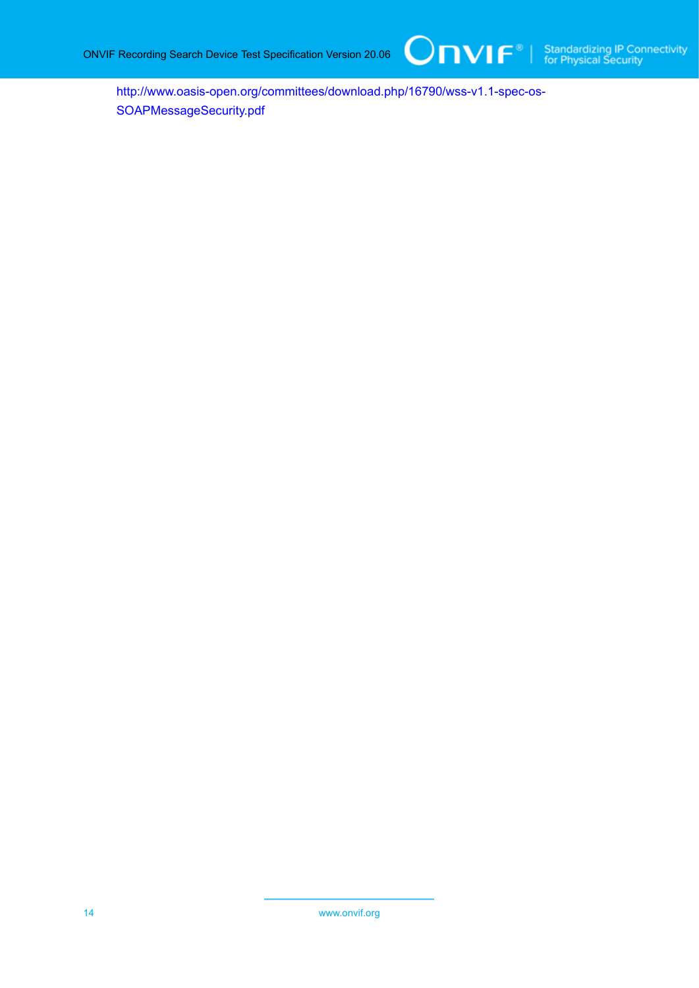

[http://www.oasis-open.org/committees/download.php/16790/wss-v1.1-spec-os-](http://www.oasis-open.org/committees/download.php/16790/wss-v1.1-spec-os-SOAPMessageSecurity.pdf)[SOAPMessageSecurity.pdf](http://www.oasis-open.org/committees/download.php/16790/wss-v1.1-spec-os-SOAPMessageSecurity.pdf)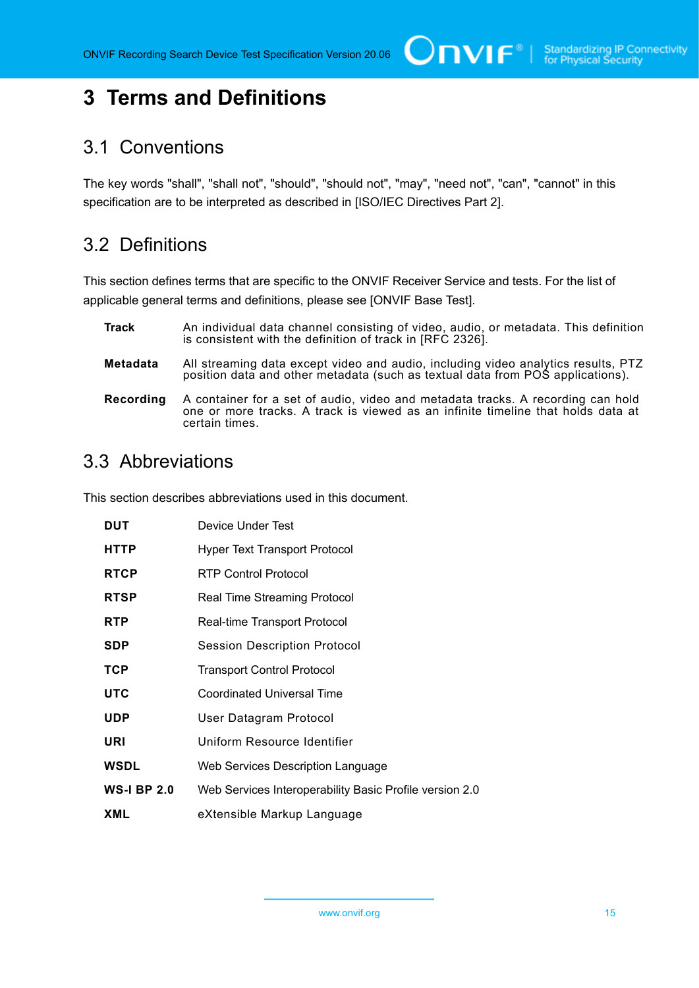# <span id="page-14-0"></span>**3 Terms and Definitions**

### <span id="page-14-1"></span>3.1 Conventions

The key words "shall", "shall not", "should", "should not", "may", "need not", "can", "cannot" in this specification are to be interpreted as described in [ISO/IEC Directives Part 2].

# <span id="page-14-2"></span>3.2 Definitions

This section defines terms that are specific to the ONVIF Receiver Service and tests. For the list of applicable general terms and definitions, please see [ONVIF Base Test].

- **Track** An individual data channel consisting of video, audio, or metadata. This definition is consistent with the definition of track in [RFC 2326].
- **Metadata** All streaming data except video and audio, including video analytics results, PTZ position data and other metadata (such as textual data from POS applications).
- **Recording** A container for a set of audio, video and metadata tracks. A recording can hold one or more tracks. A track is viewed as an infinite timeline that holds data at certain times.

### <span id="page-14-3"></span>3.3 Abbreviations

This section describes abbreviations used in this document.

| <b>DUT</b>         | Device Under Test                                       |
|--------------------|---------------------------------------------------------|
| <b>HTTP</b>        | <b>Hyper Text Transport Protocol</b>                    |
| <b>RTCP</b>        | <b>RTP Control Protocol</b>                             |
| <b>RTSP</b>        | <b>Real Time Streaming Protocol</b>                     |
| <b>RTP</b>         | Real-time Transport Protocol                            |
| <b>SDP</b>         | <b>Session Description Protocol</b>                     |
| <b>TCP</b>         | <b>Transport Control Protocol</b>                       |
| <b>UTC</b>         | Coordinated Universal Time                              |
| <b>UDP</b>         | User Datagram Protocol                                  |
| URI                | Uniform Resource Identifier                             |
| <b>WSDL</b>        | Web Services Description Language                       |
| <b>WS-I BP 2.0</b> | Web Services Interoperability Basic Profile version 2.0 |
| XML                | eXtensible Markup Language                              |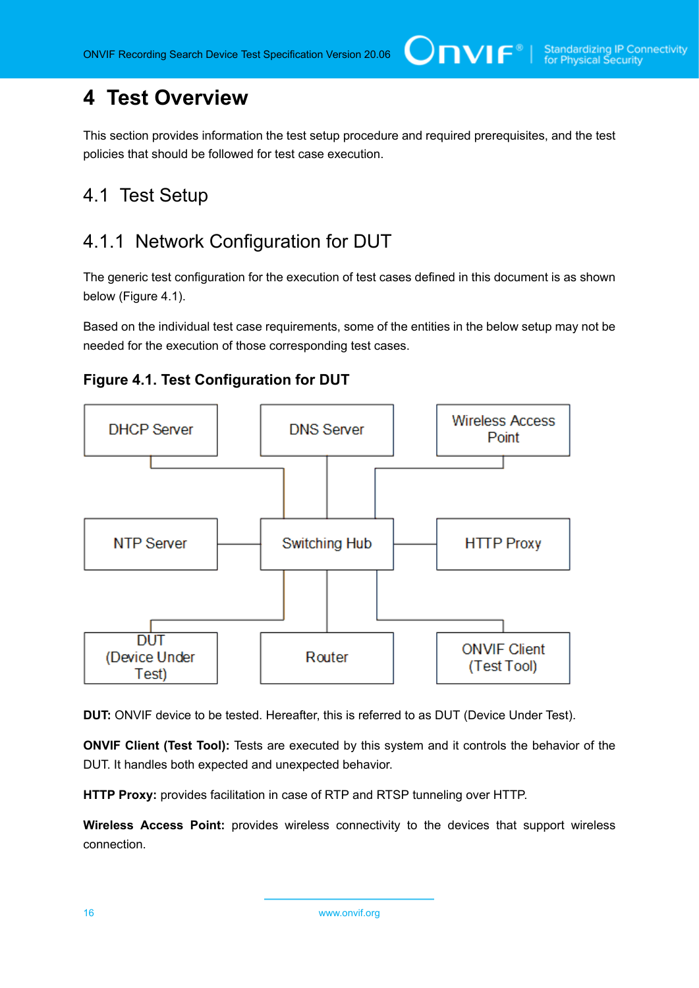# <span id="page-15-0"></span>**4 Test Overview**

This section provides information the test setup procedure and required prerequisites, and the test policies that should be followed for test case execution.

## <span id="page-15-1"></span>4.1 Test Setup

# <span id="page-15-2"></span>4.1.1 Network Configuration for DUT

The generic test configuration for the execution of test cases defined in this document is as shown below (Figure 4.1).

Based on the individual test case requirements, some of the entities in the below setup may not be needed for the execution of those corresponding test cases.





**DUT:** ONVIF device to be tested. Hereafter, this is referred to as DUT (Device Under Test).

**ONVIF Client (Test Tool):** Tests are executed by this system and it controls the behavior of the DUT. It handles both expected and unexpected behavior.

**HTTP Proxy:** provides facilitation in case of RTP and RTSP tunneling over HTTP.

**Wireless Access Point:** provides wireless connectivity to the devices that support wireless connection.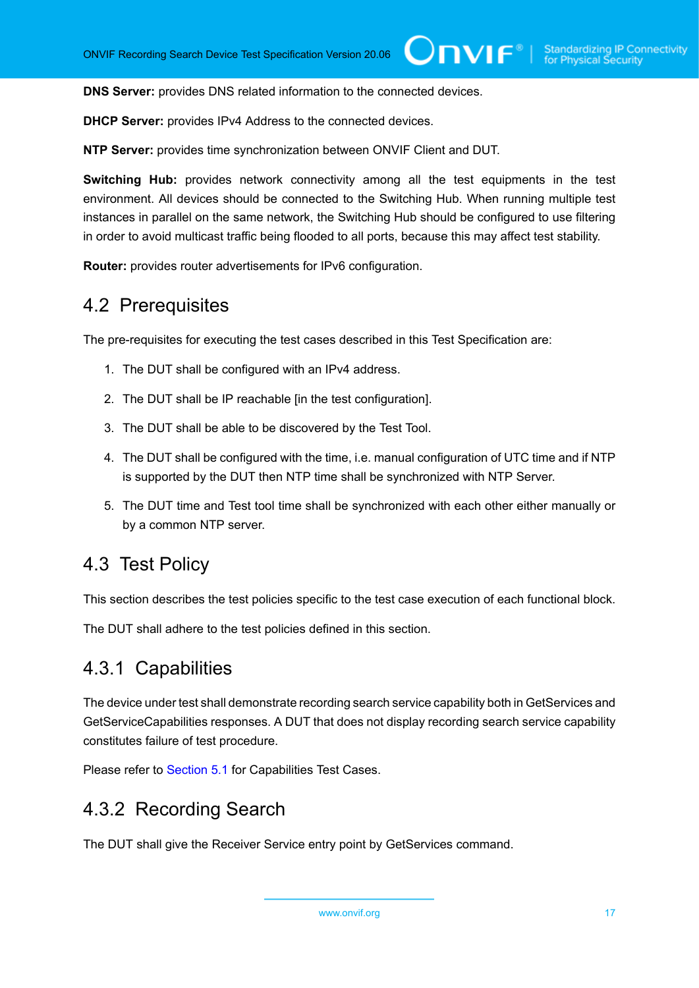**DNS Server:** provides DNS related information to the connected devices.

**DHCP Server:** provides IPv4 Address to the connected devices.

**NTP Server:** provides time synchronization between ONVIF Client and DUT.

**Switching Hub:** provides network connectivity among all the test equipments in the test environment. All devices should be connected to the Switching Hub. When running multiple test instances in parallel on the same network, the Switching Hub should be configured to use filtering in order to avoid multicast traffic being flooded to all ports, because this may affect test stability.

<span id="page-16-0"></span>**Router:** provides router advertisements for IPv6 configuration.

### 4.2 Prerequisites

The pre-requisites for executing the test cases described in this Test Specification are:

- 1. The DUT shall be configured with an IPv4 address.
- 2. The DUT shall be IP reachable [in the test configuration].
- 3. The DUT shall be able to be discovered by the Test Tool.
- 4. The DUT shall be configured with the time, i.e. manual configuration of UTC time and if NTP is supported by the DUT then NTP time shall be synchronized with NTP Server.
- 5. The DUT time and Test tool time shall be synchronized with each other either manually or by a common NTP server.

### <span id="page-16-1"></span>4.3 Test Policy

This section describes the test policies specific to the test case execution of each functional block.

<span id="page-16-2"></span>The DUT shall adhere to the test policies defined in this section.

### 4.3.1 Capabilities

The device under test shall demonstrate recording search service capability both in GetServices and GetServiceCapabilities responses. A DUT that does not display recording search service capability constitutes failure of test procedure.

<span id="page-16-3"></span>Please refer to [Section 5.1](#page-19-1) for Capabilities Test Cases.

### 4.3.2 Recording Search

The DUT shall give the Receiver Service entry point by GetServices command.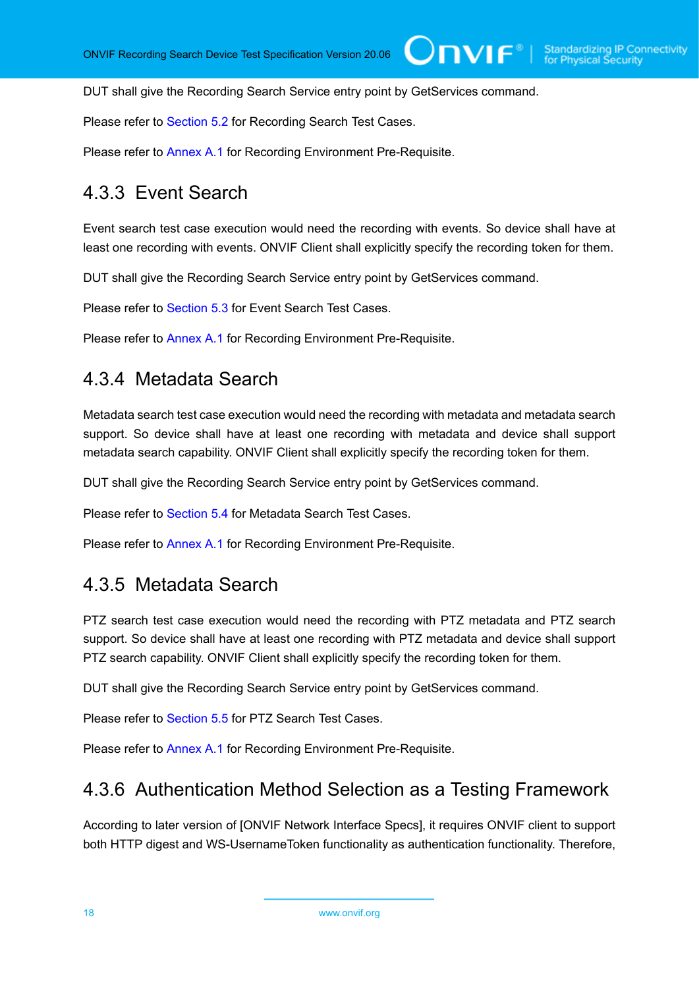DUT shall give the Recording Search Service entry point by GetServices command.

Please refer to [Section 5.2](#page-20-0) for Recording Search Test Cases.

<span id="page-17-0"></span>Please refer to [Annex A.1](#page-101-1) for Recording Environment Pre-Requisite.

### 4.3.3 Event Search

Event search test case execution would need the recording with events. So device shall have at least one recording with events. ONVIF Client shall explicitly specify the recording token for them.

DUT shall give the Recording Search Service entry point by GetServices command.

Please refer to [Section 5.3](#page-46-0) for Event Search Test Cases.

<span id="page-17-1"></span>Please refer to [Annex A.1](#page-101-1) for Recording Environment Pre-Requisite.

### 4.3.4 Metadata Search

Metadata search test case execution would need the recording with metadata and metadata search support. So device shall have at least one recording with metadata and device shall support metadata search capability. ONVIF Client shall explicitly specify the recording token for them.

DUT shall give the Recording Search Service entry point by GetServices command.

Please refer to [Section 5.4](#page-63-0) for Metadata Search Test Cases.

<span id="page-17-2"></span>Please refer to [Annex A.1](#page-101-1) for Recording Environment Pre-Requisite.

### 4.3.5 Metadata Search

PTZ search test case execution would need the recording with PTZ metadata and PTZ search support. So device shall have at least one recording with PTZ metadata and device shall support PTZ search capability. ONVIF Client shall explicitly specify the recording token for them.

DUT shall give the Recording Search Service entry point by GetServices command.

Please refer to [Section 5.5](#page-79-0) for PTZ Search Test Cases.

<span id="page-17-3"></span>Please refer to [Annex A.1](#page-101-1) for Recording Environment Pre-Requisite.

### 4.3.6 Authentication Method Selection as a Testing Framework

According to later version of [ONVIF Network Interface Specs], it requires ONVIF client to support both HTTP digest and WS-UsernameToken functionality as authentication functionality. Therefore,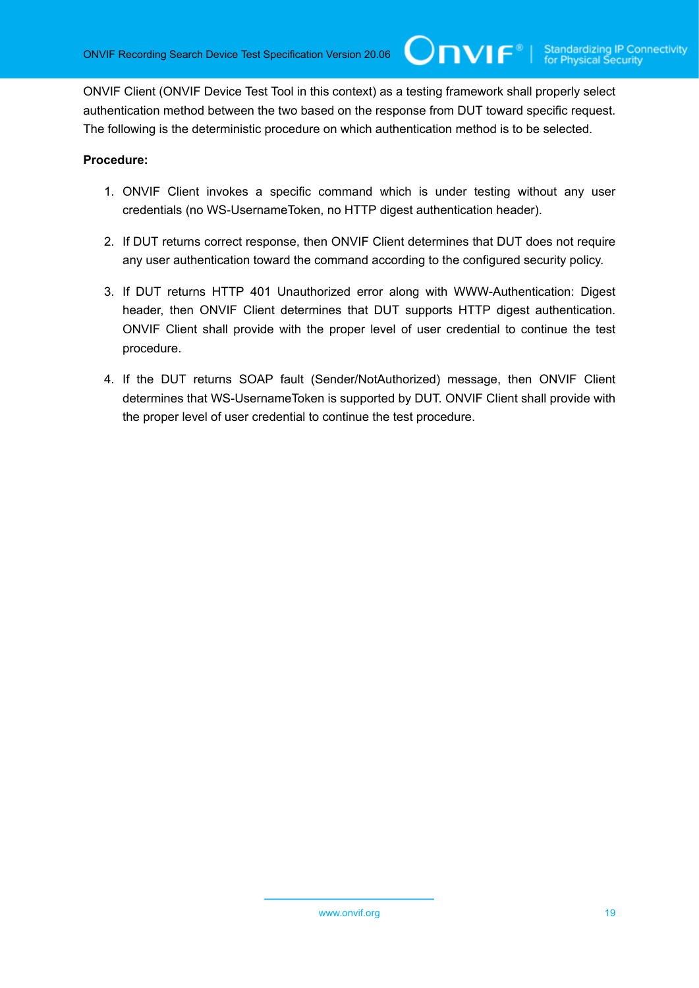ONVIF Client (ONVIF Device Test Tool in this context) as a testing framework shall properly select authentication method between the two based on the response from DUT toward specific request. The following is the deterministic procedure on which authentication method is to be selected.

 $\mathsf{Cnv}$ ı $\mathsf{F}^\ast$ l

#### **Procedure:**

- 1. ONVIF Client invokes a specific command which is under testing without any user credentials (no WS-UsernameToken, no HTTP digest authentication header).
- 2. If DUT returns correct response, then ONVIF Client determines that DUT does not require any user authentication toward the command according to the configured security policy.
- 3. If DUT returns HTTP 401 Unauthorized error along with WWW-Authentication: Digest header, then ONVIF Client determines that DUT supports HTTP digest authentication. ONVIF Client shall provide with the proper level of user credential to continue the test procedure.
- 4. If the DUT returns SOAP fault (Sender/NotAuthorized) message, then ONVIF Client determines that WS-UsernameToken is supported by DUT. ONVIF Client shall provide with the proper level of user credential to continue the test procedure.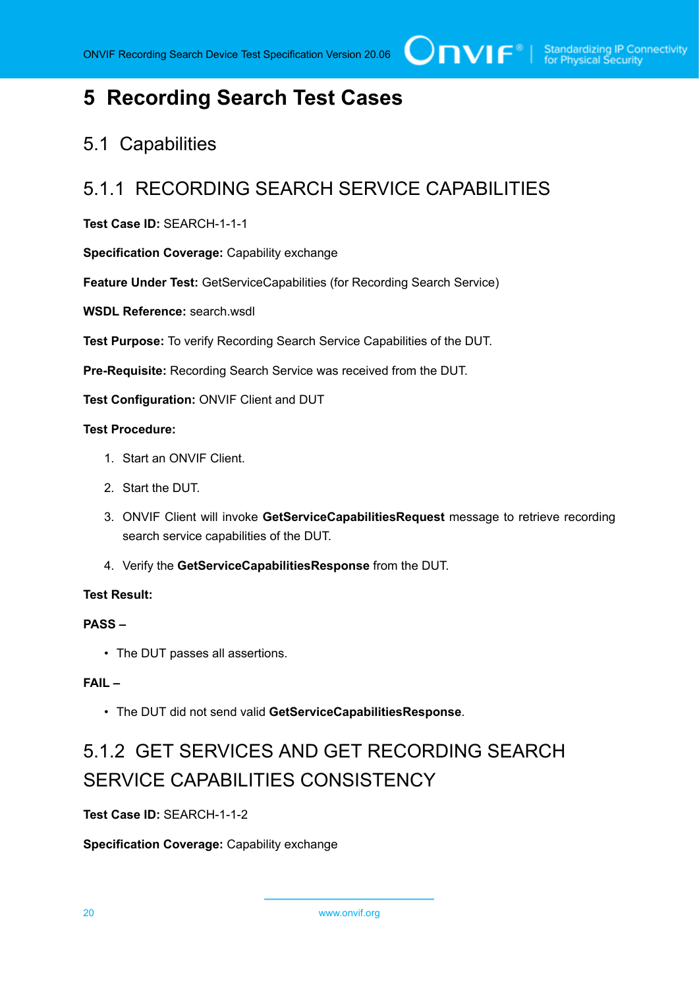# <span id="page-19-0"></span>**5 Recording Search Test Cases**

# <span id="page-19-1"></span>5.1 Capabilities

# <span id="page-19-2"></span>5.1.1 RECORDING SEARCH SERVICE CAPABILITIES

#### **Test Case ID:** SEARCH-1-1-1

**Specification Coverage:** Capability exchange

**Feature Under Test:** GetServiceCapabilities (for Recording Search Service)

**WSDL Reference:** search.wsdl

**Test Purpose:** To verify Recording Search Service Capabilities of the DUT.

**Pre-Requisite:** Recording Search Service was received from the DUT.

**Test Configuration:** ONVIF Client and DUT

#### **Test Procedure:**

- 1. Start an ONVIF Client.
- 2. Start the DUT.
- 3. ONVIF Client will invoke **GetServiceCapabilitiesRequest** message to retrieve recording search service capabilities of the DUT.
- 4. Verify the **GetServiceCapabilitiesResponse** from the DUT.

#### **Test Result:**

#### **PASS –**

• The DUT passes all assertions.

#### **FAIL –**

• The DUT did not send valid **GetServiceCapabilitiesResponse**.

# <span id="page-19-3"></span>5.1.2 GET SERVICES AND GET RECORDING SEARCH SERVICE CAPABILITIES CONSISTENCY

**Test Case ID:** SEARCH-1-1-2

**Specification Coverage:** Capability exchange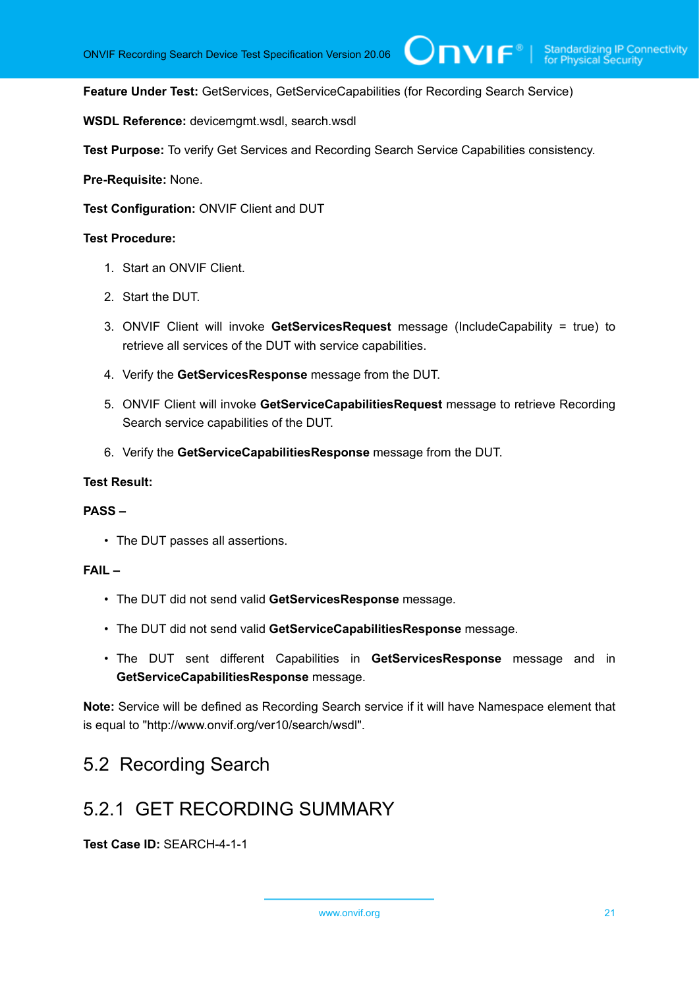#### **Feature Under Test:** GetServices, GetServiceCapabilities (for Recording Search Service)

**WSDL Reference:** devicemgmt.wsdl, search.wsdl

**Test Purpose:** To verify Get Services and Recording Search Service Capabilities consistency.

**Pre-Requisite:** None.

**Test Configuration:** ONVIF Client and DUT

#### **Test Procedure:**

- 1. Start an ONVIF Client.
- 2. Start the DUT.
- 3. ONVIF Client will invoke **GetServicesRequest** message (IncludeCapability = true) to retrieve all services of the DUT with service capabilities.
- 4. Verify the **GetServicesResponse** message from the DUT.
- 5. ONVIF Client will invoke **GetServiceCapabilitiesRequest** message to retrieve Recording Search service capabilities of the DUT.
- 6. Verify the **GetServiceCapabilitiesResponse** message from the DUT.

#### **Test Result:**

#### **PASS –**

• The DUT passes all assertions.

#### **FAIL –**

- The DUT did not send valid **GetServicesResponse** message.
- The DUT did not send valid **GetServiceCapabilitiesResponse** message.
- The DUT sent different Capabilities in **GetServicesResponse** message and in **GetServiceCapabilitiesResponse** message.

**Note:** Service will be defined as Recording Search service if it will have Namespace element that is equal to "http://www.onvif.org/ver10/search/wsdl".

### <span id="page-20-0"></span>5.2 Recording Search

### <span id="page-20-1"></span>5.2.1 GET RECORDING SUMMARY

**Test Case ID:** SEARCH-4-1-1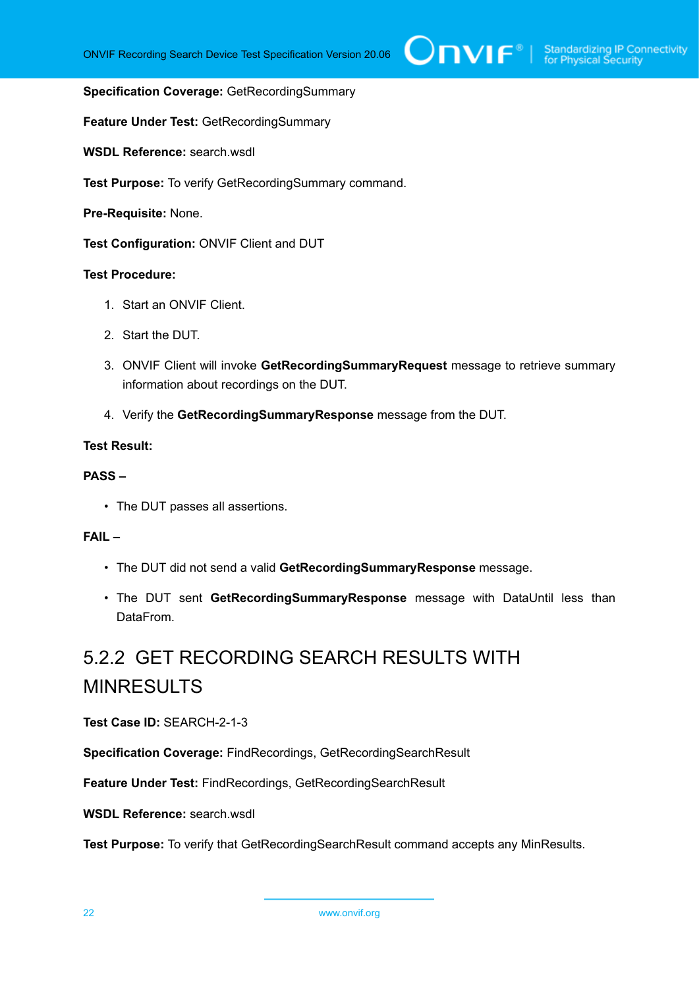#### **Specification Coverage:** GetRecordingSummary

**Feature Under Test:** GetRecordingSummary

WSDL Reference: search wsdl.

**Test Purpose:** To verify GetRecordingSummary command.

**Pre-Requisite:** None.

**Test Configuration:** ONVIF Client and DUT

#### **Test Procedure:**

- 1. Start an ONVIF Client.
- 2. Start the DUT.
- 3. ONVIF Client will invoke **GetRecordingSummaryRequest** message to retrieve summary information about recordings on the DUT.
- 4. Verify the **GetRecordingSummaryResponse** message from the DUT.

#### **Test Result:**

#### **PASS –**

• The DUT passes all assertions.

#### **FAIL –**

- The DUT did not send a valid **GetRecordingSummaryResponse** message.
- The DUT sent **GetRecordingSummaryResponse** message with DataUntil less than DataFrom.

# <span id="page-21-0"></span>5.2.2 GET RECORDING SEARCH RESULTS WITH MINRESULTS

**Test Case ID:** SEARCH-2-1-3

**Specification Coverage:** FindRecordings, GetRecordingSearchResult

**Feature Under Test:** FindRecordings, GetRecordingSearchResult

**WSDL Reference:** search.wsdl

**Test Purpose:** To verify that GetRecordingSearchResult command accepts any MinResults.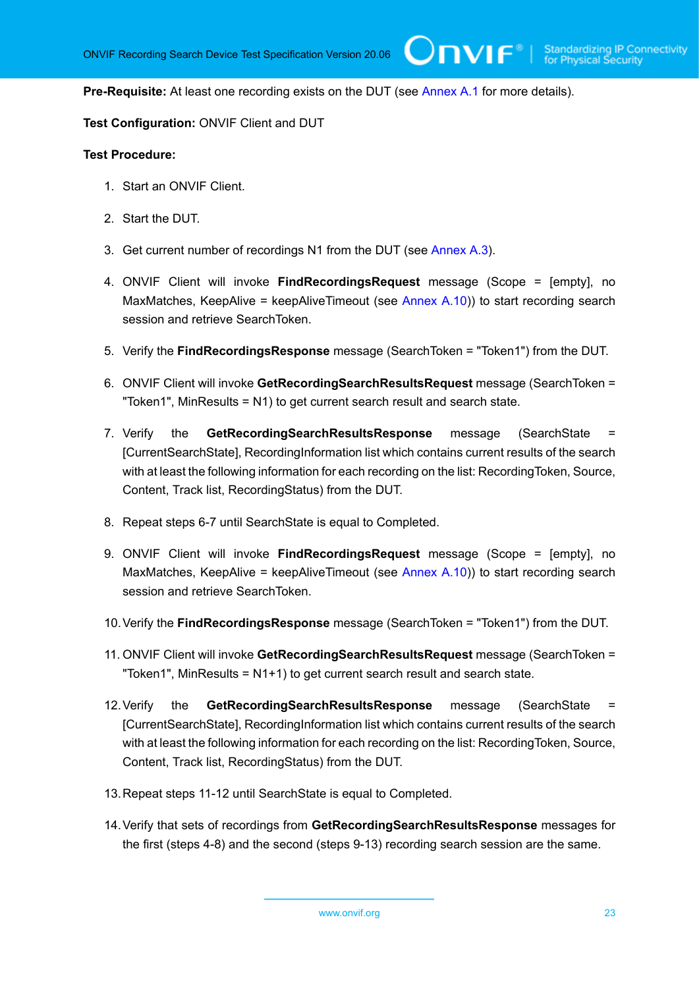**Pre-Requisite:** At least one recording exists on the DUT (see [Annex A.1](#page-101-1) for more details).

**Test Configuration:** ONVIF Client and DUT

#### **Test Procedure:**

- 1. Start an ONVIF Client.
- 2. Start the DUT.
- 3. Get current number of recordings N1 from the DUT (see [Annex A.3\)](#page-102-0).
- 4. ONVIF Client will invoke **FindRecordingsRequest** message (Scope = [empty], no MaxMatches, KeepAlive = keepAliveTimeout (see [Annex A.10\)](#page-108-0)) to start recording search session and retrieve SearchToken.
- 5. Verify the **FindRecordingsResponse** message (SearchToken = "Token1") from the DUT.
- 6. ONVIF Client will invoke **GetRecordingSearchResultsRequest** message (SearchToken = "Token1", MinResults = N1) to get current search result and search state.
- 7. Verify the **GetRecordingSearchResultsResponse** message (SearchState = [CurrentSearchState], RecordingInformation list which contains current results of the search with at least the following information for each recording on the list: RecordingToken, Source, Content, Track list, RecordingStatus) from the DUT.
- 8. Repeat steps 6-7 until SearchState is equal to Completed.
- 9. ONVIF Client will invoke **FindRecordingsRequest** message (Scope = [empty], no MaxMatches, KeepAlive = keepAliveTimeout (see [Annex A.10\)](#page-108-0)) to start recording search session and retrieve SearchToken.
- 10.Verify the **FindRecordingsResponse** message (SearchToken = "Token1") from the DUT.
- 11. ONVIF Client will invoke **GetRecordingSearchResultsRequest** message (SearchToken = "Token1", MinResults = N1+1) to get current search result and search state.
- 12.Verify the **GetRecordingSearchResultsResponse** message (SearchState = [CurrentSearchState], RecordingInformation list which contains current results of the search with at least the following information for each recording on the list: RecordingToken, Source, Content, Track list, RecordingStatus) from the DUT.
- 13.Repeat steps 11-12 until SearchState is equal to Completed.
- 14.Verify that sets of recordings from **GetRecordingSearchResultsResponse** messages for the first (steps 4-8) and the second (steps 9-13) recording search session are the same.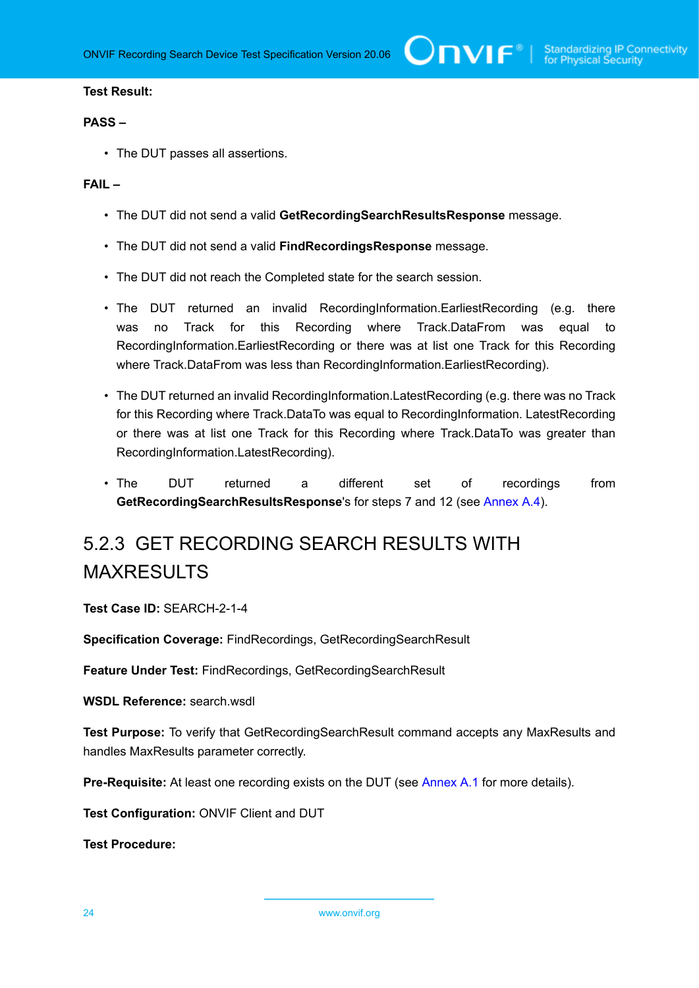$\bigcirc$  MVI  $\mathsf{F}^{\mathsf{e}}$  | Standardizing IP Connectivity

#### **Test Result:**

#### **PASS –**

• The DUT passes all assertions.

#### **FAIL –**

- The DUT did not send a valid **GetRecordingSearchResultsResponse** message.
- The DUT did not send a valid **FindRecordingsResponse** message.
- The DUT did not reach the Completed state for the search session.
- The DUT returned an invalid RecordingInformation.EarliestRecording (e.g. there was no Track for this Recording where Track.DataFrom was equal to RecordingInformation.EarliestRecording or there was at list one Track for this Recording where Track.DataFrom was less than RecordingInformation.EarliestRecording).
- The DUT returned an invalid RecordingInformation.LatestRecording (e.g. there was no Track for this Recording where Track.DataTo was equal to RecordingInformation. LatestRecording or there was at list one Track for this Recording where Track.DataTo was greater than RecordingInformation.LatestRecording).
- The DUT returned a different set of recordings from **GetRecordingSearchResultsResponse**'s for steps 7 and 12 (see [Annex A.4](#page-102-1)).

# <span id="page-23-0"></span>5.2.3 GET RECORDING SEARCH RESULTS WITH MAXRESULTS

**Test Case ID:** SEARCH-2-1-4

**Specification Coverage:** FindRecordings, GetRecordingSearchResult

**Feature Under Test:** FindRecordings, GetRecordingSearchResult

**WSDL Reference:** search.wsdl

**Test Purpose:** To verify that GetRecordingSearchResult command accepts any MaxResults and handles MaxResults parameter correctly.

**Pre-Requisite:** At least one recording exists on the DUT (see [Annex A.1](#page-101-1) for more details).

**Test Configuration:** ONVIF Client and DUT

**Test Procedure:**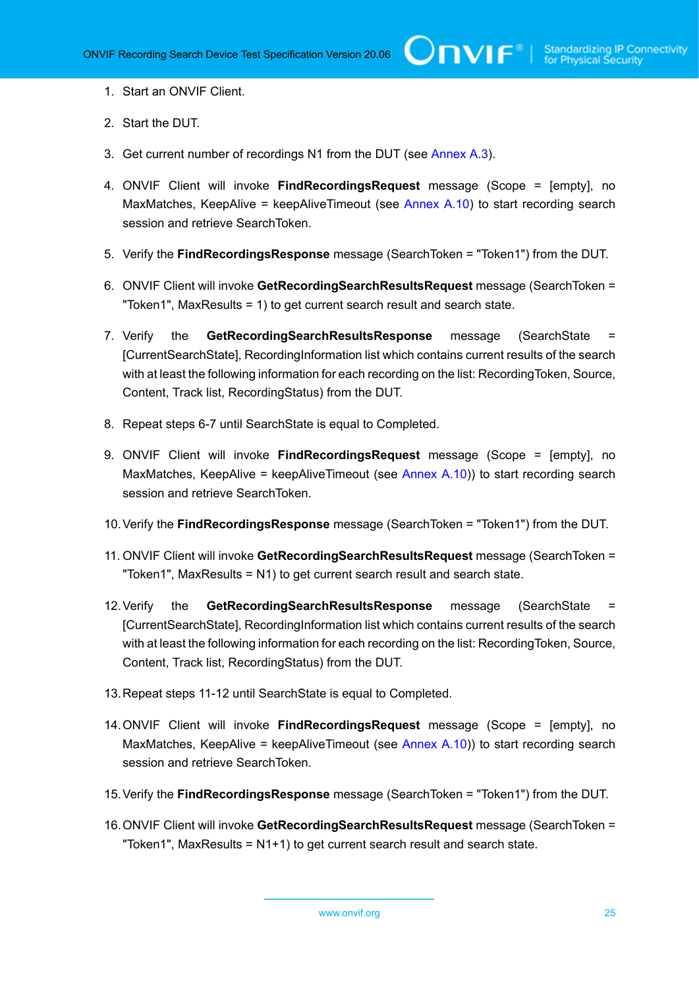- 1. Start an ONVIF Client.
- 2. Start the DUT.
- 3. Get current number of recordings N1 from the DUT (see [Annex A.3\)](#page-102-0).
- 4. ONVIF Client will invoke **FindRecordingsRequest** message (Scope = [empty], no MaxMatches, KeepAlive = keepAliveTimeout (see [Annex A.10\)](#page-108-0) to start recording search session and retrieve SearchToken.
- 5. Verify the **FindRecordingsResponse** message (SearchToken = "Token1") from the DUT.
- 6. ONVIF Client will invoke **GetRecordingSearchResultsRequest** message (SearchToken = "Token1", MaxResults = 1) to get current search result and search state.
- 7. Verify the **GetRecordingSearchResultsResponse** message (SearchState = [CurrentSearchState], RecordingInformation list which contains current results of the search with at least the following information for each recording on the list: RecordingToken, Source, Content, Track list, RecordingStatus) from the DUT.
- 8. Repeat steps 6-7 until SearchState is equal to Completed.
- 9. ONVIF Client will invoke **FindRecordingsRequest** message (Scope = [empty], no MaxMatches, KeepAlive = keepAliveTimeout (see [Annex A.10\)](#page-108-0)) to start recording search session and retrieve SearchToken.
- 10.Verify the **FindRecordingsResponse** message (SearchToken = "Token1") from the DUT.
- 11. ONVIF Client will invoke **GetRecordingSearchResultsRequest** message (SearchToken = "Token1", MaxResults = N1) to get current search result and search state.
- 12.Verify the **GetRecordingSearchResultsResponse** message (SearchState = [CurrentSearchState], RecordingInformation list which contains current results of the search with at least the following information for each recording on the list: RecordingToken, Source, Content, Track list, RecordingStatus) from the DUT.
- 13.Repeat steps 11-12 until SearchState is equal to Completed.
- 14.ONVIF Client will invoke **FindRecordingsRequest** message (Scope = [empty], no MaxMatches, KeepAlive = keepAliveTimeout (see [Annex A.10\)](#page-108-0)) to start recording search session and retrieve SearchToken.
- 15.Verify the **FindRecordingsResponse** message (SearchToken = "Token1") from the DUT.
- 16.ONVIF Client will invoke **GetRecordingSearchResultsRequest** message (SearchToken = "Token1", MaxResults = N1+1) to get current search result and search state.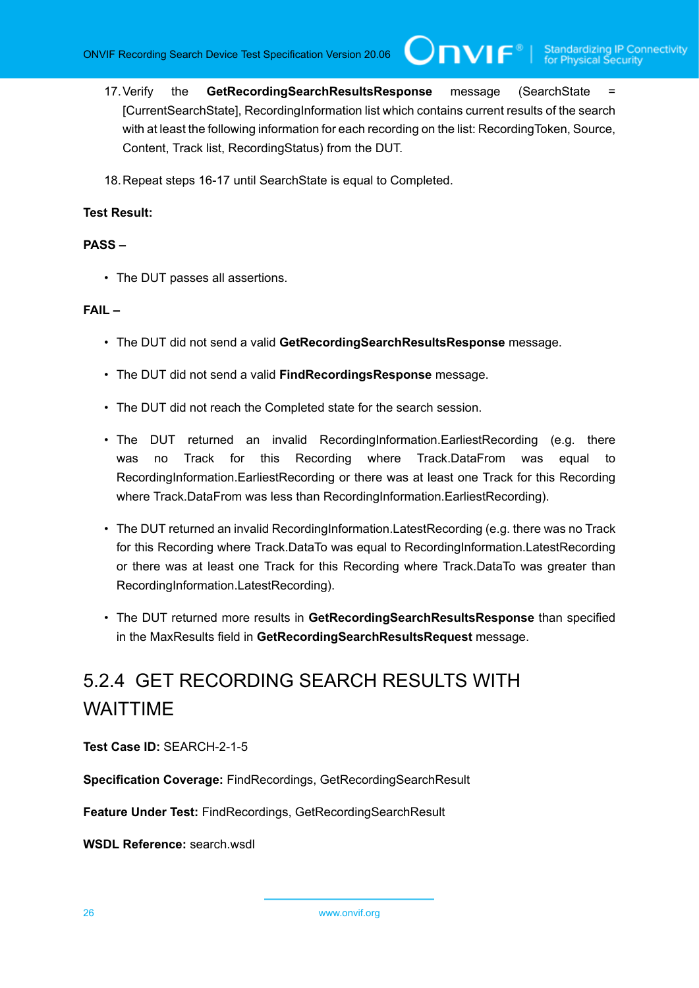$\mathbf{V}$ 

- 17.Verify the **GetRecordingSearchResultsResponse** message (SearchState = [CurrentSearchState], RecordingInformation list which contains current results of the search with at least the following information for each recording on the list: RecordingToken, Source, Content, Track list, RecordingStatus) from the DUT.
- 18.Repeat steps 16-17 until SearchState is equal to Completed.

#### **Test Result:**

#### **PASS –**

• The DUT passes all assertions.

#### **FAIL –**

- The DUT did not send a valid **GetRecordingSearchResultsResponse** message.
- The DUT did not send a valid **FindRecordingsResponse** message.
- The DUT did not reach the Completed state for the search session.
- The DUT returned an invalid RecordingInformation.EarliestRecording (e.g. there was no Track for this Recording where Track.DataFrom was equal to RecordingInformation.EarliestRecording or there was at least one Track for this Recording where Track.DataFrom was less than RecordingInformation.EarliestRecording).
- The DUT returned an invalid RecordingInformation.LatestRecording (e.g. there was no Track for this Recording where Track.DataTo was equal to RecordingInformation.LatestRecording or there was at least one Track for this Recording where Track.DataTo was greater than RecordingInformation.LatestRecording).
- The DUT returned more results in **GetRecordingSearchResultsResponse** than specified in the MaxResults field in **GetRecordingSearchResultsRequest** message.

# <span id="page-25-0"></span>5.2.4 GET RECORDING SEARCH RESULTS WITH WAITTIME

**Test Case ID:** SEARCH-2-1-5

**Specification Coverage:** FindRecordings, GetRecordingSearchResult

**Feature Under Test:** FindRecordings, GetRecordingSearchResult

**WSDL Reference:** search.wsdl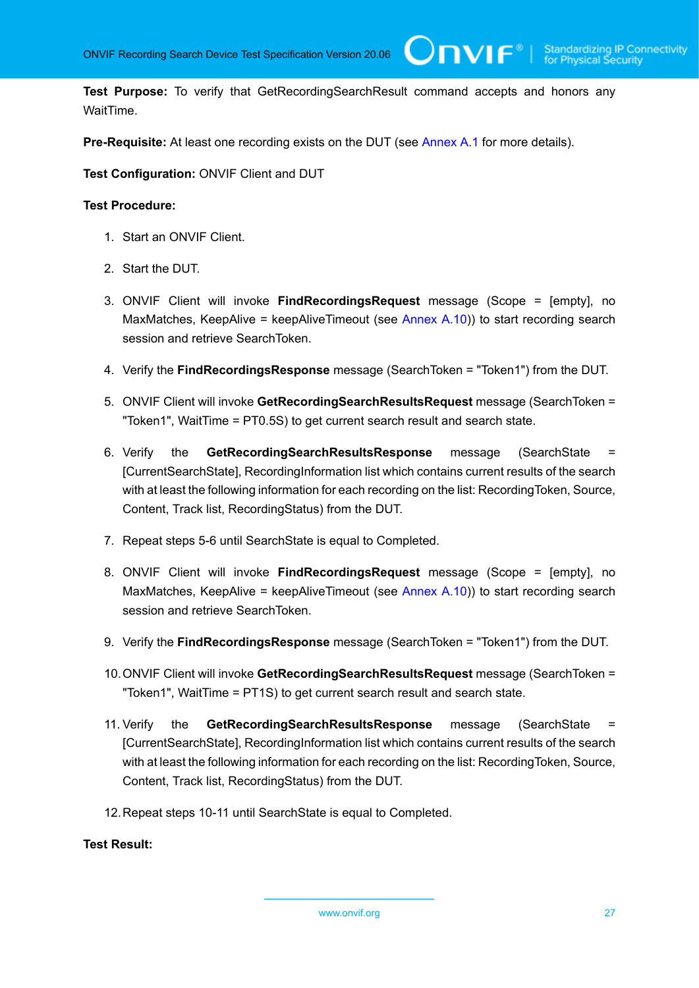**Test Purpose:** To verify that GetRecordingSearchResult command accepts and honors any WaitTime.

 $\bigcup$ NVIF $^\circ$ l

**Pre-Requisite:** At least one recording exists on the DUT (see [Annex A.1](#page-101-1) for more details).

**Test Configuration:** ONVIF Client and DUT

#### **Test Procedure:**

- 1. Start an ONVIF Client.
- 2. Start the DUT.
- 3. ONVIF Client will invoke **FindRecordingsRequest** message (Scope = [empty], no MaxMatches, KeepAlive = keepAliveTimeout (see [Annex A.10\)](#page-108-0)) to start recording search session and retrieve SearchToken.
- 4. Verify the **FindRecordingsResponse** message (SearchToken = "Token1") from the DUT.
- 5. ONVIF Client will invoke **GetRecordingSearchResultsRequest** message (SearchToken = "Token1", WaitTime = PT0.5S) to get current search result and search state.
- 6. Verify the **GetRecordingSearchResultsResponse** message (SearchState = [CurrentSearchState], RecordingInformation list which contains current results of the search with at least the following information for each recording on the list: RecordingToken, Source, Content, Track list, RecordingStatus) from the DUT.
- 7. Repeat steps 5-6 until SearchState is equal to Completed.
- 8. ONVIF Client will invoke **FindRecordingsRequest** message (Scope = [empty], no MaxMatches, KeepAlive = keepAliveTimeout (see [Annex A.10\)](#page-108-0)) to start recording search session and retrieve SearchToken.
- 9. Verify the **FindRecordingsResponse** message (SearchToken = "Token1") from the DUT.
- 10.ONVIF Client will invoke **GetRecordingSearchResultsRequest** message (SearchToken = "Token1", WaitTime = PT1S) to get current search result and search state.
- 11. Verify the **GetRecordingSearchResultsResponse** message (SearchState = [CurrentSearchState], RecordingInformation list which contains current results of the search with at least the following information for each recording on the list: RecordingToken, Source, Content, Track list, RecordingStatus) from the DUT.
- 12.Repeat steps 10-11 until SearchState is equal to Completed.

#### **Test Result:**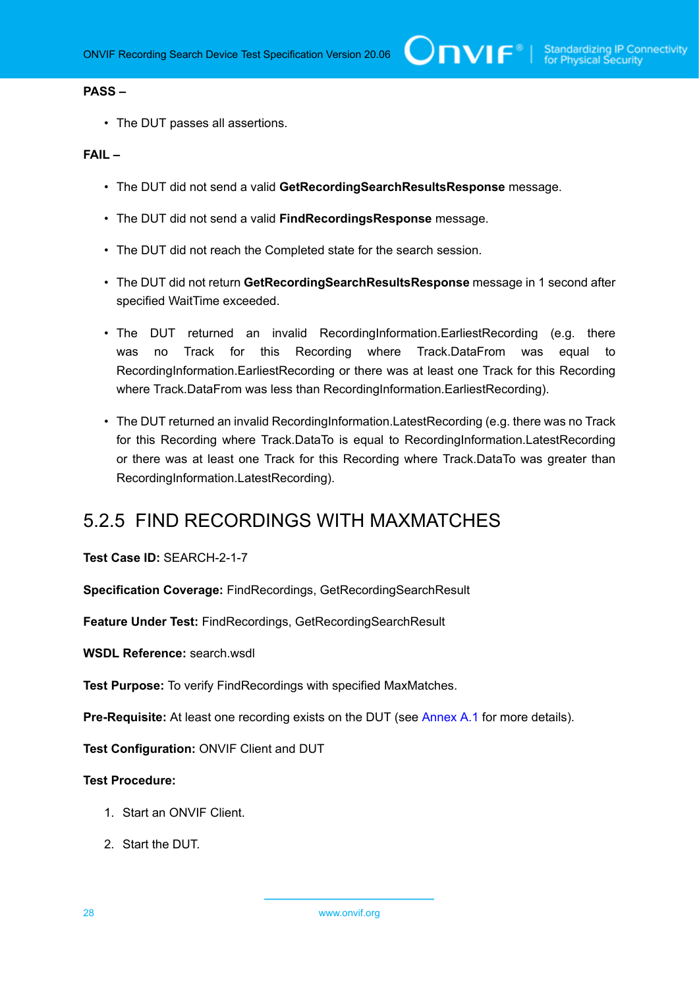#### **PASS –**

• The DUT passes all assertions.

#### **FAIL –**

- The DUT did not send a valid **GetRecordingSearchResultsResponse** message.
- The DUT did not send a valid **FindRecordingsResponse** message.
- The DUT did not reach the Completed state for the search session.
- The DUT did not return **GetRecordingSearchResultsResponse** message in 1 second after specified WaitTime exceeded.
- The DUT returned an invalid RecordingInformation.EarliestRecording (e.g. there was no Track for this Recording where Track.DataFrom was equal to RecordingInformation.EarliestRecording or there was at least one Track for this Recording where Track.DataFrom was less than RecordingInformation.EarliestRecording).
- The DUT returned an invalid RecordingInformation.LatestRecording (e.g. there was no Track for this Recording where Track.DataTo is equal to RecordingInformation.LatestRecording or there was at least one Track for this Recording where Track.DataTo was greater than RecordingInformation.LatestRecording).

## <span id="page-27-0"></span>5.2.5 FIND RECORDINGS WITH MAXMATCHES

**Test Case ID:** SEARCH-2-1-7

**Specification Coverage:** FindRecordings, GetRecordingSearchResult

**Feature Under Test:** FindRecordings, GetRecordingSearchResult

**WSDL Reference:** search.wsdl

**Test Purpose:** To verify FindRecordings with specified MaxMatches.

**Pre-Requisite:** At least one recording exists on the DUT (see [Annex A.1](#page-101-1) for more details).

**Test Configuration:** ONVIF Client and DUT

#### **Test Procedure:**

- 1. Start an ONVIF Client.
- 2. Start the DUT.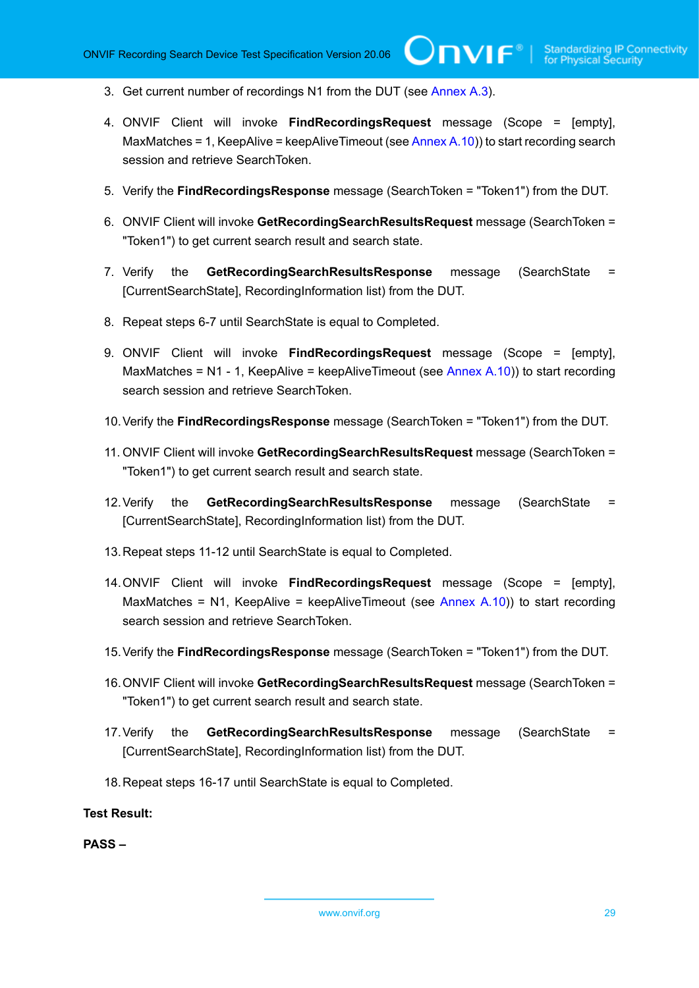- 3. Get current number of recordings N1 from the DUT (see [Annex A.3\)](#page-102-0).
- 4. ONVIF Client will invoke **FindRecordingsRequest** message (Scope = [empty], MaxMatches = 1, KeepAlive = keepAliveTimeout (see [Annex A.10](#page-108-0))) to start recording search session and retrieve SearchToken.
- 5. Verify the **FindRecordingsResponse** message (SearchToken = "Token1") from the DUT.
- 6. ONVIF Client will invoke **GetRecordingSearchResultsRequest** message (SearchToken = "Token1") to get current search result and search state.
- 7. Verify the **GetRecordingSearchResultsResponse** message (SearchState = [CurrentSearchState], RecordingInformation list) from the DUT.
- 8. Repeat steps 6-7 until SearchState is equal to Completed.
- 9. ONVIF Client will invoke **FindRecordingsRequest** message (Scope = [empty], MaxMatches =  $N1 - 1$ . KeepAlive = keepAliveTimeout (see [Annex A.10](#page-108-0))) to start recording search session and retrieve SearchToken.
- 10.Verify the **FindRecordingsResponse** message (SearchToken = "Token1") from the DUT.
- 11. ONVIF Client will invoke **GetRecordingSearchResultsRequest** message (SearchToken = "Token1") to get current search result and search state.
- 12.Verify the **GetRecordingSearchResultsResponse** message (SearchState = [CurrentSearchState], RecordingInformation list) from the DUT.
- 13.Repeat steps 11-12 until SearchState is equal to Completed.
- 14.ONVIF Client will invoke **FindRecordingsRequest** message (Scope = [empty], MaxMatches = N1, KeepAlive = keepAliveTimeout (see Annex  $A(10)$ ) to start recording search session and retrieve SearchToken.
- 15.Verify the **FindRecordingsResponse** message (SearchToken = "Token1") from the DUT.
- 16.ONVIF Client will invoke **GetRecordingSearchResultsRequest** message (SearchToken = "Token1") to get current search result and search state.
- 17.Verify the **GetRecordingSearchResultsResponse** message (SearchState = [CurrentSearchState], RecordingInformation list) from the DUT.
- 18.Repeat steps 16-17 until SearchState is equal to Completed.

**Test Result:**

**PASS –**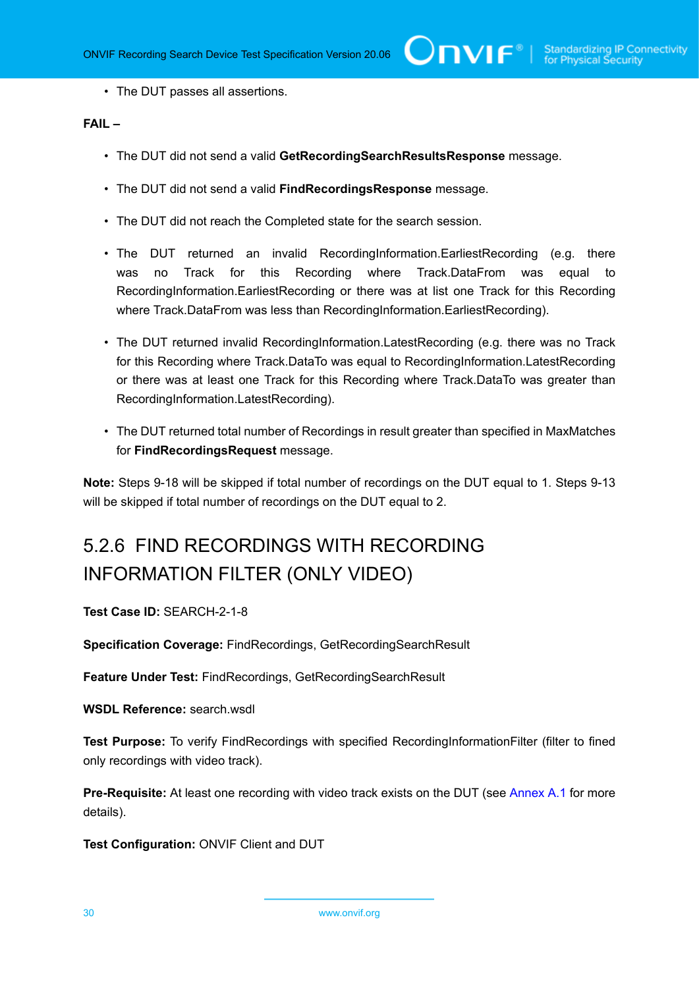• The DUT passes all assertions.

#### **FAIL –**

- The DUT did not send a valid **GetRecordingSearchResultsResponse** message.
- The DUT did not send a valid **FindRecordingsResponse** message.
- The DUT did not reach the Completed state for the search session.
- The DUT returned an invalid RecordingInformation.EarliestRecording (e.g. there was no Track for this Recording where Track.DataFrom was equal to RecordingInformation.EarliestRecording or there was at list one Track for this Recording where Track.DataFrom was less than RecordingInformation.EarliestRecording).
- The DUT returned invalid RecordingInformation.LatestRecording (e.g. there was no Track for this Recording where Track.DataTo was equal to RecordingInformation.LatestRecording or there was at least one Track for this Recording where Track.DataTo was greater than RecordingInformation.LatestRecording).
- The DUT returned total number of Recordings in result greater than specified in MaxMatches for **FindRecordingsRequest** message.

**Note:** Steps 9-18 will be skipped if total number of recordings on the DUT equal to 1. Steps 9-13 will be skipped if total number of recordings on the DUT equal to 2.

# <span id="page-29-0"></span>5.2.6 FIND RECORDINGS WITH RECORDING INFORMATION FILTER (ONLY VIDEO)

**Test Case ID:** SEARCH-2-1-8

**Specification Coverage:** FindRecordings, GetRecordingSearchResult

**Feature Under Test:** FindRecordings, GetRecordingSearchResult

WSDL Reference: search wsdl

**Test Purpose:** To verify FindRecordings with specified RecordingInformationFilter (filter to fined only recordings with video track).

**Pre-Requisite:** At least one recording with video track exists on the DUT (see [Annex A.1](#page-101-1) for more details).

**Test Configuration:** ONVIF Client and DUT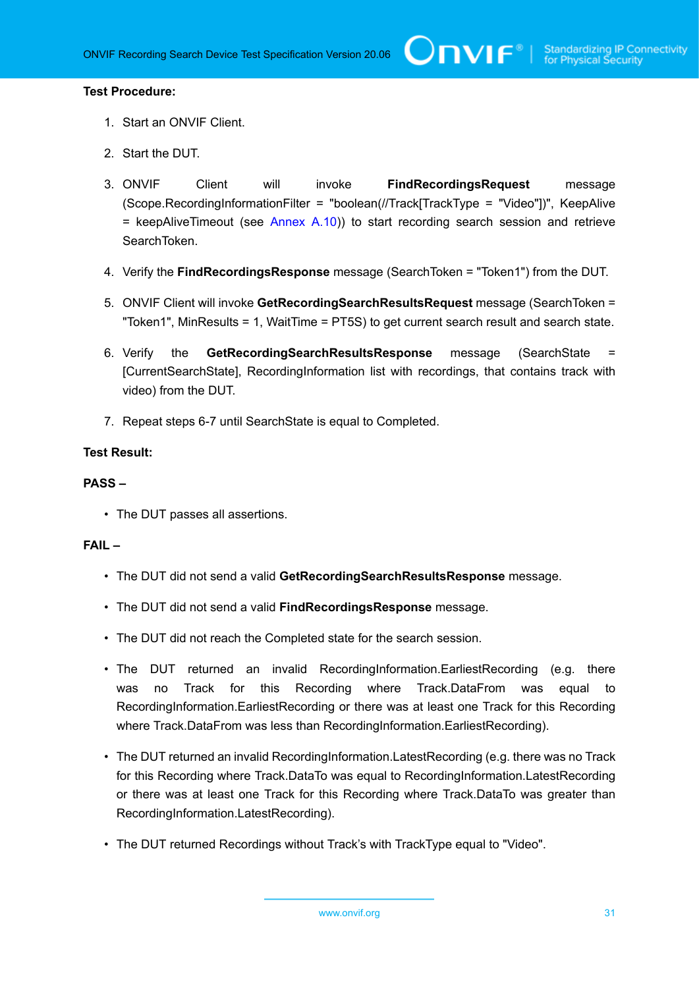#### **Test Procedure:**

- 1. Start an ONVIF Client.
- 2. Start the DUT.
- 3. ONVIF Client will invoke **FindRecordingsRequest** message (Scope.RecordingInformationFilter = "boolean(//Track[TrackType = "Video"])", KeepAlive  $=$  keepAliveTimeout (see [Annex A.10](#page-108-0))) to start recording search session and retrieve SearchToken.
- 4. Verify the **FindRecordingsResponse** message (SearchToken = "Token1") from the DUT.
- 5. ONVIF Client will invoke **GetRecordingSearchResultsRequest** message (SearchToken = "Token1", MinResults = 1, WaitTime = PT5S) to get current search result and search state.
- 6. Verify the **GetRecordingSearchResultsResponse** message (SearchState = [CurrentSearchState], RecordingInformation list with recordings, that contains track with video) from the DUT.
- 7. Repeat steps 6-7 until SearchState is equal to Completed.

#### **Test Result:**

#### **PASS –**

• The DUT passes all assertions.

#### **FAIL –**

- The DUT did not send a valid **GetRecordingSearchResultsResponse** message.
- The DUT did not send a valid **FindRecordingsResponse** message.
- The DUT did not reach the Completed state for the search session.
- The DUT returned an invalid RecordingInformation.EarliestRecording (e.g. there was no Track for this Recording where Track.DataFrom was equal to RecordingInformation.EarliestRecording or there was at least one Track for this Recording where Track.DataFrom was less than RecordingInformation.EarliestRecording).
- The DUT returned an invalid RecordingInformation.LatestRecording (e.g. there was no Track for this Recording where Track.DataTo was equal to RecordingInformation.LatestRecording or there was at least one Track for this Recording where Track.DataTo was greater than RecordingInformation.LatestRecording).
- The DUT returned Recordings without Track's with TrackType equal to "Video".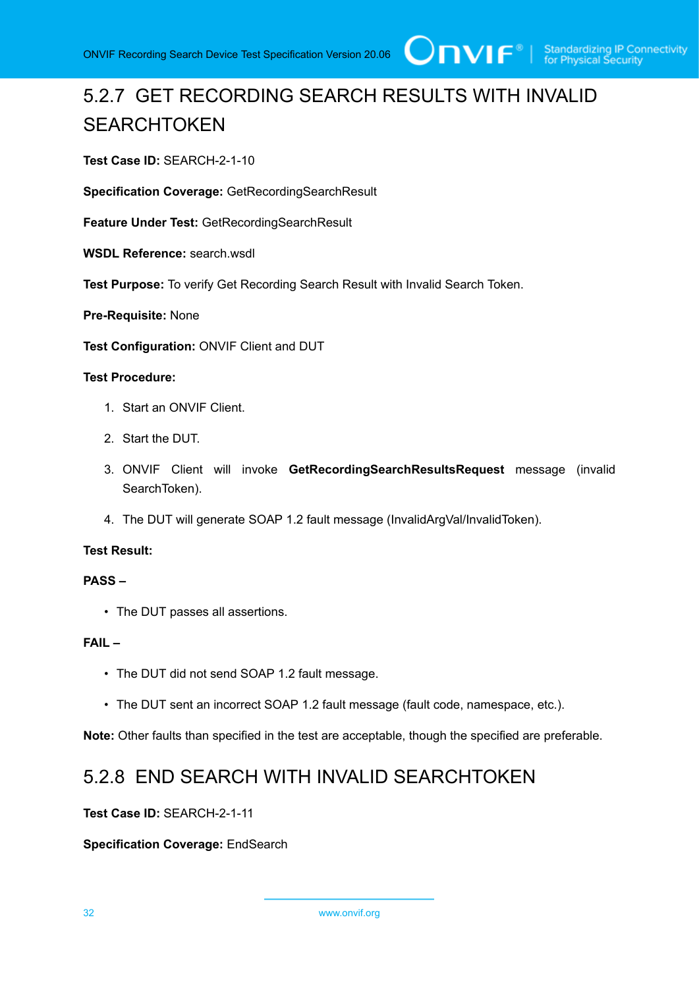

# <span id="page-31-0"></span>5.2.7 GET RECORDING SEARCH RESULTS WITH INVALID **SEARCHTOKEN**

**Test Case ID:** SEARCH-2-1-10

**Specification Coverage:** GetRecordingSearchResult

**Feature Under Test:** GetRecordingSearchResult

**WSDL Reference:** search.wsdl

**Test Purpose:** To verify Get Recording Search Result with Invalid Search Token.

**Pre-Requisite:** None

**Test Configuration:** ONVIF Client and DUT

#### **Test Procedure:**

- 1. Start an ONVIF Client.
- 2. Start the DUT.
- 3. ONVIF Client will invoke **GetRecordingSearchResultsRequest** message (invalid SearchToken).
- 4. The DUT will generate SOAP 1.2 fault message (InvalidArgVal/InvalidToken).

#### **Test Result:**

#### **PASS –**

• The DUT passes all assertions.

#### **FAIL –**

- The DUT did not send SOAP 1.2 fault message.
- The DUT sent an incorrect SOAP 1.2 fault message (fault code, namespace, etc.).

<span id="page-31-1"></span>**Note:** Other faults than specified in the test are acceptable, though the specified are preferable.

## 5.2.8 END SEARCH WITH INVALID SEARCHTOKEN

#### **Test Case ID:** SEARCH-2-1-11

#### **Specification Coverage:** EndSearch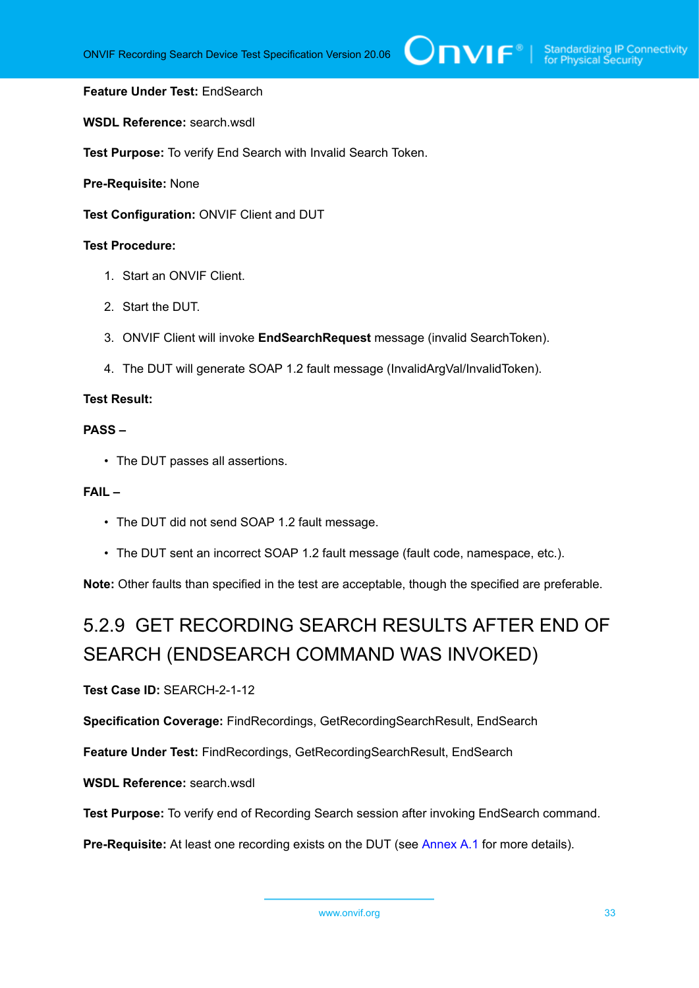#### **Feature Under Test:** EndSearch

**WSDL Reference:** search.wsdl

**Test Purpose:** To verify End Search with Invalid Search Token.

**Pre-Requisite:** None

**Test Configuration:** ONVIF Client and DUT

#### **Test Procedure:**

- 1. Start an ONVIF Client.
- 2. Start the DUT.
- 3. ONVIF Client will invoke **EndSearchRequest** message (invalid SearchToken).
- 4. The DUT will generate SOAP 1.2 fault message (InvalidArgVal/InvalidToken).

#### **Test Result:**

#### **PASS –**

• The DUT passes all assertions.

#### **FAIL –**

- The DUT did not send SOAP 1.2 fault message.
- The DUT sent an incorrect SOAP 1.2 fault message (fault code, namespace, etc.).

<span id="page-32-0"></span>**Note:** Other faults than specified in the test are acceptable, though the specified are preferable.

# 5.2.9 GET RECORDING SEARCH RESULTS AFTER END OF SEARCH (ENDSEARCH COMMAND WAS INVOKED)

**Test Case ID:** SEARCH-2-1-12

**Specification Coverage:** FindRecordings, GetRecordingSearchResult, EndSearch

**Feature Under Test:** FindRecordings, GetRecordingSearchResult, EndSearch

**WSDL Reference:** search.wsdl

**Test Purpose:** To verify end of Recording Search session after invoking EndSearch command.

**Pre-Requisite:** At least one recording exists on the DUT (see [Annex A.1](#page-101-1) for more details).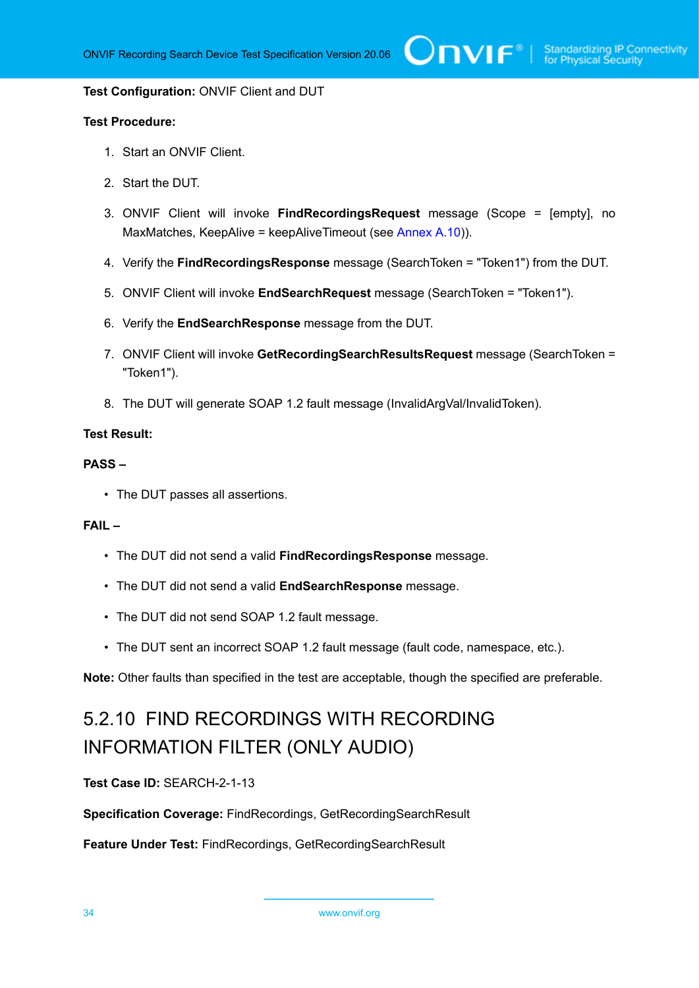#### **Test Configuration:** ONVIF Client and DUT

#### **Test Procedure:**

- 1. Start an ONVIF Client.
- 2. Start the DUT.
- 3. ONVIF Client will invoke **FindRecordingsRequest** message (Scope = [empty], no MaxMatches, KeepAlive = keepAliveTimeout (see [Annex A.10](#page-108-0))).
- 4. Verify the **FindRecordingsResponse** message (SearchToken = "Token1") from the DUT.
- 5. ONVIF Client will invoke **EndSearchRequest** message (SearchToken = "Token1").
- 6. Verify the **EndSearchResponse** message from the DUT.
- 7. ONVIF Client will invoke **GetRecordingSearchResultsRequest** message (SearchToken = "Token1").
- 8. The DUT will generate SOAP 1.2 fault message (InvalidArgVal/InvalidToken).

#### **Test Result:**

#### **PASS –**

• The DUT passes all assertions.

#### **FAIL –**

- The DUT did not send a valid **FindRecordingsResponse** message.
- The DUT did not send a valid **EndSearchResponse** message.
- The DUT did not send SOAP 1.2 fault message.
- The DUT sent an incorrect SOAP 1.2 fault message (fault code, namespace, etc.).

<span id="page-33-0"></span>**Note:** Other faults than specified in the test are acceptable, though the specified are preferable.

# 5.2.10 FIND RECORDINGS WITH RECORDING INFORMATION FILTER (ONLY AUDIO)

#### **Test Case ID:** SEARCH-2-1-13

**Specification Coverage:** FindRecordings, GetRecordingSearchResult

**Feature Under Test:** FindRecordings, GetRecordingSearchResult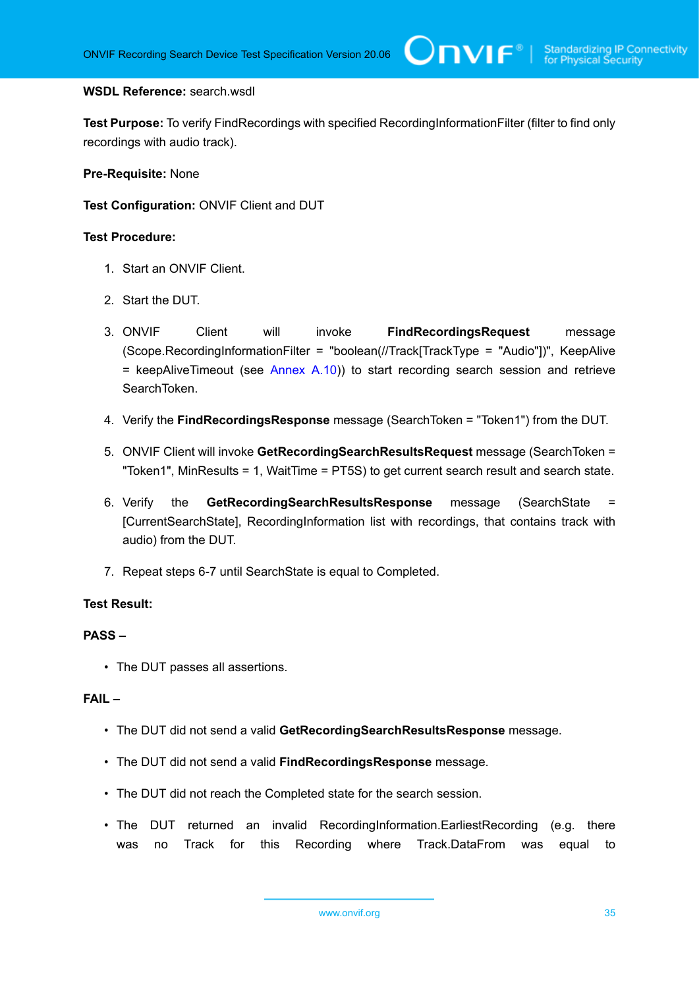#### **WSDL Reference:** search.wsdl

**Test Purpose:** To verify FindRecordings with specified RecordingInformationFilter (filter to find only recordings with audio track).

**Pre-Requisite:** None

**Test Configuration:** ONVIF Client and DUT

#### **Test Procedure:**

- 1. Start an ONVIF Client.
- 2. Start the DUT.
- 3. ONVIF Client will invoke **FindRecordingsRequest** message (Scope.RecordingInformationFilter = "boolean(//Track[TrackType = "Audio"])", KeepAlive  $=$  keepAliveTimeout (see [Annex A.10](#page-108-0))) to start recording search session and retrieve SearchToken.
- 4. Verify the **FindRecordingsResponse** message (SearchToken = "Token1") from the DUT.
- 5. ONVIF Client will invoke **GetRecordingSearchResultsRequest** message (SearchToken = "Token1", MinResults = 1, WaitTime = PT5S) to get current search result and search state.
- 6. Verify the **GetRecordingSearchResultsResponse** message (SearchState = [CurrentSearchState], RecordingInformation list with recordings, that contains track with audio) from the DUT.
- 7. Repeat steps 6-7 until SearchState is equal to Completed.

#### **Test Result:**

#### **PASS –**

• The DUT passes all assertions.

#### **FAIL –**

- The DUT did not send a valid **GetRecordingSearchResultsResponse** message.
- The DUT did not send a valid **FindRecordingsResponse** message.
- The DUT did not reach the Completed state for the search session.
- The DUT returned an invalid RecordingInformation.EarliestRecording (e.g. there was no Track for this Recording where Track.DataFrom was equal to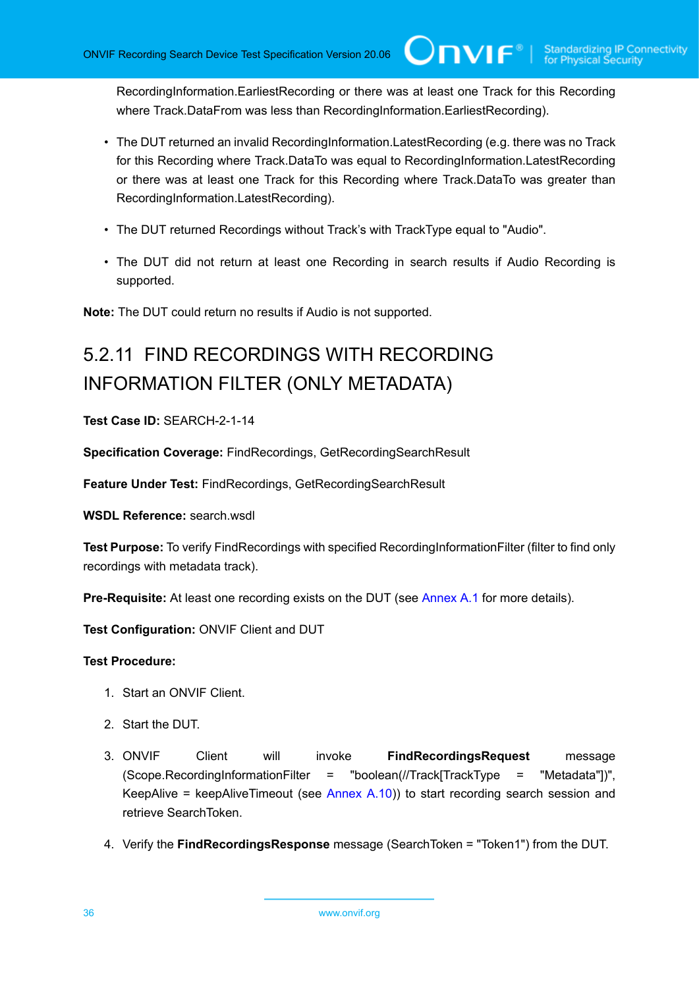RecordingInformation.EarliestRecording or there was at least one Track for this Recording where Track.DataFrom was less than RecordingInformation.EarliestRecording).

 $\mathsf{ConvIF}^{\ast}$ l

- The DUT returned an invalid RecordingInformation.LatestRecording (e.g. there was no Track for this Recording where Track.DataTo was equal to RecordingInformation.LatestRecording or there was at least one Track for this Recording where Track.DataTo was greater than RecordingInformation.LatestRecording).
- The DUT returned Recordings without Track's with TrackType equal to "Audio".
- The DUT did not return at least one Recording in search results if Audio Recording is supported.

<span id="page-35-0"></span>**Note:** The DUT could return no results if Audio is not supported.

# 5.2.11 FIND RECORDINGS WITH RECORDING INFORMATION FILTER (ONLY METADATA)

**Test Case ID:** SEARCH-2-1-14

**Specification Coverage:** FindRecordings, GetRecordingSearchResult

**Feature Under Test:** FindRecordings, GetRecordingSearchResult

**WSDL Reference:** search.wsdl

**Test Purpose:** To verify FindRecordings with specified RecordingInformationFilter (filter to find only recordings with metadata track).

**Pre-Requisite:** At least one recording exists on the DUT (see [Annex A.1](#page-101-1) for more details).

**Test Configuration:** ONVIF Client and DUT

#### **Test Procedure:**

- 1. Start an ONVIF Client.
- 2. Start the DUT.
- 3. ONVIF Client will invoke **FindRecordingsRequest** message (Scope.RecordingInformationFilter = "boolean(//Track[TrackType = "Metadata"])", KeepAlive = keepAliveTimeout (see [Annex A.10](#page-108-0))) to start recording search session and retrieve SearchToken.
- 4. Verify the **FindRecordingsResponse** message (SearchToken = "Token1") from the DUT.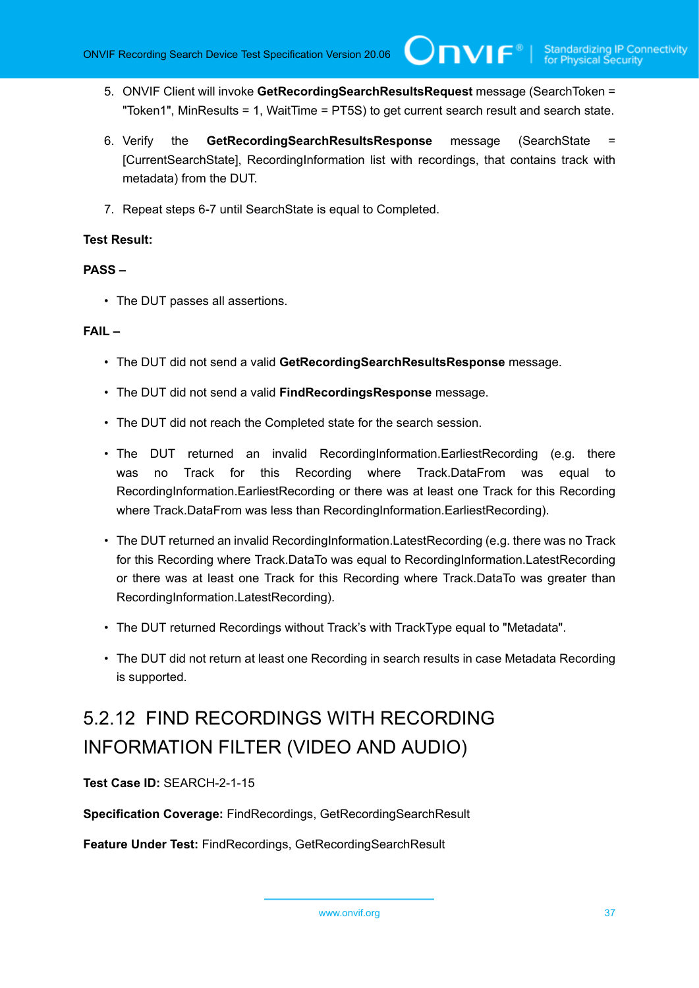5. ONVIF Client will invoke **GetRecordingSearchResultsRequest** message (SearchToken = "Token1", MinResults = 1, WaitTime = PT5S) to get current search result and search state.

 $\mathsf{Cnv}$ ı $\mathsf{F}^\ast$ l

- 6. Verify the **GetRecordingSearchResultsResponse** message (SearchState = [CurrentSearchState], RecordingInformation list with recordings, that contains track with metadata) from the DUT.
- 7. Repeat steps 6-7 until SearchState is equal to Completed.

# **Test Result:**

#### **PASS –**

• The DUT passes all assertions.

#### **FAIL –**

- The DUT did not send a valid **GetRecordingSearchResultsResponse** message.
- The DUT did not send a valid **FindRecordingsResponse** message.
- The DUT did not reach the Completed state for the search session.
- The DUT returned an invalid RecordingInformation.EarliestRecording (e.g. there was no Track for this Recording where Track.DataFrom was equal to RecordingInformation.EarliestRecording or there was at least one Track for this Recording where Track.DataFrom was less than RecordingInformation.EarliestRecording).
- The DUT returned an invalid RecordingInformation.LatestRecording (e.g. there was no Track for this Recording where Track.DataTo was equal to RecordingInformation.LatestRecording or there was at least one Track for this Recording where Track.DataTo was greater than RecordingInformation.LatestRecording).
- The DUT returned Recordings without Track's with TrackType equal to "Metadata".
- The DUT did not return at least one Recording in search results in case Metadata Recording is supported.

# 5.2.12 FIND RECORDINGS WITH RECORDING INFORMATION FILTER (VIDEO AND AUDIO)

**Test Case ID:** SEARCH-2-1-15

**Specification Coverage:** FindRecordings, GetRecordingSearchResult

**Feature Under Test:** FindRecordings, GetRecordingSearchResult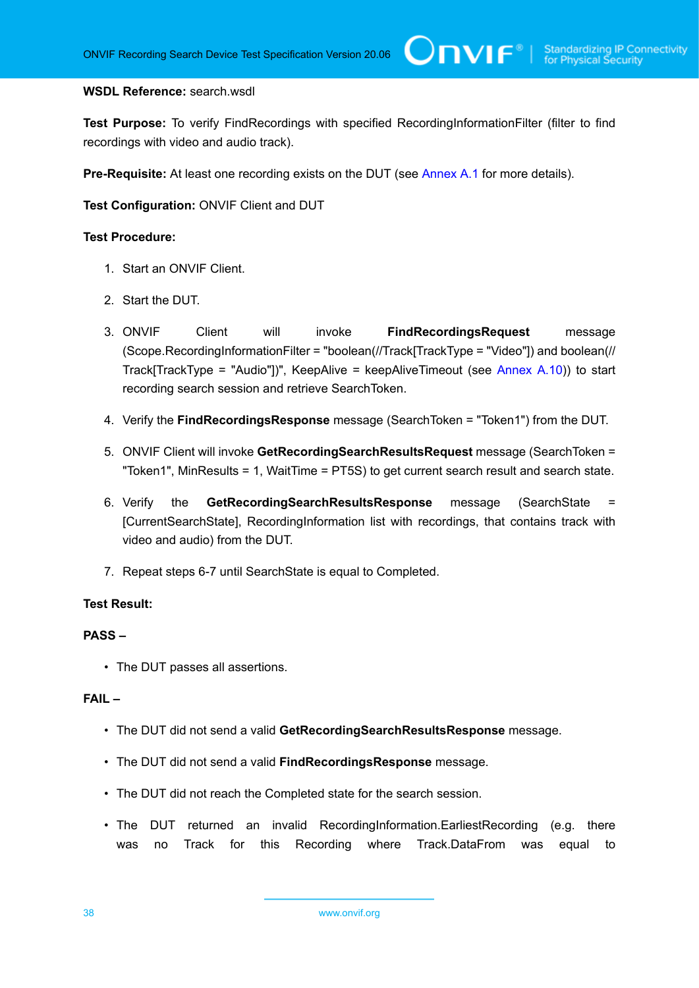#### **WSDL Reference:** search.wsdl

**Test Purpose:** To verify FindRecordings with specified RecordingInformationFilter (filter to find recordings with video and audio track).

 $\mathsf{Cnv}$ ı $\mathsf{F}^\ast$ l

**Pre-Requisite:** At least one recording exists on the DUT (see [Annex A.1](#page-101-0) for more details).

**Test Configuration:** ONVIF Client and DUT

#### **Test Procedure:**

- 1. Start an ONVIF Client.
- 2. Start the DUT.
- 3. ONVIF Client will invoke **FindRecordingsRequest** message (Scope.RecordingInformationFilter = "boolean(//Track[TrackType = "Video"]) and boolean(// Track[TrackType = "Audio"])", KeepAlive = keepAliveTimeout (see [Annex A.10](#page-108-0))) to start recording search session and retrieve SearchToken.
- 4. Verify the **FindRecordingsResponse** message (SearchToken = "Token1") from the DUT.
- 5. ONVIF Client will invoke **GetRecordingSearchResultsRequest** message (SearchToken = "Token1", MinResults = 1, WaitTime = PT5S) to get current search result and search state.
- 6. Verify the **GetRecordingSearchResultsResponse** message (SearchState = [CurrentSearchState], RecordingInformation list with recordings, that contains track with video and audio) from the DUT.
- 7. Repeat steps 6-7 until SearchState is equal to Completed.

# **Test Result:**

#### **PASS –**

• The DUT passes all assertions.

- The DUT did not send a valid **GetRecordingSearchResultsResponse** message.
- The DUT did not send a valid **FindRecordingsResponse** message.
- The DUT did not reach the Completed state for the search session.
- The DUT returned an invalid RecordingInformation.EarliestRecording (e.g. there was no Track for this Recording where Track.DataFrom was equal to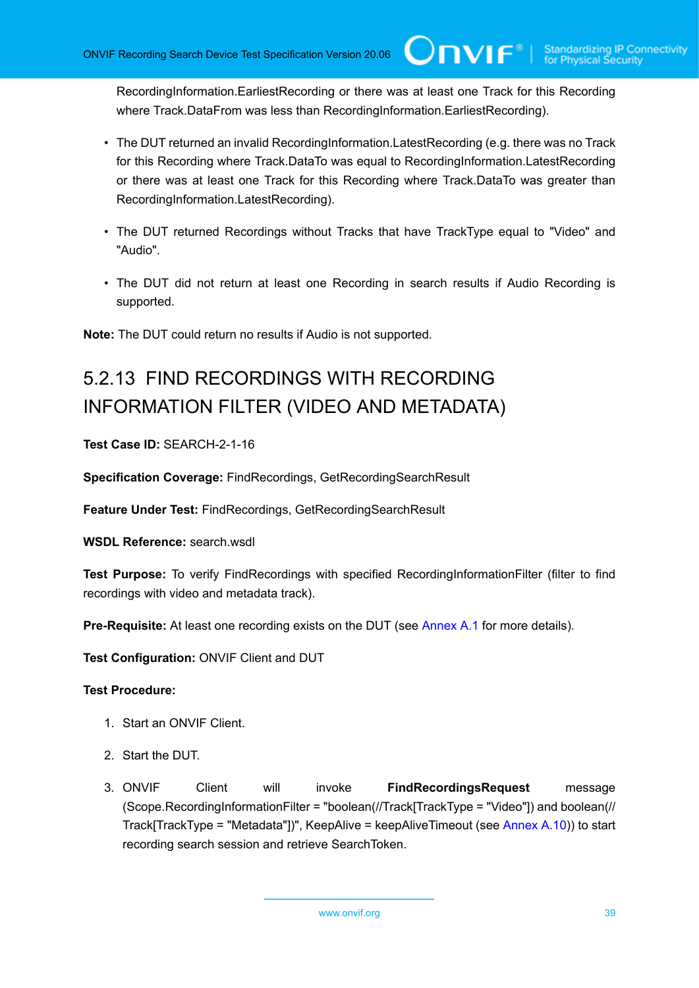RecordingInformation.EarliestRecording or there was at least one Track for this Recording where Track.DataFrom was less than RecordingInformation.EarliestRecording).

 $\mathsf{ConvIF}^{\ast}$  i

- The DUT returned an invalid RecordingInformation.LatestRecording (e.g. there was no Track for this Recording where Track.DataTo was equal to RecordingInformation.LatestRecording or there was at least one Track for this Recording where Track.DataTo was greater than RecordingInformation.LatestRecording).
- The DUT returned Recordings without Tracks that have TrackType equal to "Video" and "Audio".
- The DUT did not return at least one Recording in search results if Audio Recording is supported.

**Note:** The DUT could return no results if Audio is not supported.

# 5.2.13 FIND RECORDINGS WITH RECORDING INFORMATION FILTER (VIDEO AND METADATA)

**Test Case ID:** SEARCH-2-1-16

**Specification Coverage:** FindRecordings, GetRecordingSearchResult

**Feature Under Test:** FindRecordings, GetRecordingSearchResult

**WSDL Reference:** search.wsdl

**Test Purpose:** To verify FindRecordings with specified RecordingInformationFilter (filter to find recordings with video and metadata track).

**Pre-Requisite:** At least one recording exists on the DUT (see [Annex A.1](#page-101-0) for more details).

**Test Configuration:** ONVIF Client and DUT

- 1. Start an ONVIF Client.
- 2. Start the DUT.
- 3. ONVIF Client will invoke **FindRecordingsRequest** message (Scope.RecordingInformationFilter = "boolean(//Track[TrackType = "Video"]) and boolean(// Track[TrackType = "Metadata"])", KeepAlive = keepAliveTimeout (see Annex  $A.10$ )) to start recording search session and retrieve SearchToken.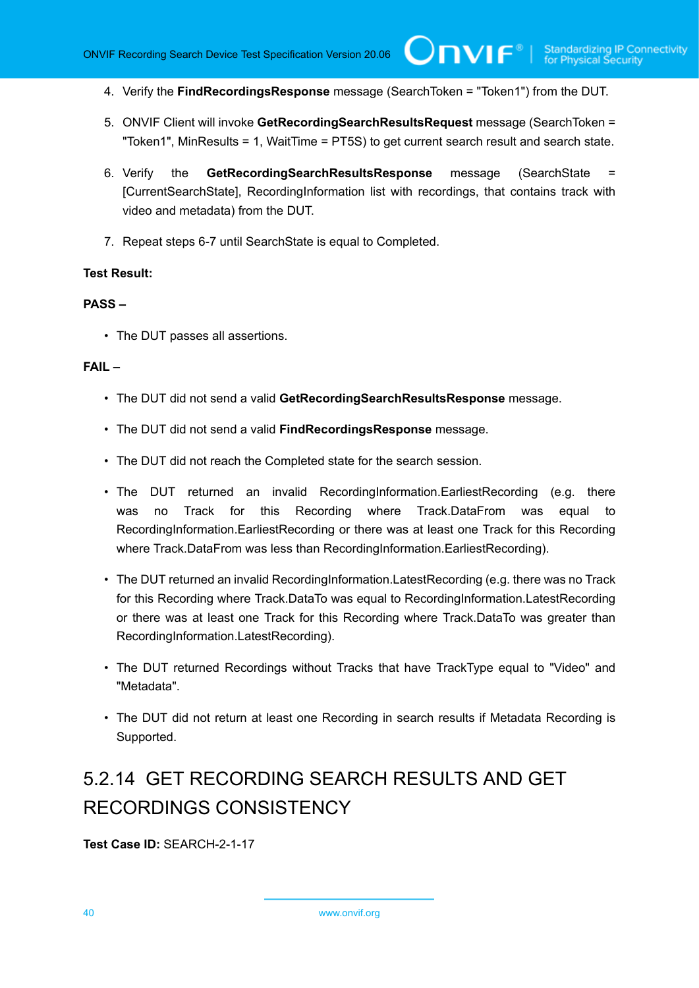4. Verify the **FindRecordingsResponse** message (SearchToken = "Token1") from the DUT.

 $\mathsf{Cnv}$ ı $\mathsf{F}^\ast$ l

- 5. ONVIF Client will invoke **GetRecordingSearchResultsRequest** message (SearchToken = "Token1", MinResults = 1, WaitTime = PT5S) to get current search result and search state.
- 6. Verify the **GetRecordingSearchResultsResponse** message (SearchState [CurrentSearchState], RecordingInformation list with recordings, that contains track with video and metadata) from the DUT.
- 7. Repeat steps 6-7 until SearchState is equal to Completed.

#### **Test Result:**

### **PASS –**

• The DUT passes all assertions.

#### **FAIL –**

- The DUT did not send a valid **GetRecordingSearchResultsResponse** message.
- The DUT did not send a valid **FindRecordingsResponse** message.
- The DUT did not reach the Completed state for the search session.
- The DUT returned an invalid RecordingInformation.EarliestRecording (e.g. there was no Track for this Recording where Track.DataFrom was equal to RecordingInformation.EarliestRecording or there was at least one Track for this Recording where Track.DataFrom was less than RecordingInformation.EarliestRecording).
- The DUT returned an invalid RecordingInformation.LatestRecording (e.g. there was no Track for this Recording where Track.DataTo was equal to RecordingInformation.LatestRecording or there was at least one Track for this Recording where Track.DataTo was greater than RecordingInformation.LatestRecording).
- The DUT returned Recordings without Tracks that have TrackType equal to "Video" and "Metadata".
- The DUT did not return at least one Recording in search results if Metadata Recording is Supported.

# 5.2.14 GET RECORDING SEARCH RESULTS AND GET RECORDINGS CONSISTENCY

**Test Case ID:** SEARCH-2-1-17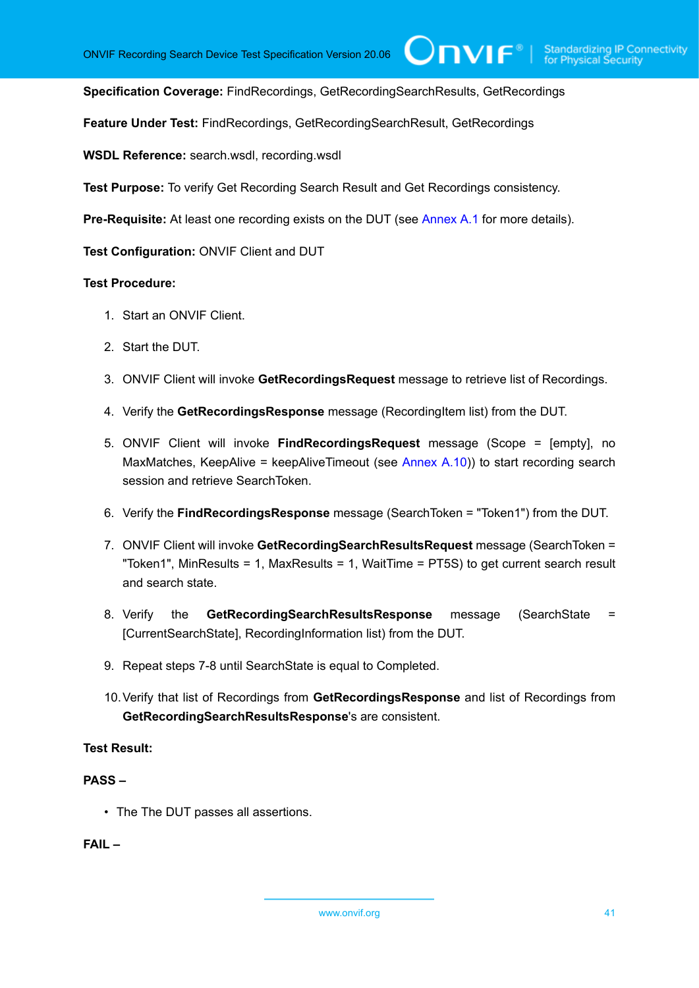$\bigcup$ NVIF $^\circ$ l

**Specification Coverage:** FindRecordings, GetRecordingSearchResults, GetRecordings

**Feature Under Test:** FindRecordings, GetRecordingSearchResult, GetRecordings

**WSDL Reference:** search.wsdl, recording.wsdl

**Test Purpose:** To verify Get Recording Search Result and Get Recordings consistency.

**Pre-Requisite:** At least one recording exists on the DUT (see [Annex A.1](#page-101-0) for more details).

**Test Configuration:** ONVIF Client and DUT

#### **Test Procedure:**

- 1. Start an ONVIF Client.
- 2. Start the DUT.
- 3. ONVIF Client will invoke **GetRecordingsRequest** message to retrieve list of Recordings.
- 4. Verify the **GetRecordingsResponse** message (RecordingItem list) from the DUT.
- 5. ONVIF Client will invoke **FindRecordingsRequest** message (Scope = [empty], no MaxMatches, KeepAlive = keepAliveTimeout (see [Annex A.10\)](#page-108-0)) to start recording search session and retrieve SearchToken.
- 6. Verify the **FindRecordingsResponse** message (SearchToken = "Token1") from the DUT.
- 7. ONVIF Client will invoke **GetRecordingSearchResultsRequest** message (SearchToken = "Token1", MinResults = 1, MaxResults = 1, WaitTime = PT5S) to get current search result and search state.
- 8. Verify the **GetRecordingSearchResultsResponse** message (SearchState = [CurrentSearchState], RecordingInformation list) from the DUT.
- 9. Repeat steps 7-8 until SearchState is equal to Completed.
- 10.Verify that list of Recordings from **GetRecordingsResponse** and list of Recordings from **GetRecordingSearchResultsResponse**'s are consistent.

#### **Test Result:**

# **PASS –**

• The The DUT passes all assertions.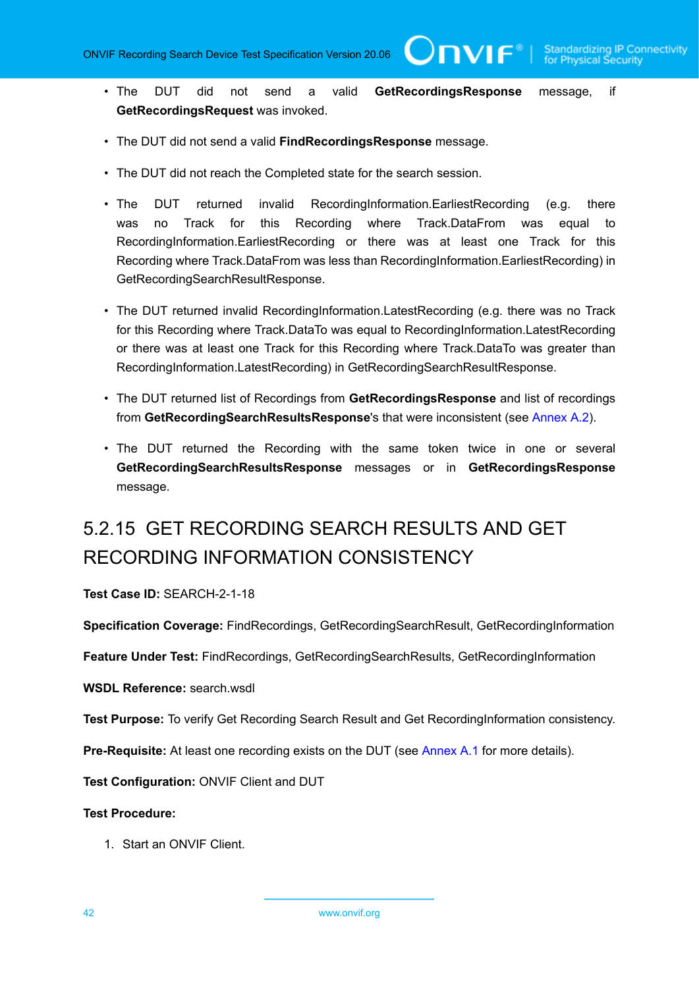TVIF®

- The DUT did not send a valid **GetRecordingsResponse** message, if **GetRecordingsRequest** was invoked.
- The DUT did not send a valid **FindRecordingsResponse** message.
- The DUT did not reach the Completed state for the search session.
- The DUT returned invalid RecordingInformation.EarliestRecording (e.g. there was no Track for this Recording where Track.DataFrom was equal to RecordingInformation.EarliestRecording or there was at least one Track for this Recording where Track.DataFrom was less than RecordingInformation.EarliestRecording) in GetRecordingSearchResultResponse.
- The DUT returned invalid RecordingInformation.LatestRecording (e.g. there was no Track for this Recording where Track.DataTo was equal to RecordingInformation.LatestRecording or there was at least one Track for this Recording where Track.DataTo was greater than RecordingInformation.LatestRecording) in GetRecordingSearchResultResponse.
- The DUT returned list of Recordings from **GetRecordingsResponse** and list of recordings from **GetRecordingSearchResultsResponse**'s that were inconsistent (see [Annex A.2\)](#page-101-1).
- The DUT returned the Recording with the same token twice in one or several **GetRecordingSearchResultsResponse** messages or in **GetRecordingsResponse** message.

# 5.2.15 GET RECORDING SEARCH RESULTS AND GET RECORDING INFORMATION CONSISTENCY

**Test Case ID:** SEARCH-2-1-18

**Specification Coverage:** FindRecordings, GetRecordingSearchResult, GetRecordingInformation

**Feature Under Test:** FindRecordings, GetRecordingSearchResults, GetRecordingInformation

**WSDL Reference:** search.wsdl

**Test Purpose:** To verify Get Recording Search Result and Get RecordingInformation consistency.

**Pre-Requisite:** At least one recording exists on the DUT (see [Annex A.1](#page-101-0) for more details).

**Test Configuration:** ONVIF Client and DUT

#### **Test Procedure:**

1. Start an ONVIF Client.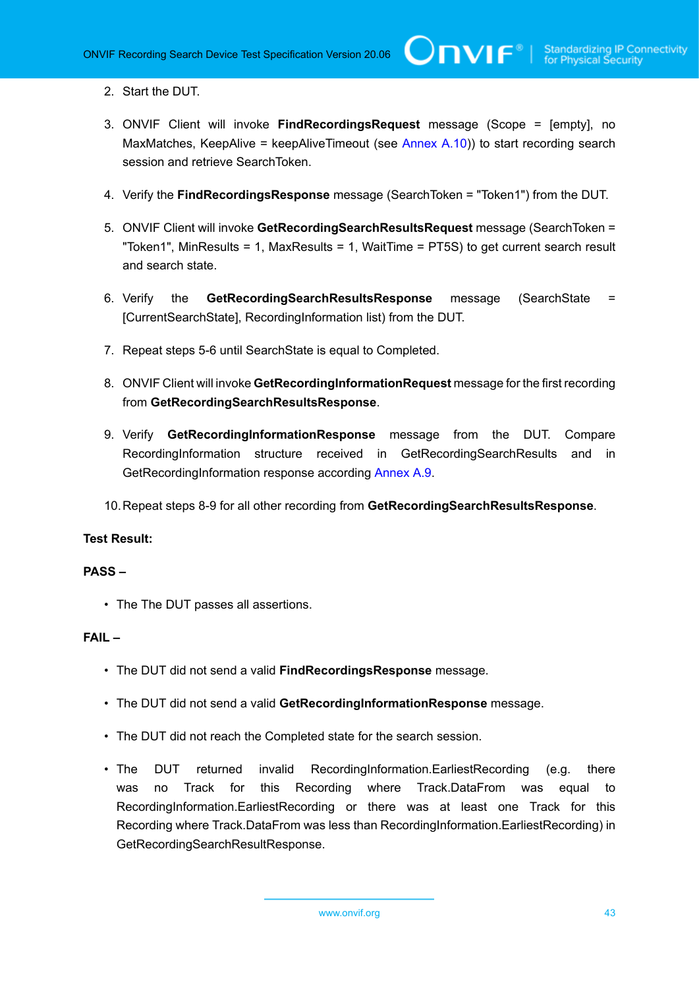- 2. Start the DUT.
- 3. ONVIF Client will invoke **FindRecordingsRequest** message (Scope = [empty], no MaxMatches, KeepAlive = keepAliveTimeout (see [Annex A.10\)](#page-108-0)) to start recording search session and retrieve SearchToken.
- 4. Verify the **FindRecordingsResponse** message (SearchToken = "Token1") from the DUT.
- 5. ONVIF Client will invoke **GetRecordingSearchResultsRequest** message (SearchToken = "Token1", MinResults = 1, MaxResults = 1, WaitTime = PT5S) to get current search result and search state.
- 6. Verify the **GetRecordingSearchResultsResponse** message (SearchState = [CurrentSearchState], RecordingInformation list) from the DUT.
- 7. Repeat steps 5-6 until SearchState is equal to Completed.
- 8. ONVIF Client will invoke **GetRecordingInformationRequest** message for the first recording from **GetRecordingSearchResultsResponse**.
- 9. Verify **GetRecordingInformationResponse** message from the DUT. Compare RecordingInformation structure received in GetRecordingSearchResults and in GetRecordingInformation response according [Annex A.9.](#page-106-0)
- 10.Repeat steps 8-9 for all other recording from **GetRecordingSearchResultsResponse**.

# **Test Result:**

# **PASS –**

• The The DUT passes all assertions.

- The DUT did not send a valid **FindRecordingsResponse** message.
- The DUT did not send a valid **GetRecordingInformationResponse** message.
- The DUT did not reach the Completed state for the search session.
- The DUT returned invalid RecordingInformation.EarliestRecording (e.g. there was no Track for this Recording where Track.DataFrom was equal to RecordingInformation.EarliestRecording or there was at least one Track for this Recording where Track.DataFrom was less than RecordingInformation.EarliestRecording) in GetRecordingSearchResultResponse.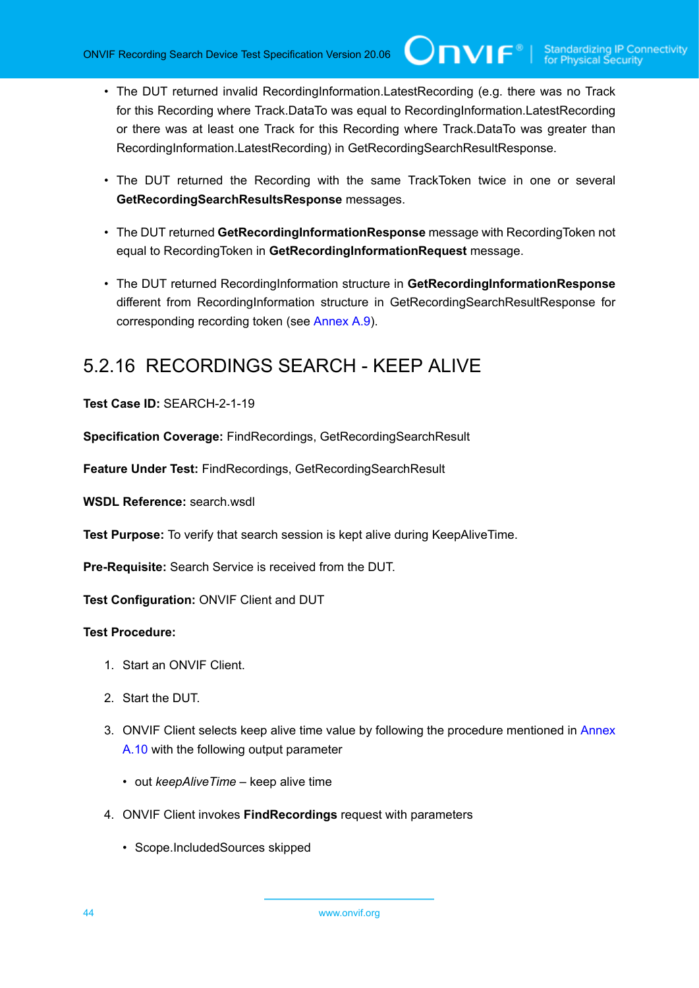- The DUT returned invalid RecordingInformation.LatestRecording (e.g. there was no Track for this Recording where Track.DataTo was equal to RecordingInformation.LatestRecording or there was at least one Track for this Recording where Track.DataTo was greater than RecordingInformation.LatestRecording) in GetRecordingSearchResultResponse.
- The DUT returned the Recording with the same TrackToken twice in one or several **GetRecordingSearchResultsResponse** messages.
- The DUT returned **GetRecordingInformationResponse** message with RecordingToken not equal to RecordingToken in **GetRecordingInformationRequest** message.
- The DUT returned RecordingInformation structure in **GetRecordingInformationResponse** different from RecordingInformation structure in GetRecordingSearchResultResponse for corresponding recording token (see [Annex A.9\)](#page-106-0).

# 5.2.16 RECORDINGS SEARCH - KEEP ALIVE

**Test Case ID:** SEARCH-2-1-19

**Specification Coverage:** FindRecordings, GetRecordingSearchResult

**Feature Under Test:** FindRecordings, GetRecordingSearchResult

WSDL Reference: search wsdl

**Test Purpose:** To verify that search session is kept alive during KeepAliveTime.

**Pre-Requisite:** Search Service is received from the DUT.

**Test Configuration:** ONVIF Client and DUT

- 1. Start an ONVIF Client.
- 2. Start the DUT.
- 3. ONVIF Client selects keep alive time value by following the procedure mentioned in [Annex](#page-108-0) [A.10](#page-108-0) with the following output parameter
	- out *keepAliveTime* keep alive time
- 4. ONVIF Client invokes **FindRecordings** request with parameters
	- Scope.IncludedSources skipped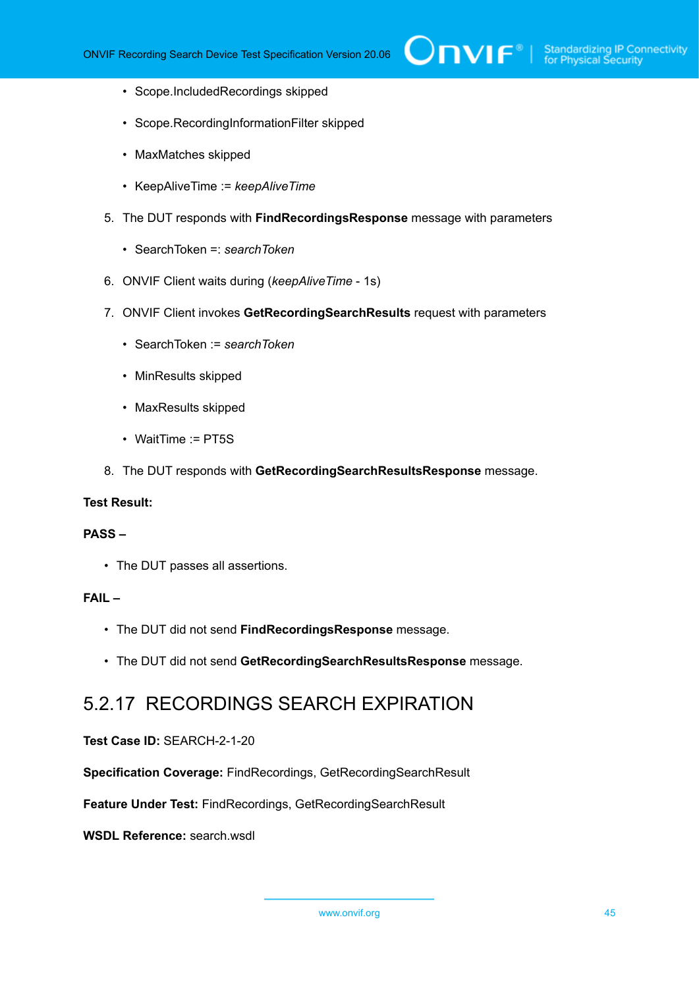- Scope.IncludedRecordings skipped
- Scope.RecordingInformationFilter skipped
- MaxMatches skipped
- KeepAliveTime := *keepAliveTime*
- 5. The DUT responds with **FindRecordingsResponse** message with parameters
	- SearchToken =: *searchToken*
- 6. ONVIF Client waits during (*keepAliveTime* 1s)
- 7. ONVIF Client invokes **GetRecordingSearchResults** request with parameters
	- SearchToken := *searchToken*
	- MinResults skipped
	- MaxResults skipped
	- WaitTime := PT5S
- 8. The DUT responds with **GetRecordingSearchResultsResponse** message.

# **Test Result:**

#### **PASS –**

• The DUT passes all assertions.

# **FAIL –**

- The DUT did not send **FindRecordingsResponse** message.
- The DUT did not send **GetRecordingSearchResultsResponse** message.

# 5.2.17 RECORDINGS SEARCH EXPIRATION

#### **Test Case ID:** SEARCH-2-1-20

**Specification Coverage:** FindRecordings, GetRecordingSearchResult

**Feature Under Test:** FindRecordings, GetRecordingSearchResult

**WSDL Reference:** search.wsdl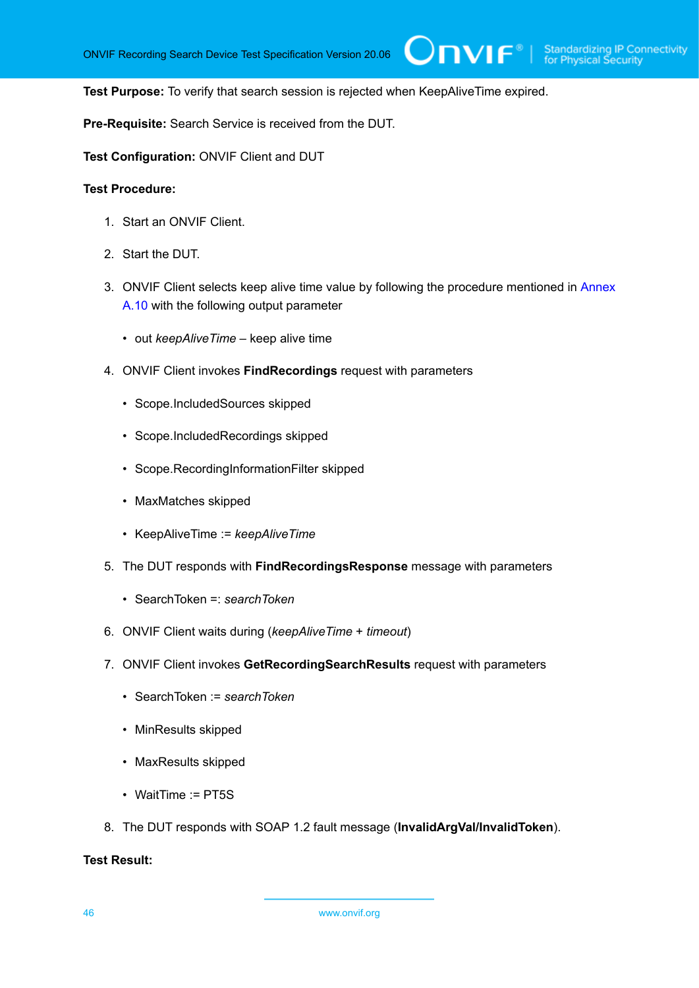**TVIF**®

**Test Purpose:** To verify that search session is rejected when KeepAliveTime expired.

**Pre-Requisite:** Search Service is received from the DUT.

**Test Configuration:** ONVIF Client and DUT

#### **Test Procedure:**

- 1. Start an ONVIF Client.
- 2. Start the DUT.
- 3. ONVIF Client selects keep alive time value by following the procedure mentioned in [Annex](#page-108-0) [A.10](#page-108-0) with the following output parameter
	- out *keepAliveTime* keep alive time
- 4. ONVIF Client invokes **FindRecordings** request with parameters
	- Scope.IncludedSources skipped
	- Scope.IncludedRecordings skipped
	- Scope.RecordingInformationFilter skipped
	- MaxMatches skipped
	- KeepAliveTime := *keepAliveTime*
- 5. The DUT responds with **FindRecordingsResponse** message with parameters
	- SearchToken =: *searchToken*
- 6. ONVIF Client waits during (*keepAliveTime* + *timeout*)
- 7. ONVIF Client invokes **GetRecordingSearchResults** request with parameters
	- SearchToken := *searchToken*
	- MinResults skipped
	- MaxResults skipped
	- WaitTime := PT5S
- 8. The DUT responds with SOAP 1.2 fault message (**InvalidArgVal/InvalidToken**).

# **Test Result:**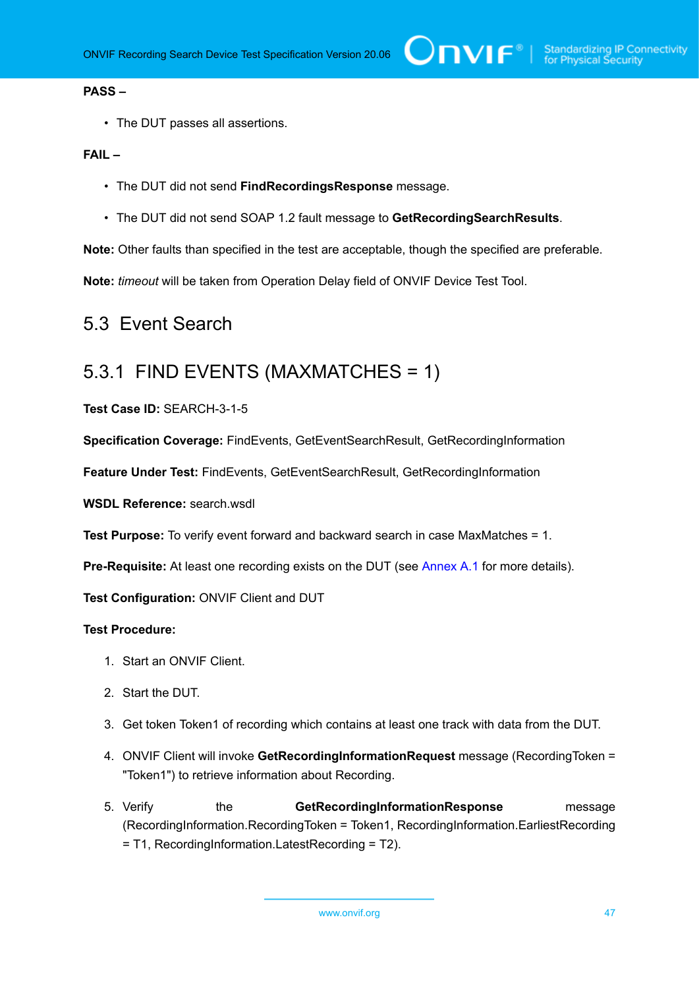#### **PASS –**

• The DUT passes all assertions.

#### **FAIL –**

- The DUT did not send **FindRecordingsResponse** message.
- The DUT did not send SOAP 1.2 fault message to **GetRecordingSearchResults**.

**Note:** Other faults than specified in the test are acceptable, though the specified are preferable.

**Note:** *timeout* will be taken from Operation Delay field of ONVIF Device Test Tool.

# 5.3 Event Search

# 5.3.1 FIND EVENTS (MAXMATCHES = 1)

**Test Case ID:** SEARCH-3-1-5

**Specification Coverage:** FindEvents, GetEventSearchResult, GetRecordingInformation

**Feature Under Test:** FindEvents, GetEventSearchResult, GetRecordingInformation

**WSDL Reference:** search.wsdl

**Test Purpose:** To verify event forward and backward search in case MaxMatches = 1.

**Pre-Requisite:** At least one recording exists on the DUT (see [Annex A.1](#page-101-0) for more details).

**Test Configuration:** ONVIF Client and DUT

- 1. Start an ONVIF Client.
- 2. Start the DUT.
- 3. Get token Token1 of recording which contains at least one track with data from the DUT.
- 4. ONVIF Client will invoke **GetRecordingInformationRequest** message (RecordingToken = "Token1") to retrieve information about Recording.
- 5. Verify the **GetRecordingInformationResponse** message (RecordingInformation.RecordingToken = Token1, RecordingInformation.EarliestRecording = T1, RecordingInformation.LatestRecording = T2).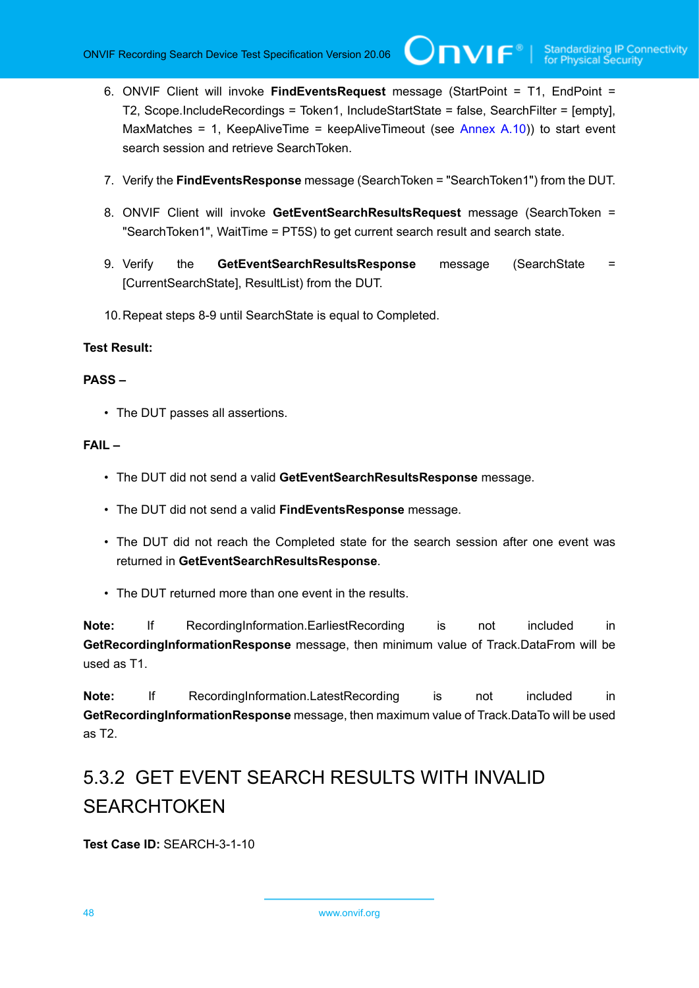- 6. ONVIF Client will invoke **FindEventsRequest** message (StartPoint = T1, EndPoint = T2, Scope.IncludeRecordings = Token1, IncludeStartState = false, SearchFilter = [empty], MaxMatches = 1, KeepAliveTime = keepAliveTimeout (see [Annex A.10](#page-108-0))) to start event search session and retrieve SearchToken.
- 7. Verify the **FindEventsResponse** message (SearchToken = "SearchToken1") from the DUT.
- 8. ONVIF Client will invoke **GetEventSearchResultsRequest** message (SearchToken = "SearchToken1", WaitTime = PT5S) to get current search result and search state.
- 9. Verify the **GetEventSearchResultsResponse** message (SearchState = [CurrentSearchState], ResultList) from the DUT.
- 10.Repeat steps 8-9 until SearchState is equal to Completed.

# **Test Result:**

# **PASS –**

• The DUT passes all assertions.

# **FAIL –**

- The DUT did not send a valid **GetEventSearchResultsResponse** message.
- The DUT did not send a valid **FindEventsResponse** message.
- The DUT did not reach the Completed state for the search session after one event was returned in **GetEventSearchResultsResponse**.
- The DUT returned more than one event in the results.

**Note:** If RecordingInformation.EarliestRecording is not included in **GetRecordingInformationResponse** message, then minimum value of Track.DataFrom will be used as T1.

**Note:** If RecordingInformation.LatestRecording is not included in **GetRecordingInformationResponse** message, then maximum value of Track.DataTo will be used as T2.

# 5.3.2 GET EVENT SEARCH RESULTS WITH INVALID **SEARCHTOKEN**

**Test Case ID:** SEARCH-3-1-10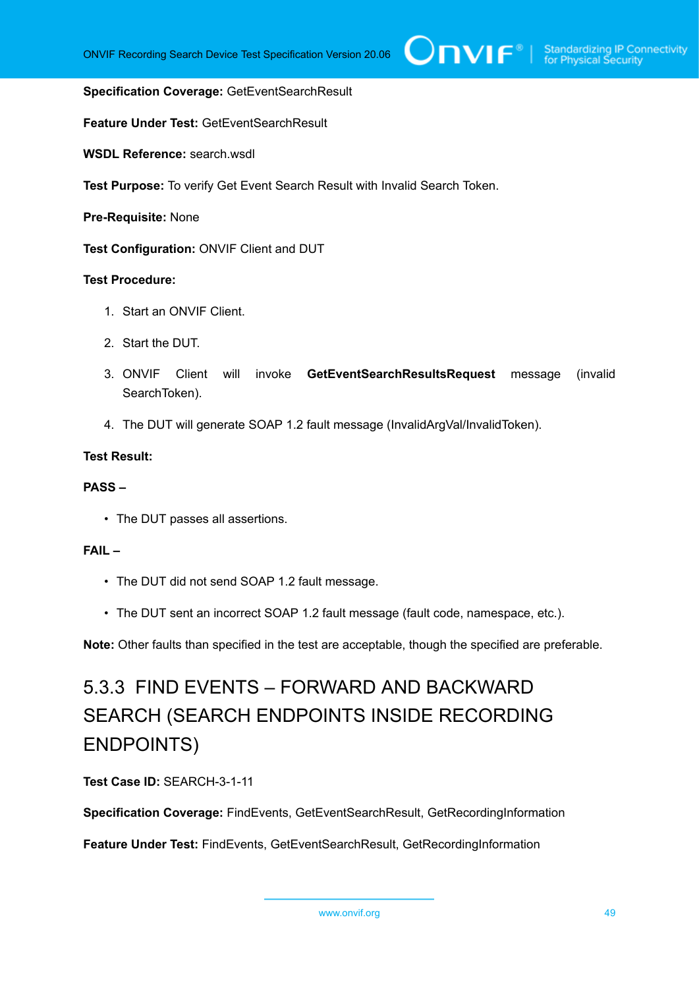#### **Specification Coverage:** GetEventSearchResult

**Feature Under Test:** GetEventSearchResult

**WSDL Reference:** search.wsdl

**Test Purpose:** To verify Get Event Search Result with Invalid Search Token.

**Pre-Requisite:** None

**Test Configuration:** ONVIF Client and DUT

### **Test Procedure:**

- 1. Start an ONVIF Client.
- 2. Start the DUT.
- 3. ONVIF Client will invoke **GetEventSearchResultsRequest** message (invalid SearchToken).
- 4. The DUT will generate SOAP 1.2 fault message (InvalidArgVal/InvalidToken).

### **Test Result:**

#### **PASS –**

• The DUT passes all assertions.

#### **FAIL –**

- The DUT did not send SOAP 1.2 fault message.
- The DUT sent an incorrect SOAP 1.2 fault message (fault code, namespace, etc.).

**Note:** Other faults than specified in the test are acceptable, though the specified are preferable.

# 5.3.3 FIND EVENTS – FORWARD AND BACKWARD SEARCH (SEARCH ENDPOINTS INSIDE RECORDING ENDPOINTS)

**Test Case ID:** SEARCH-3-1-11

**Specification Coverage:** FindEvents, GetEventSearchResult, GetRecordingInformation

**Feature Under Test:** FindEvents, GetEventSearchResult, GetRecordingInformation

```
www.onvif.org 49
```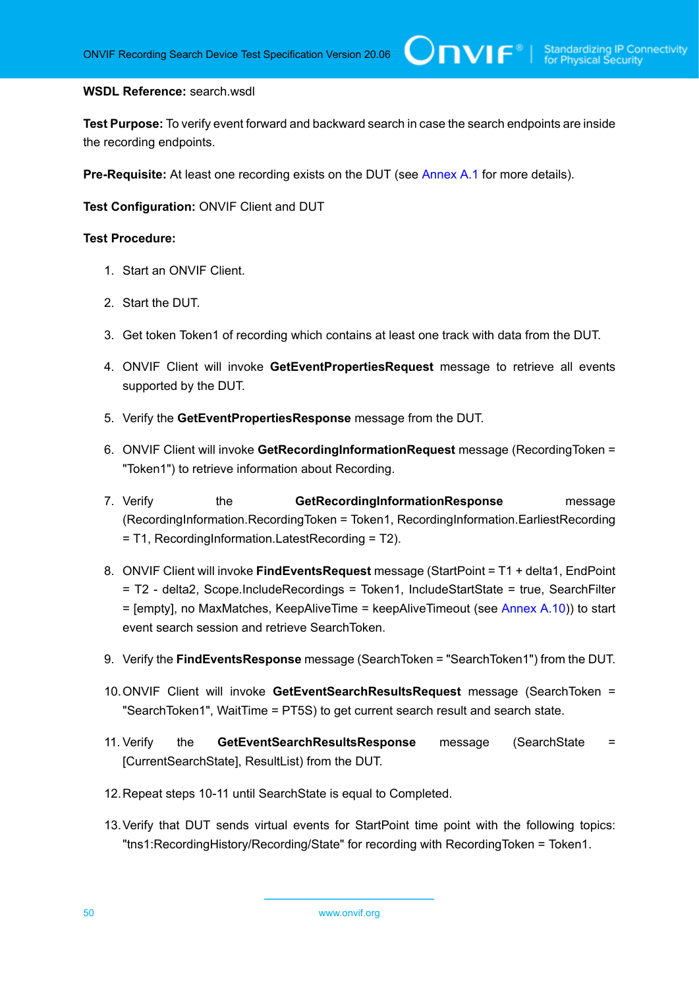#### **WSDL Reference:** search.wsdl

**Test Purpose:** To verify event forward and backward search in case the search endpoints are inside the recording endpoints.

**Pre-Requisite:** At least one recording exists on the DUT (see [Annex A.1](#page-101-0) for more details).

**Test Configuration:** ONVIF Client and DUT

- 1. Start an ONVIF Client.
- 2. Start the DUT.
- 3. Get token Token1 of recording which contains at least one track with data from the DUT.
- 4. ONVIF Client will invoke **GetEventPropertiesRequest** message to retrieve all events supported by the DUT.
- 5. Verify the **GetEventPropertiesResponse** message from the DUT.
- 6. ONVIF Client will invoke **GetRecordingInformationRequest** message (RecordingToken = "Token1") to retrieve information about Recording.
- 7. Verify the **GetRecordingInformationResponse** message (RecordingInformation.RecordingToken = Token1, RecordingInformation.EarliestRecording = T1, RecordingInformation.LatestRecording = T2).
- 8. ONVIF Client will invoke **FindEventsRequest** message (StartPoint = T1 + delta1, EndPoint = T2 - delta2, Scope.IncludeRecordings = Token1, IncludeStartState = true, SearchFilter = [empty], no MaxMatches, KeepAliveTime = keepAliveTimeout (see [Annex A.10\)](#page-108-0)) to start event search session and retrieve SearchToken.
- 9. Verify the **FindEventsResponse** message (SearchToken = "SearchToken1") from the DUT.
- 10.ONVIF Client will invoke **GetEventSearchResultsRequest** message (SearchToken = "SearchToken1", WaitTime = PT5S) to get current search result and search state.
- 11. Verify the **GetEventSearchResultsResponse** message (SearchState = [CurrentSearchState], ResultList) from the DUT.
- 12.Repeat steps 10-11 until SearchState is equal to Completed.
- 13.Verify that DUT sends virtual events for StartPoint time point with the following topics: "tns1:RecordingHistory/Recording/State" for recording with RecordingToken = Token1.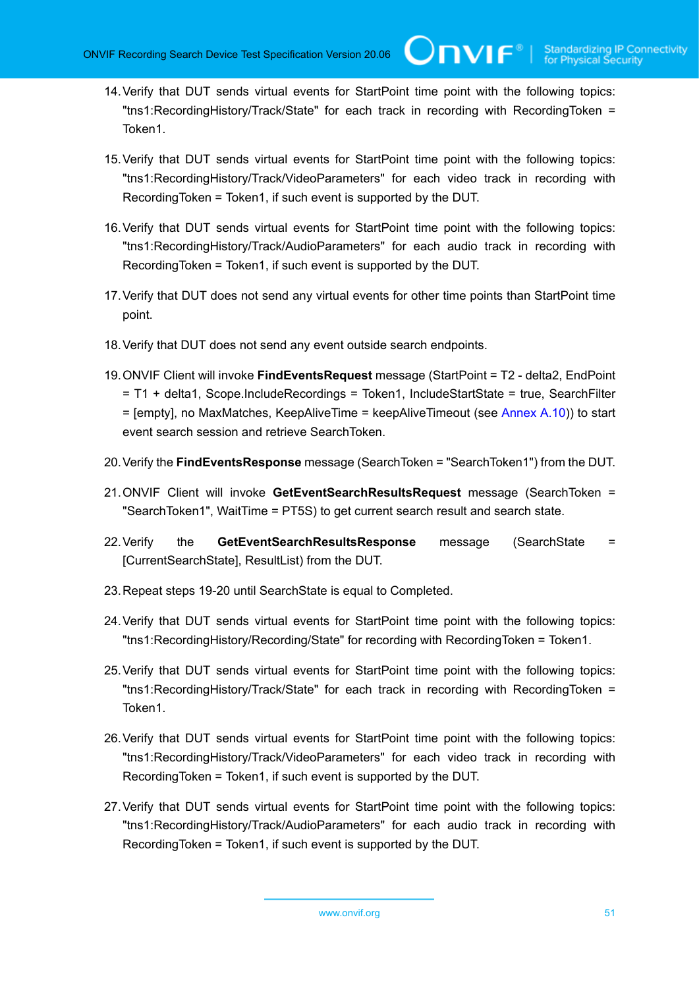- 14.Verify that DUT sends virtual events for StartPoint time point with the following topics: "tns1:RecordingHistory/Track/State" for each track in recording with RecordingToken = Token1.
- 15.Verify that DUT sends virtual events for StartPoint time point with the following topics: "tns1:RecordingHistory/Track/VideoParameters" for each video track in recording with RecordingToken = Token1, if such event is supported by the DUT.
- 16.Verify that DUT sends virtual events for StartPoint time point with the following topics: "tns1:RecordingHistory/Track/AudioParameters" for each audio track in recording with RecordingToken = Token1, if such event is supported by the DUT.
- 17.Verify that DUT does not send any virtual events for other time points than StartPoint time point.
- 18.Verify that DUT does not send any event outside search endpoints.
- 19.ONVIF Client will invoke **FindEventsRequest** message (StartPoint = T2 delta2, EndPoint = T1 + delta1, Scope.IncludeRecordings = Token1, IncludeStartState = true, SearchFilter = [empty], no MaxMatches, KeepAliveTime = keepAliveTimeout (see [Annex A.10\)](#page-108-0)) to start event search session and retrieve SearchToken.
- 20.Verify the **FindEventsResponse** message (SearchToken = "SearchToken1") from the DUT.
- 21.ONVIF Client will invoke **GetEventSearchResultsRequest** message (SearchToken = "SearchToken1", WaitTime = PT5S) to get current search result and search state.
- 22.Verify the **GetEventSearchResultsResponse** message (SearchState = [CurrentSearchState], ResultList) from the DUT.
- 23.Repeat steps 19-20 until SearchState is equal to Completed.
- 24.Verify that DUT sends virtual events for StartPoint time point with the following topics: "tns1:RecordingHistory/Recording/State" for recording with RecordingToken = Token1.
- 25.Verify that DUT sends virtual events for StartPoint time point with the following topics: "tns1:RecordingHistory/Track/State" for each track in recording with RecordingToken = Token1.
- 26.Verify that DUT sends virtual events for StartPoint time point with the following topics: "tns1:RecordingHistory/Track/VideoParameters" for each video track in recording with RecordingToken = Token1, if such event is supported by the DUT.
- 27.Verify that DUT sends virtual events for StartPoint time point with the following topics: "tns1:RecordingHistory/Track/AudioParameters" for each audio track in recording with RecordingToken = Token1, if such event is supported by the DUT.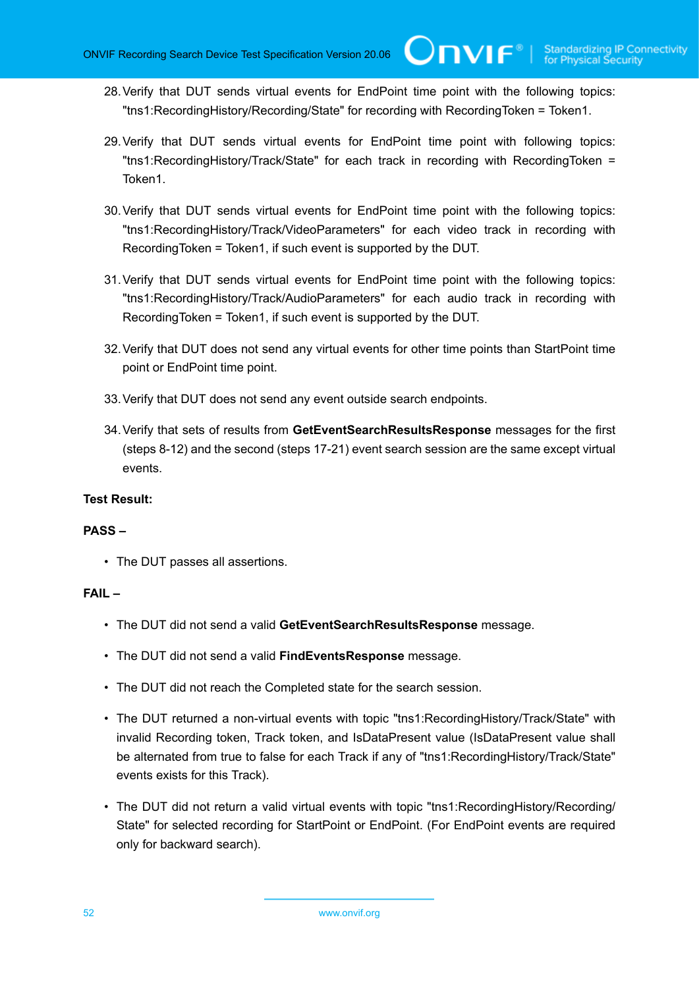- 28.Verify that DUT sends virtual events for EndPoint time point with the following topics: "tns1:RecordingHistory/Recording/State" for recording with RecordingToken = Token1.
- 29.Verify that DUT sends virtual events for EndPoint time point with following topics: "tns1:RecordingHistory/Track/State" for each track in recording with RecordingToken = Token1.
- 30.Verify that DUT sends virtual events for EndPoint time point with the following topics: "tns1:RecordingHistory/Track/VideoParameters" for each video track in recording with RecordingToken = Token1, if such event is supported by the DUT.
- 31.Verify that DUT sends virtual events for EndPoint time point with the following topics: "tns1:RecordingHistory/Track/AudioParameters" for each audio track in recording with RecordingToken = Token1, if such event is supported by the DUT.
- 32.Verify that DUT does not send any virtual events for other time points than StartPoint time point or EndPoint time point.
- 33.Verify that DUT does not send any event outside search endpoints.
- 34.Verify that sets of results from **GetEventSearchResultsResponse** messages for the first (steps 8-12) and the second (steps 17-21) event search session are the same except virtual events.

# **Test Result:**

# **PASS –**

• The DUT passes all assertions.

- The DUT did not send a valid **GetEventSearchResultsResponse** message.
- The DUT did not send a valid **FindEventsResponse** message.
- The DUT did not reach the Completed state for the search session.
- The DUT returned a non-virtual events with topic "tns1:RecordingHistory/Track/State" with invalid Recording token, Track token, and IsDataPresent value (IsDataPresent value shall be alternated from true to false for each Track if any of "tns1:RecordingHistory/Track/State" events exists for this Track).
- The DUT did not return a valid virtual events with topic "tns1:RecordingHistory/Recording/ State" for selected recording for StartPoint or EndPoint. (For EndPoint events are required only for backward search).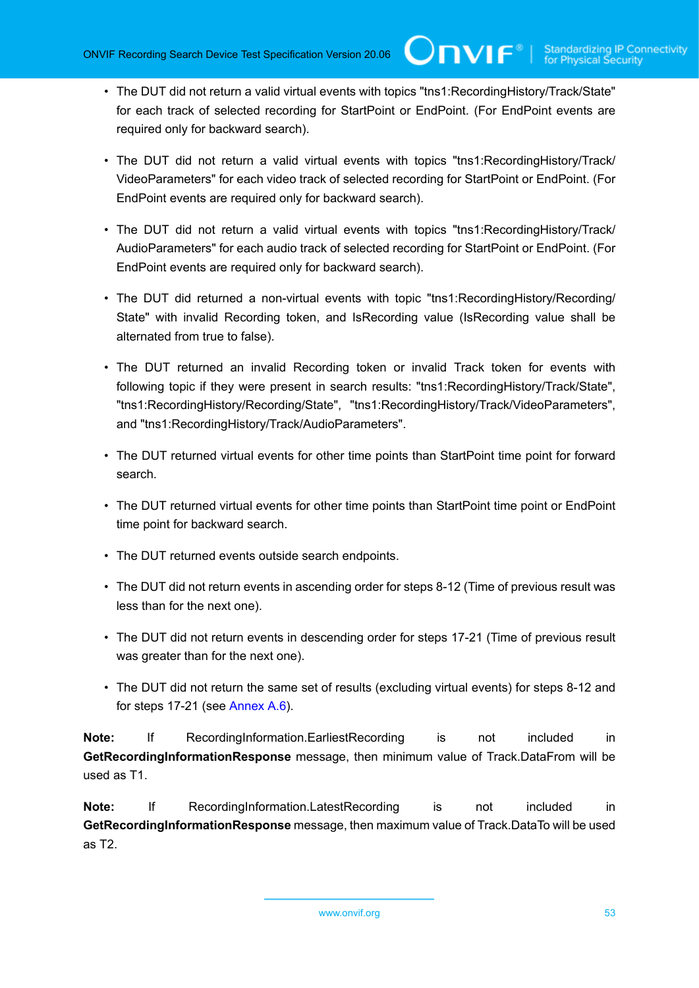TVIF®

- The DUT did not return a valid virtual events with topics "tns1:RecordingHistory/Track/State" for each track of selected recording for StartPoint or EndPoint. (For EndPoint events are required only for backward search).
- The DUT did not return a valid virtual events with topics "tns1:RecordingHistory/Track/ VideoParameters" for each video track of selected recording for StartPoint or EndPoint. (For EndPoint events are required only for backward search).
- The DUT did not return a valid virtual events with topics "tns1:RecordingHistory/Track/ AudioParameters" for each audio track of selected recording for StartPoint or EndPoint. (For EndPoint events are required only for backward search).
- The DUT did returned a non-virtual events with topic "tns1:RecordingHistory/Recording/ State" with invalid Recording token, and IsRecording value (IsRecording value shall be alternated from true to false).
- The DUT returned an invalid Recording token or invalid Track token for events with following topic if they were present in search results: "tns1:RecordingHistory/Track/State", "tns1:RecordingHistory/Recording/State", "tns1:RecordingHistory/Track/VideoParameters", and "tns1:RecordingHistory/Track/AudioParameters".
- The DUT returned virtual events for other time points than StartPoint time point for forward search.
- The DUT returned virtual events for other time points than StartPoint time point or EndPoint time point for backward search.
- The DUT returned events outside search endpoints.
- The DUT did not return events in ascending order for steps 8-12 (Time of previous result was less than for the next one).
- The DUT did not return events in descending order for steps 17-21 (Time of previous result was greater than for the next one).
- The DUT did not return the same set of results (excluding virtual events) for steps 8-12 and for steps 17-21 (see [Annex A.6\)](#page-104-0).

**Note:** If RecordingInformation.EarliestRecording is not included in **GetRecordingInformationResponse** message, then minimum value of Track.DataFrom will be used as T1.

**Note:** If RecordingInformation.LatestRecording is not included in **GetRecordingInformationResponse** message, then maximum value of Track.DataTo will be used as T2.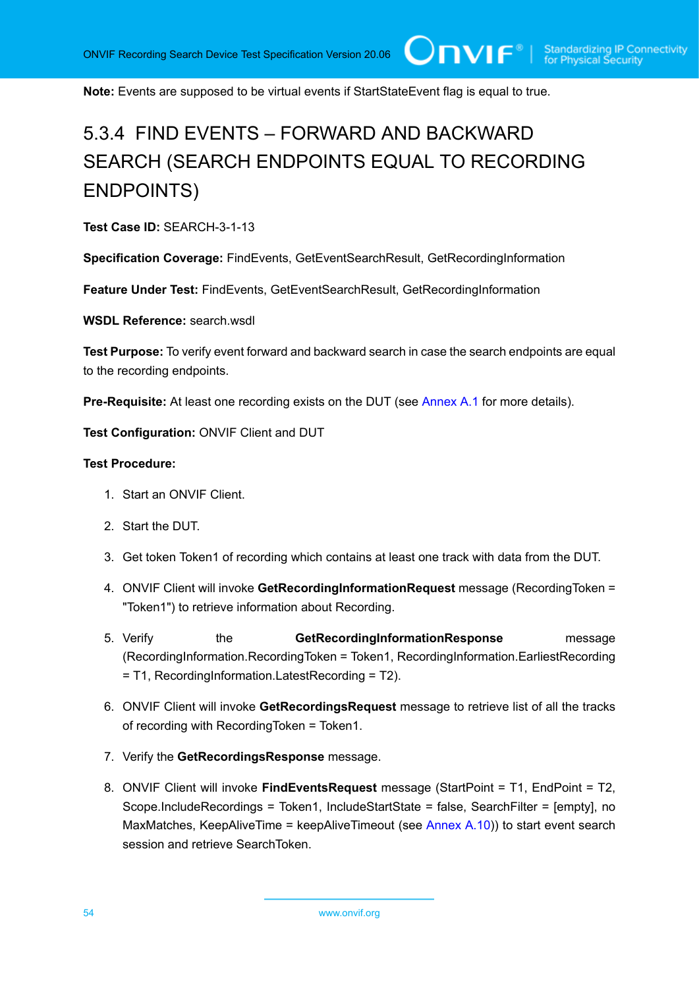**Note:** Events are supposed to be virtual events if StartStateEvent flag is equal to true.

# 5.3.4 FIND EVENTS – FORWARD AND BACKWARD SEARCH (SEARCH ENDPOINTS EQUAL TO RECORDING ENDPOINTS)

**Test Case ID:** SEARCH-3-1-13

**Specification Coverage:** FindEvents, GetEventSearchResult, GetRecordingInformation

**Feature Under Test:** FindEvents, GetEventSearchResult, GetRecordingInformation

WSDL Reference: search wsdl.

**Test Purpose:** To verify event forward and backward search in case the search endpoints are equal to the recording endpoints.

**Pre-Requisite:** At least one recording exists on the DUT (see [Annex A.1](#page-101-0) for more details).

**Test Configuration:** ONVIF Client and DUT

- 1. Start an ONVIF Client.
- 2. Start the DUT.
- 3. Get token Token1 of recording which contains at least one track with data from the DUT.
- 4. ONVIF Client will invoke **GetRecordingInformationRequest** message (RecordingToken = "Token1") to retrieve information about Recording.
- 5. Verify the **GetRecordingInformationResponse** message (RecordingInformation.RecordingToken = Token1, RecordingInformation.EarliestRecording = T1, RecordingInformation.LatestRecording = T2).
- 6. ONVIF Client will invoke **GetRecordingsRequest** message to retrieve list of all the tracks of recording with RecordingToken = Token1.
- 7. Verify the **GetRecordingsResponse** message.
- 8. ONVIF Client will invoke **FindEventsRequest** message (StartPoint = T1, EndPoint = T2, Scope.IncludeRecordings = Token1, IncludeStartState = false, SearchFilter = [empty], no MaxMatches, KeepAliveTime = keepAliveTimeout (see [Annex A.10\)](#page-108-0)) to start event search session and retrieve SearchToken.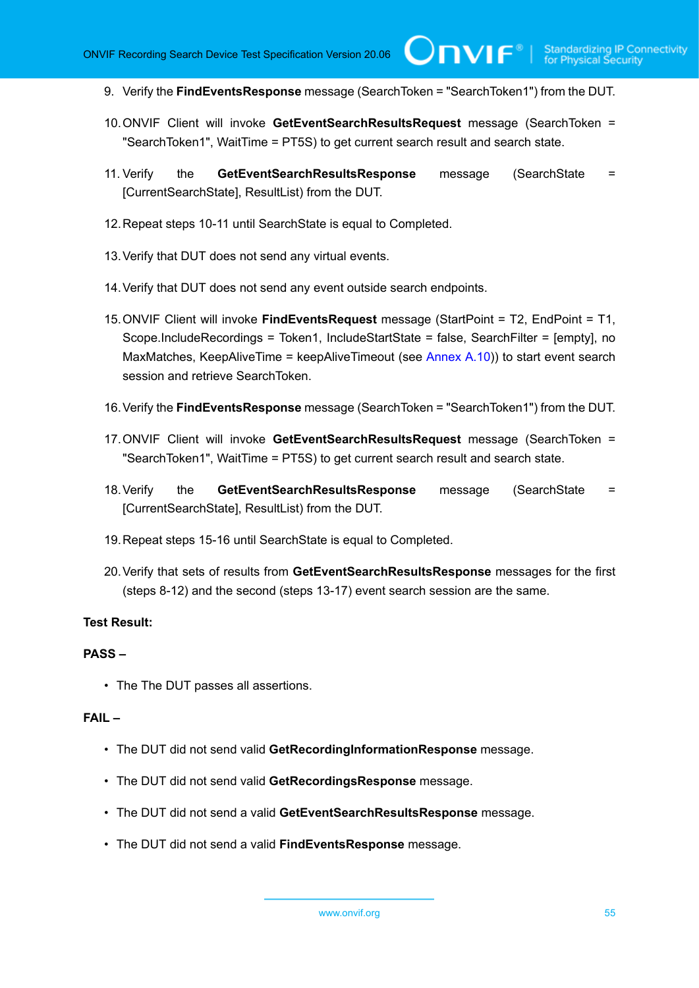9. Verify the **FindEventsResponse** message (SearchToken = "SearchToken1") from the DUT.

 $\mathsf{Cnv}$ ı $\mathsf{F}^\circ$ l

- 10.ONVIF Client will invoke **GetEventSearchResultsRequest** message (SearchToken = "SearchToken1", WaitTime = PT5S) to get current search result and search state.
- 11. Verify the **GetEventSearchResultsResponse** message (SearchState = [CurrentSearchState], ResultList) from the DUT.
- 12.Repeat steps 10-11 until SearchState is equal to Completed.
- 13.Verify that DUT does not send any virtual events.
- 14.Verify that DUT does not send any event outside search endpoints.
- 15.ONVIF Client will invoke **FindEventsRequest** message (StartPoint = T2, EndPoint = T1, Scope.IncludeRecordings = Token1, IncludeStartState = false, SearchFilter = [empty], no MaxMatches, KeepAliveTime = keepAliveTimeout (see [Annex A.10\)](#page-108-0)) to start event search session and retrieve SearchToken.
- 16.Verify the **FindEventsResponse** message (SearchToken = "SearchToken1") from the DUT.
- 17.ONVIF Client will invoke **GetEventSearchResultsRequest** message (SearchToken = "SearchToken1", WaitTime = PT5S) to get current search result and search state.
- 18.Verify the **GetEventSearchResultsResponse** message (SearchState = [CurrentSearchState], ResultList) from the DUT.
- 19.Repeat steps 15-16 until SearchState is equal to Completed.
- 20.Verify that sets of results from **GetEventSearchResultsResponse** messages for the first (steps 8-12) and the second (steps 13-17) event search session are the same.

# **Test Result:**

# **PASS –**

• The The DUT passes all assertions.

- The DUT did not send valid **GetRecordingInformationResponse** message.
- The DUT did not send valid **GetRecordingsResponse** message.
- The DUT did not send a valid **GetEventSearchResultsResponse** message.
- The DUT did not send a valid **FindEventsResponse** message.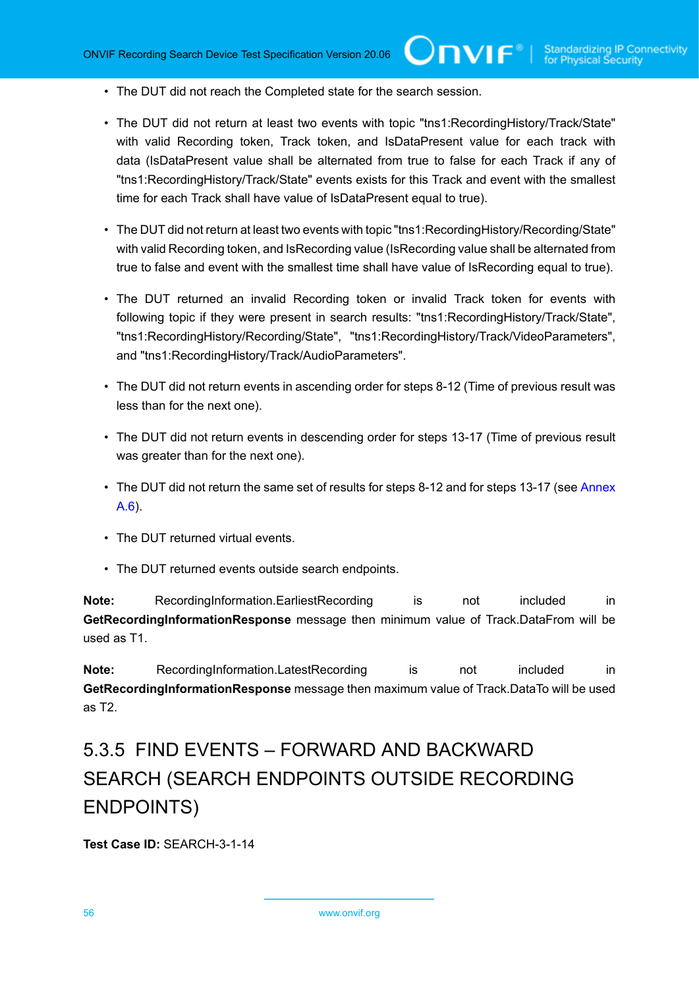- The DUT did not reach the Completed state for the search session.
- The DUT did not return at least two events with topic "tns1:RecordingHistory/Track/State" with valid Recording token, Track token, and IsDataPresent value for each track with data (IsDataPresent value shall be alternated from true to false for each Track if any of "tns1:RecordingHistory/Track/State" events exists for this Track and event with the smallest time for each Track shall have value of IsDataPresent equal to true).

 $\mathsf{Cnv}$ ı $\mathsf{F}^\ast$ l

- The DUT did not return at least two events with topic "tns1:RecordingHistory/Recording/State" with valid Recording token, and IsRecording value (IsRecording value shall be alternated from true to false and event with the smallest time shall have value of IsRecording equal to true).
- The DUT returned an invalid Recording token or invalid Track token for events with following topic if they were present in search results: "tns1:RecordingHistory/Track/State", "tns1:RecordingHistory/Recording/State", "tns1:RecordingHistory/Track/VideoParameters", and "tns1:RecordingHistory/Track/AudioParameters".
- The DUT did not return events in ascending order for steps 8-12 (Time of previous result was less than for the next one).
- The DUT did not return events in descending order for steps 13-17 (Time of previous result was greater than for the next one).
- The DUT did not return the same set of results for steps 8-12 and for steps 13-17 (see [Annex](#page-104-0) [A.6\)](#page-104-0).
- The DUT returned virtual events.
- The DUT returned events outside search endpoints.

**Note:** RecordingInformation.EarliestRecording is not included in **GetRecordingInformationResponse** message then minimum value of Track.DataFrom will be used as T1.

**Note:** RecordingInformation.LatestRecording is not included in **GetRecordingInformationResponse** message then maximum value of Track.DataTo will be used as T2.

# 5.3.5 FIND EVENTS – FORWARD AND BACKWARD SEARCH (SEARCH ENDPOINTS OUTSIDE RECORDING ENDPOINTS)

**Test Case ID:** SEARCH-3-1-14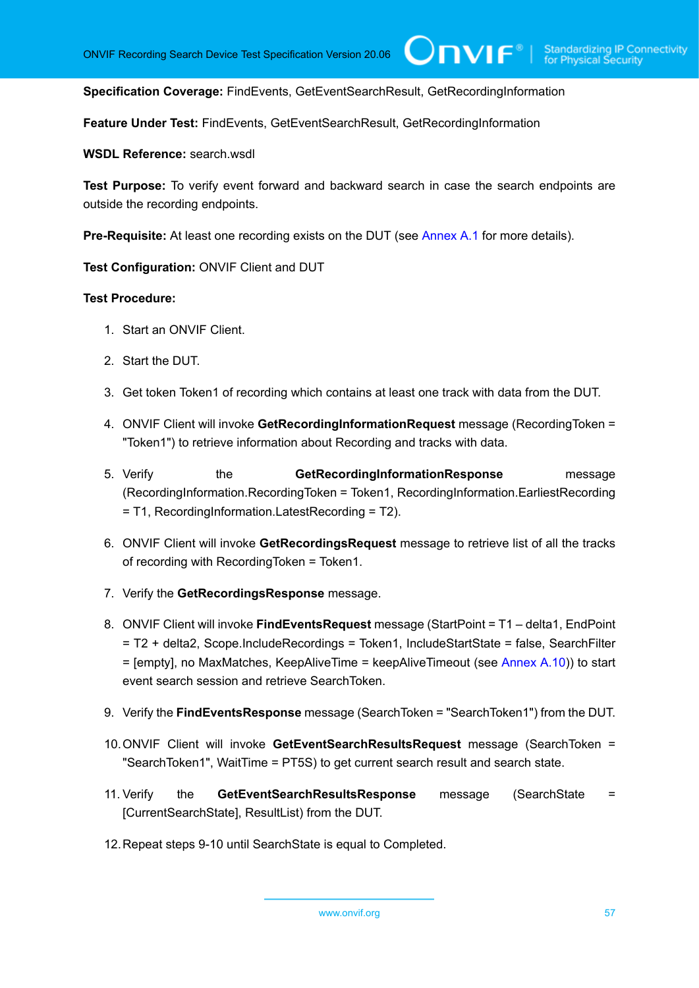$\bigcup$ NIF $^\circ$ l

**Specification Coverage:** FindEvents, GetEventSearchResult, GetRecordingInformation

**Feature Under Test:** FindEvents, GetEventSearchResult, GetRecordingInformation

**WSDL Reference:** search.wsdl

**Test Purpose:** To verify event forward and backward search in case the search endpoints are outside the recording endpoints.

**Pre-Requisite:** At least one recording exists on the DUT (see [Annex A.1](#page-101-0) for more details).

**Test Configuration:** ONVIF Client and DUT

- 1. Start an ONVIF Client.
- 2. Start the DUT.
- 3. Get token Token1 of recording which contains at least one track with data from the DUT.
- 4. ONVIF Client will invoke **GetRecordingInformationRequest** message (RecordingToken = "Token1") to retrieve information about Recording and tracks with data.
- 5. Verify the **GetRecordingInformationResponse** message (RecordingInformation.RecordingToken = Token1, RecordingInformation.EarliestRecording = T1, RecordingInformation.LatestRecording = T2).
- 6. ONVIF Client will invoke **GetRecordingsRequest** message to retrieve list of all the tracks of recording with RecordingToken = Token1.
- 7. Verify the **GetRecordingsResponse** message.
- 8. ONVIF Client will invoke **FindEventsRequest** message (StartPoint = T1 delta1, EndPoint = T2 + delta2, Scope.IncludeRecordings = Token1, IncludeStartState = false, SearchFilter = [empty], no MaxMatches, KeepAliveTime = keepAliveTimeout (see [Annex A.10\)](#page-108-0)) to start event search session and retrieve SearchToken.
- 9. Verify the **FindEventsResponse** message (SearchToken = "SearchToken1") from the DUT.
- 10.ONVIF Client will invoke **GetEventSearchResultsRequest** message (SearchToken = "SearchToken1", WaitTime = PT5S) to get current search result and search state.
- 11. Verify the **GetEventSearchResultsResponse** message (SearchState = [CurrentSearchState], ResultList) from the DUT.
- 12.Repeat steps 9-10 until SearchState is equal to Completed.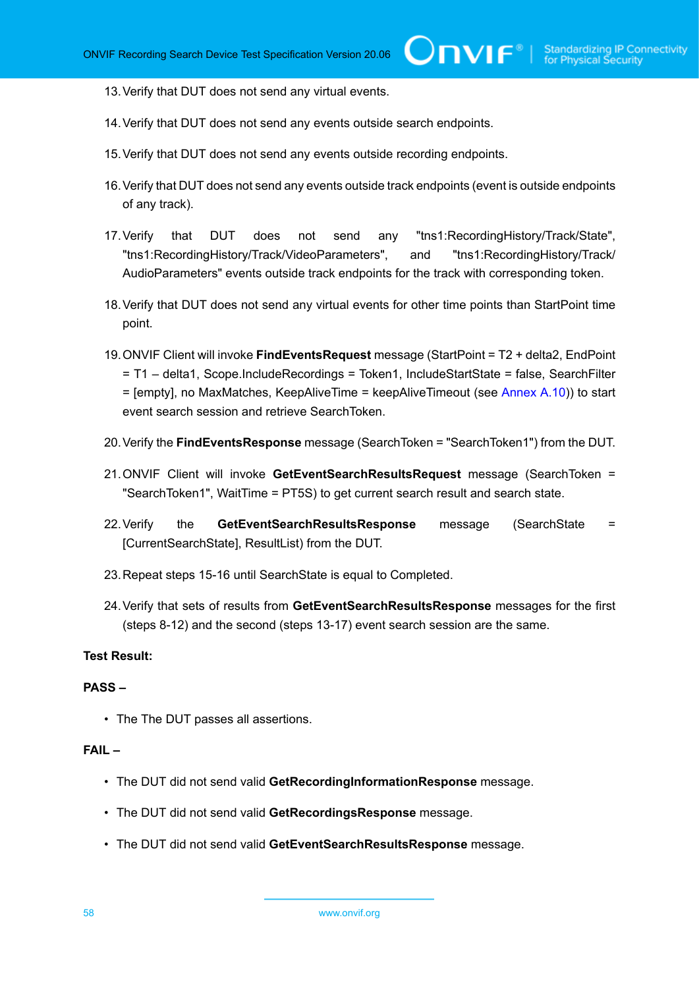13.Verify that DUT does not send any virtual events.

- 14.Verify that DUT does not send any events outside search endpoints.
- 15.Verify that DUT does not send any events outside recording endpoints.
- 16.Verify that DUT does not send any events outside track endpoints (event is outside endpoints of any track).
- 17.Verify that DUT does not send any "tns1:RecordingHistory/Track/State", "tns1:RecordingHistory/Track/VideoParameters", and "tns1:RecordingHistory/Track/ AudioParameters" events outside track endpoints for the track with corresponding token.
- 18.Verify that DUT does not send any virtual events for other time points than StartPoint time point.
- 19.ONVIF Client will invoke **FindEventsRequest** message (StartPoint = T2 + delta2, EndPoint = T1 – delta1, Scope.IncludeRecordings = Token1, IncludeStartState = false, SearchFilter  $=$  [empty], no MaxMatches, KeepAliveTime = keepAliveTimeout (see [Annex A.10\)](#page-108-0)) to start event search session and retrieve SearchToken.
- 20.Verify the **FindEventsResponse** message (SearchToken = "SearchToken1") from the DUT.
- 21.ONVIF Client will invoke **GetEventSearchResultsRequest** message (SearchToken = "SearchToken1", WaitTime = PT5S) to get current search result and search state.
- 22.Verify the **GetEventSearchResultsResponse** message (SearchState = [CurrentSearchState], ResultList) from the DUT.
- 23.Repeat steps 15-16 until SearchState is equal to Completed.
- 24.Verify that sets of results from **GetEventSearchResultsResponse** messages for the first (steps 8-12) and the second (steps 13-17) event search session are the same.

### **Test Result:**

### **PASS –**

• The The DUT passes all assertions.

- The DUT did not send valid **GetRecordingInformationResponse** message.
- The DUT did not send valid **GetRecordingsResponse** message.
- The DUT did not send valid **GetEventSearchResultsResponse** message.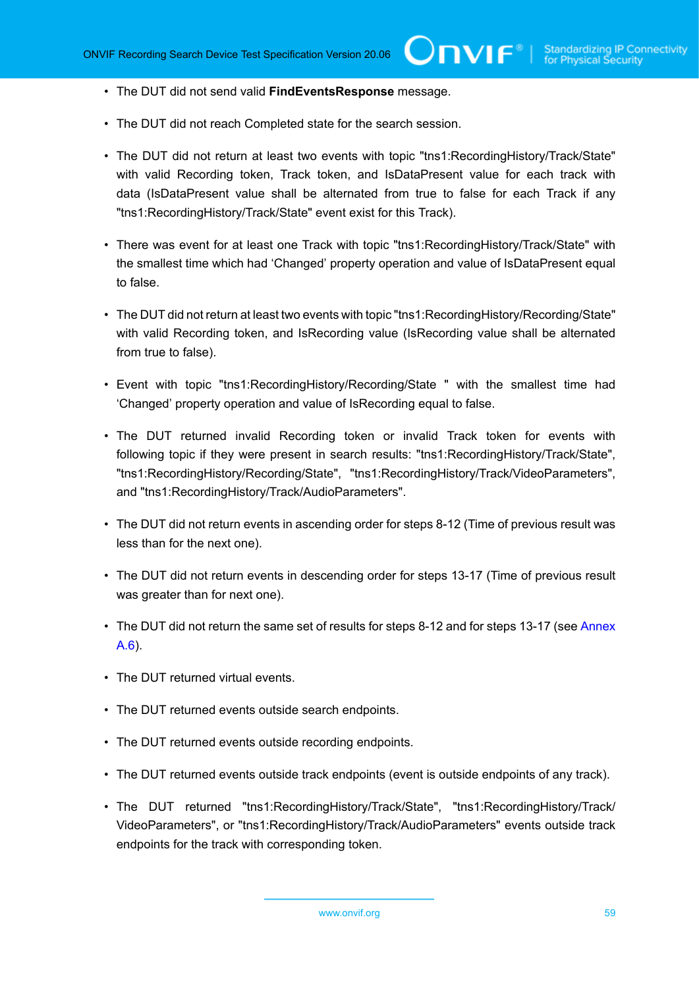- The DUT did not send valid **FindEventsResponse** message.
- The DUT did not reach Completed state for the search session.
- The DUT did not return at least two events with topic "tns1:RecordingHistory/Track/State" with valid Recording token, Track token, and IsDataPresent value for each track with data (IsDataPresent value shall be alternated from true to false for each Track if any "tns1:RecordingHistory/Track/State" event exist for this Track).
- There was event for at least one Track with topic "tns1:RecordingHistory/Track/State" with the smallest time which had 'Changed' property operation and value of IsDataPresent equal to false.
- The DUT did not return at least two events with topic "tns1:RecordingHistory/Recording/State" with valid Recording token, and IsRecording value (IsRecording value shall be alternated from true to false).
- Event with topic "tns1:RecordingHistory/Recording/State " with the smallest time had 'Changed' property operation and value of IsRecording equal to false.
- The DUT returned invalid Recording token or invalid Track token for events with following topic if they were present in search results: "tns1:RecordingHistory/Track/State", "tns1:RecordingHistory/Recording/State", "tns1:RecordingHistory/Track/VideoParameters", and "tns1:RecordingHistory/Track/AudioParameters".
- The DUT did not return events in ascending order for steps 8-12 (Time of previous result was less than for the next one).
- The DUT did not return events in descending order for steps 13-17 (Time of previous result was greater than for next one).
- The DUT did not return the same set of results for steps 8-12 and for steps 13-17 (see [Annex](#page-104-0) [A.6\)](#page-104-0).
- The DUT returned virtual events.
- The DUT returned events outside search endpoints.
- The DUT returned events outside recording endpoints.
- The DUT returned events outside track endpoints (event is outside endpoints of any track).
- The DUT returned "tns1:RecordingHistory/Track/State", "tns1:RecordingHistory/Track/ VideoParameters", or "tns1:RecordingHistory/Track/AudioParameters" events outside track endpoints for the track with corresponding token.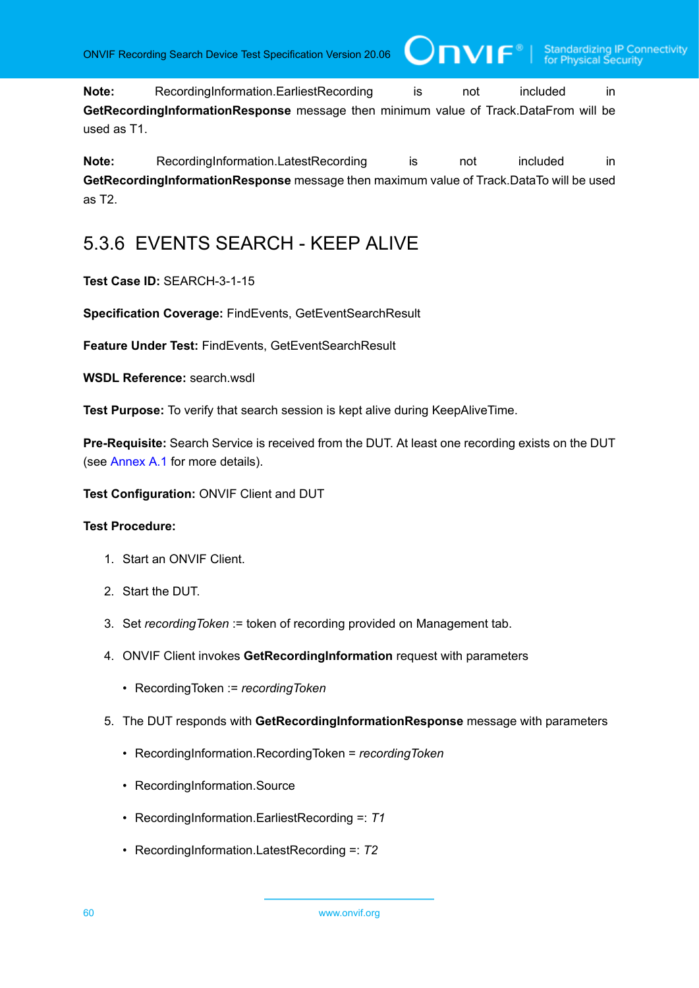**Note:** RecordingInformation.EarliestRecording is not included in **GetRecordingInformationResponse** message then minimum value of Track.DataFrom will be used as T1.

**Note:** RecordingInformation.LatestRecording is not included in **GetRecordingInformationResponse** message then maximum value of Track.DataTo will be used as T2.

# 5.3.6 EVENTS SEARCH - KEEP ALIVE

# **Test Case ID:** SEARCH-3-1-15

**Specification Coverage:** FindEvents, GetEventSearchResult

**Feature Under Test:** FindEvents, GetEventSearchResult

**WSDL Reference:** search.wsdl

**Test Purpose:** To verify that search session is kept alive during KeepAliveTime.

**Pre-Requisite:** Search Service is received from the DUT. At least one recording exists on the DUT (see [Annex A.1](#page-101-0) for more details).

**Test Configuration:** ONVIF Client and DUT

- 1. Start an ONVIF Client.
- 2. Start the DUT.
- 3. Set *recordingToken* := token of recording provided on Management tab.
- 4. ONVIF Client invokes **GetRecordingInformation** request with parameters
	- RecordingToken := *recordingToken*
- 5. The DUT responds with **GetRecordingInformationResponse** message with parameters
	- RecordingInformation.RecordingToken = *recordingToken*
	- RecordingInformation.Source
	- RecordingInformation.EarliestRecording =: *T1*
	- RecordingInformation.LatestRecording =: *T2*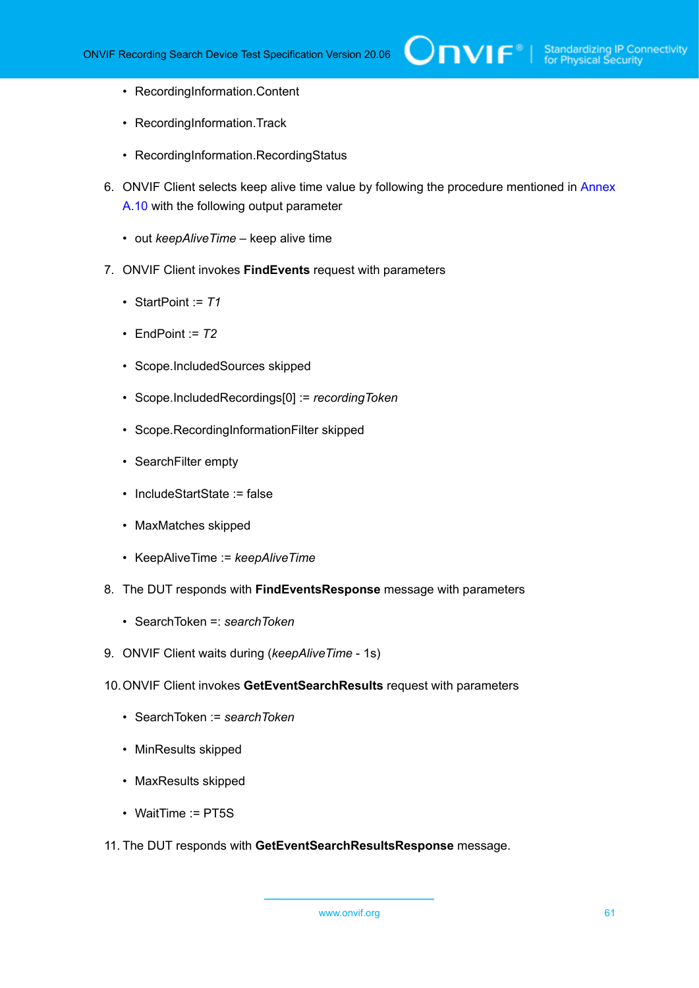- RecordingInformation.Content
- RecordingInformation.Track
- RecordingInformation.RecordingStatus
- 6. ONVIF Client selects keep alive time value by following the procedure mentioned in [Annex](#page-108-0) [A.10](#page-108-0) with the following output parameter
	- out *keepAliveTime* keep alive time
- 7. ONVIF Client invokes **FindEvents** request with parameters
	- StartPoint := *T1*
	- EndPoint := *T2*
	- Scope.IncludedSources skipped
	- Scope.IncludedRecordings[0] := *recordingToken*
	- Scope.RecordingInformationFilter skipped
	- SearchFilter empty
	- IncludeStartState := false
	- MaxMatches skipped
	- KeepAliveTime := *keepAliveTime*
- 8. The DUT responds with **FindEventsResponse** message with parameters
	- SearchToken =: *searchToken*
- 9. ONVIF Client waits during (*keepAliveTime* 1s)
- 10.ONVIF Client invokes **GetEventSearchResults** request with parameters
	- SearchToken := *searchToken*
	- MinResults skipped
	- MaxResults skipped
	- WaitTime := PT5S
- 11. The DUT responds with **GetEventSearchResultsResponse** message.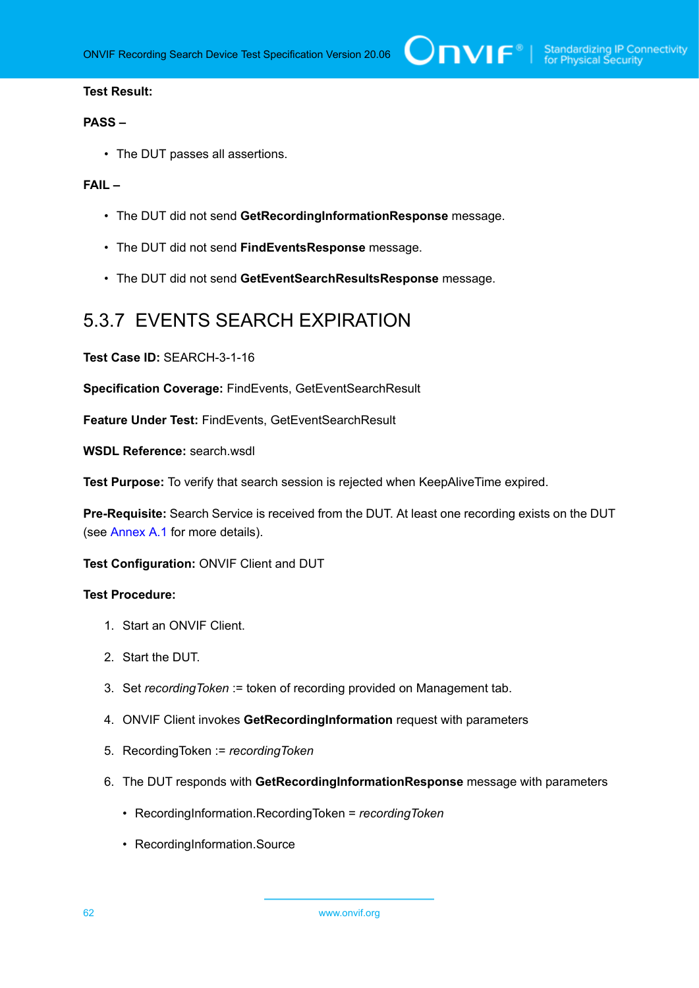### **Test Result:**

#### **PASS –**

• The DUT passes all assertions.

### **FAIL –**

- The DUT did not send **GetRecordingInformationResponse** message.
- The DUT did not send **FindEventsResponse** message.
- The DUT did not send **GetEventSearchResultsResponse** message.

# 5.3.7 EVENTS SEARCH EXPIRATION

**Test Case ID:** SEARCH-3-1-16

**Specification Coverage:** FindEvents, GetEventSearchResult

**Feature Under Test:** FindEvents, GetEventSearchResult

**WSDL Reference:** search.wsdl

**Test Purpose:** To verify that search session is rejected when KeepAliveTime expired.

**Pre-Requisite:** Search Service is received from the DUT. At least one recording exists on the DUT (see [Annex A.1](#page-101-0) for more details).

**Test Configuration:** ONVIF Client and DUT

- 1. Start an ONVIF Client.
- 2. Start the DUT.
- 3. Set *recordingToken* := token of recording provided on Management tab.
- 4. ONVIF Client invokes **GetRecordingInformation** request with parameters
- 5. RecordingToken := *recordingToken*
- 6. The DUT responds with **GetRecordingInformationResponse** message with parameters
	- RecordingInformation.RecordingToken = *recordingToken*
	- RecordingInformation.Source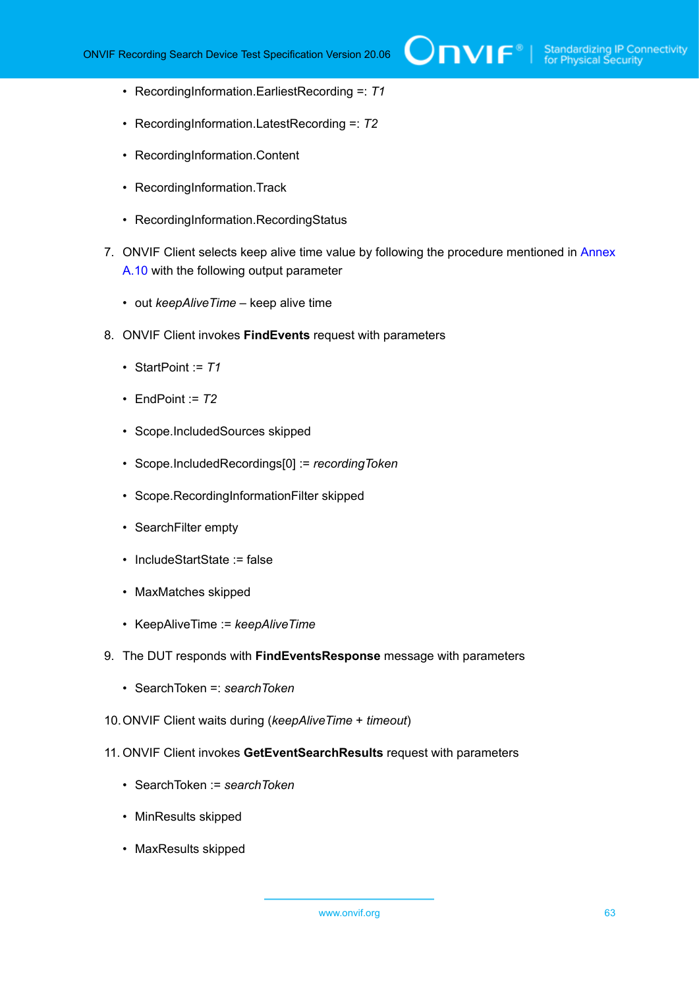- RecordingInformation.EarliestRecording =: *T1*
- RecordingInformation.LatestRecording =: *T2*
- RecordingInformation.Content
- RecordingInformation.Track
- RecordingInformation.RecordingStatus
- 7. ONVIF Client selects keep alive time value by following the procedure mentioned in [Annex](#page-108-0) [A.10](#page-108-0) with the following output parameter
	- out *keepAliveTime* keep alive time
- 8. ONVIF Client invokes **FindEvents** request with parameters
	- StartPoint := *T1*
	- EndPoint  $= 72$
	- Scope.IncludedSources skipped
	- Scope.IncludedRecordings[0] := *recordingToken*
	- Scope.RecordingInformationFilter skipped
	- SearchFilter empty
	- IncludeStartState := false
	- MaxMatches skipped
	- KeepAliveTime := *keepAliveTime*
- 9. The DUT responds with **FindEventsResponse** message with parameters
	- SearchToken =: *searchToken*
- 10.ONVIF Client waits during (*keepAliveTime* + *timeout*)
- 11. ONVIF Client invokes **GetEventSearchResults** request with parameters
	- SearchToken := *searchToken*
	- MinResults skipped
	- MaxResults skipped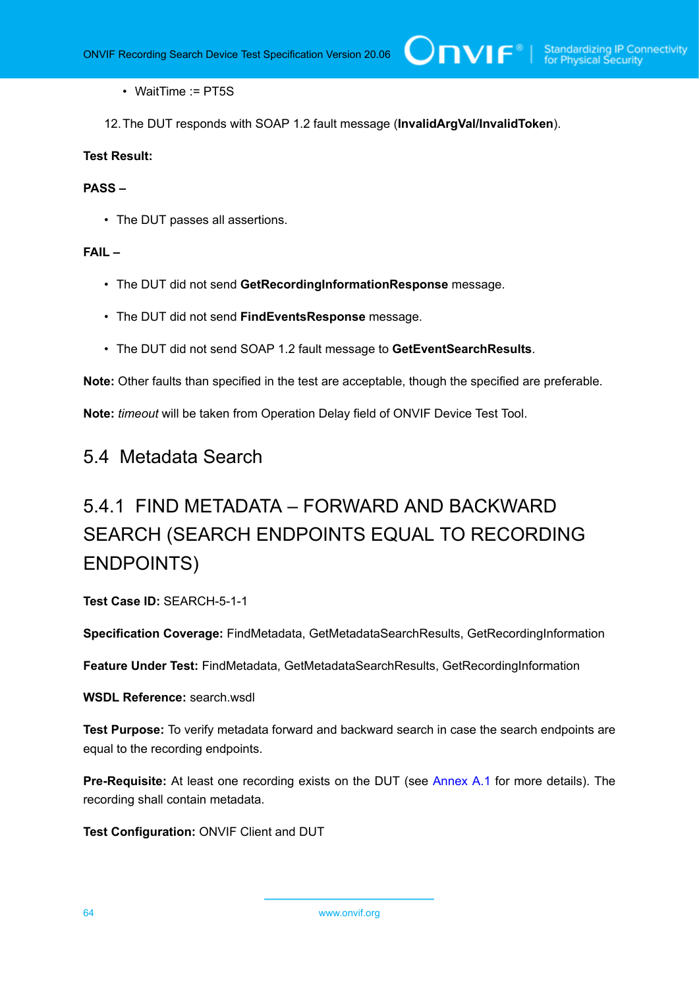• WaitTime := PT5S

12.The DUT responds with SOAP 1.2 fault message (**InvalidArgVal/InvalidToken**).

# **Test Result:**

### **PASS –**

• The DUT passes all assertions.

# **FAIL –**

- The DUT did not send **GetRecordingInformationResponse** message.
- The DUT did not send **FindEventsResponse** message.
- The DUT did not send SOAP 1.2 fault message to **GetEventSearchResults**.

**Note:** Other faults than specified in the test are acceptable, though the specified are preferable.

**Note:** *timeout* will be taken from Operation Delay field of ONVIF Device Test Tool.

# 5.4 Metadata Search

# 5.4.1 FIND METADATA – FORWARD AND BACKWARD SEARCH (SEARCH ENDPOINTS EQUAL TO RECORDING ENDPOINTS)

**Test Case ID:** SEARCH-5-1-1

**Specification Coverage:** FindMetadata, GetMetadataSearchResults, GetRecordingInformation

**Feature Under Test:** FindMetadata, GetMetadataSearchResults, GetRecordingInformation

#### **WSDL Reference:** search.wsdl

**Test Purpose:** To verify metadata forward and backward search in case the search endpoints are equal to the recording endpoints.

**Pre-Requisite:** At least one recording exists on the DUT (see [Annex A.1](#page-101-0) for more details). The recording shall contain metadata.

**Test Configuration:** ONVIF Client and DUT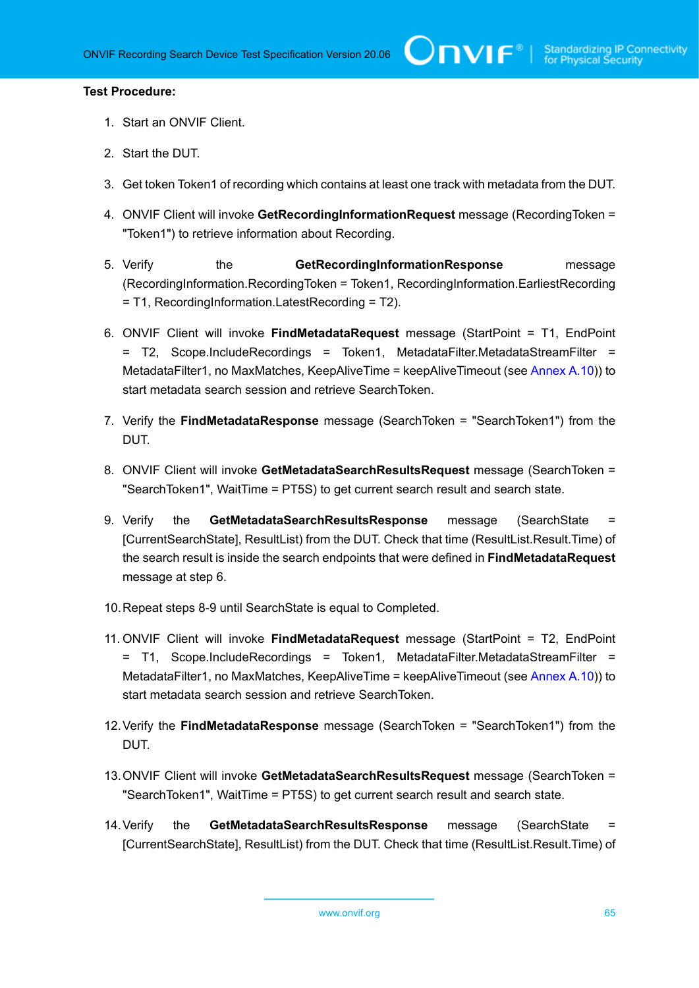- 1. Start an ONVIF Client.
- 2. Start the DUT.
- 3. Get token Token1 of recording which contains at least one track with metadata from the DUT.
- 4. ONVIF Client will invoke **GetRecordingInformationRequest** message (RecordingToken = "Token1") to retrieve information about Recording.
- 5. Verify the **GetRecordingInformationResponse** message (RecordingInformation.RecordingToken = Token1, RecordingInformation.EarliestRecording = T1, RecordingInformation.LatestRecording = T2).
- 6. ONVIF Client will invoke **FindMetadataRequest** message (StartPoint = T1, EndPoint = T2, Scope.IncludeRecordings = Token1, MetadataFilter.MetadataStreamFilter = MetadataFilter1, no MaxMatches, KeepAliveTime = keepAliveTimeout (see [Annex A.10](#page-108-0))) to start metadata search session and retrieve SearchToken.
- 7. Verify the **FindMetadataResponse** message (SearchToken = "SearchToken1") from the DUT.
- 8. ONVIF Client will invoke **GetMetadataSearchResultsRequest** message (SearchToken = "SearchToken1", WaitTime = PT5S) to get current search result and search state.
- 9. Verify the **GetMetadataSearchResultsResponse** message (SearchState [CurrentSearchState], ResultList) from the DUT. Check that time (ResultList.Result.Time) of the search result is inside the search endpoints that were defined in **FindMetadataRequest** message at step 6.
- 10.Repeat steps 8-9 until SearchState is equal to Completed.
- 11. ONVIF Client will invoke **FindMetadataRequest** message (StartPoint = T2, EndPoint = T1, Scope.IncludeRecordings = Token1, MetadataFilter.MetadataStreamFilter = MetadataFilter1, no MaxMatches, KeepAliveTime = keepAliveTimeout (see [Annex A.10](#page-108-0))) to start metadata search session and retrieve SearchToken.
- 12.Verify the **FindMetadataResponse** message (SearchToken = "SearchToken1") from the DUT.
- 13.ONVIF Client will invoke **GetMetadataSearchResultsRequest** message (SearchToken = "SearchToken1", WaitTime = PT5S) to get current search result and search state.
- 14.Verify the **GetMetadataSearchResultsResponse** message (SearchState = [CurrentSearchState], ResultList) from the DUT. Check that time (ResultList.Result.Time) of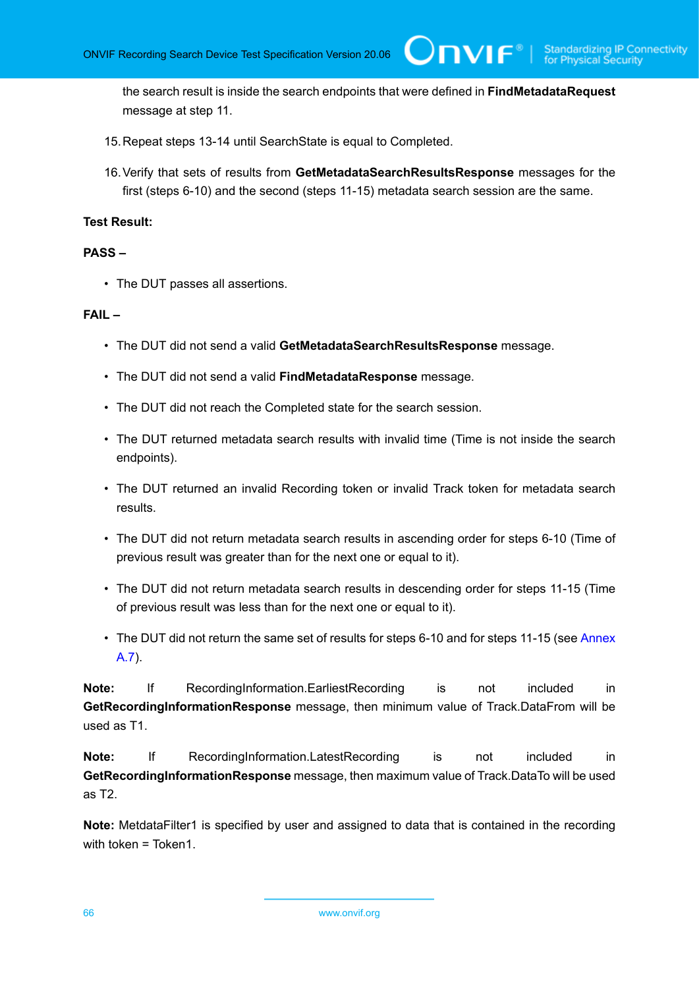the search result is inside the search endpoints that were defined in **FindMetadataRequest** message at step 11.

 $\partial$ DVIF $^{\circ}$ 

- 15.Repeat steps 13-14 until SearchState is equal to Completed.
- 16.Verify that sets of results from **GetMetadataSearchResultsResponse** messages for the first (steps 6-10) and the second (steps 11-15) metadata search session are the same.

# **Test Result:**

### **PASS –**

• The DUT passes all assertions.

### **FAIL –**

- The DUT did not send a valid **GetMetadataSearchResultsResponse** message.
- The DUT did not send a valid **FindMetadataResponse** message.
- The DUT did not reach the Completed state for the search session.
- The DUT returned metadata search results with invalid time (Time is not inside the search endpoints).
- The DUT returned an invalid Recording token or invalid Track token for metadata search results.
- The DUT did not return metadata search results in ascending order for steps 6-10 (Time of previous result was greater than for the next one or equal to it).
- The DUT did not return metadata search results in descending order for steps 11-15 (Time of previous result was less than for the next one or equal to it).
- The DUT did not return the same set of results for steps 6-10 and for steps 11-15 (see [Annex](#page-105-0) [A.7\)](#page-105-0).

**Note:** If RecordingInformation.EarliestRecording is not included in **GetRecordingInformationResponse** message, then minimum value of Track.DataFrom will be used as T1.

**Note:** If RecordingInformation.LatestRecording is not included in **GetRecordingInformationResponse** message, then maximum value of Track.DataTo will be used as T2.

**Note:** MetdataFilter1 is specified by user and assigned to data that is contained in the recording with token = Token1.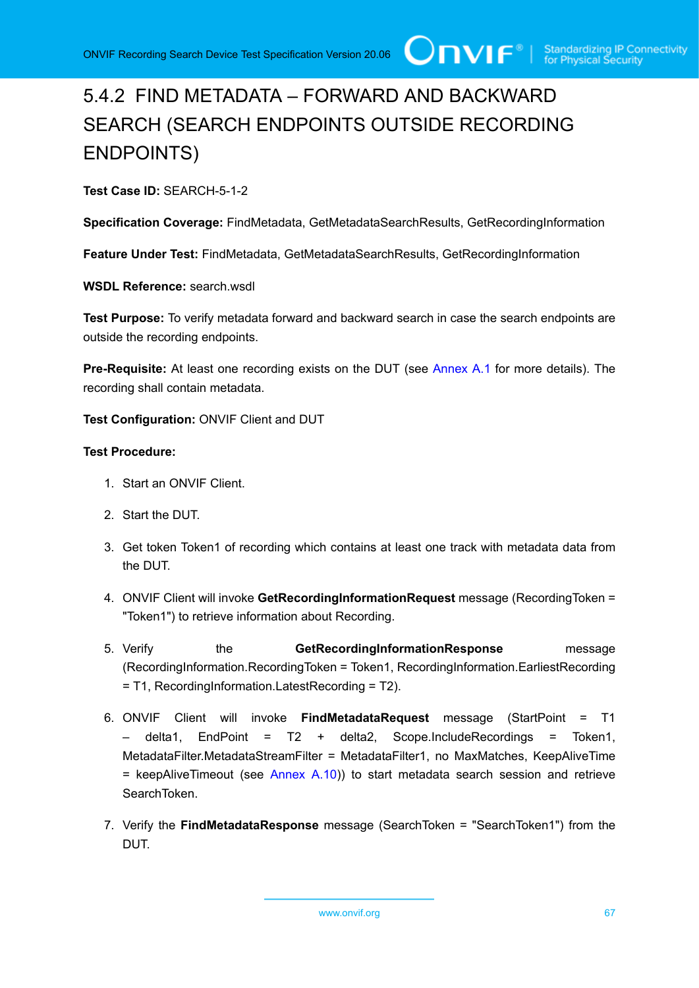# 5.4.2 FIND METADATA – FORWARD AND BACKWARD SEARCH (SEARCH ENDPOINTS OUTSIDE RECORDING ENDPOINTS)

**Test Case ID:** SEARCH-5-1-2

**Specification Coverage:** FindMetadata, GetMetadataSearchResults, GetRecordingInformation

**Feature Under Test:** FindMetadata, GetMetadataSearchResults, GetRecordingInformation

**WSDL Reference:** search.wsdl

**Test Purpose:** To verify metadata forward and backward search in case the search endpoints are outside the recording endpoints.

**Pre-Requisite:** At least one recording exists on the DUT (see [Annex A.1](#page-101-0) for more details). The recording shall contain metadata.

**Test Configuration:** ONVIF Client and DUT

- 1. Start an ONVIF Client.
- 2. Start the DUT.
- 3. Get token Token1 of recording which contains at least one track with metadata data from the DUT.
- 4. ONVIF Client will invoke **GetRecordingInformationRequest** message (RecordingToken = "Token1") to retrieve information about Recording.
- 5. Verify the **GetRecordingInformationResponse** message (RecordingInformation.RecordingToken = Token1, RecordingInformation.EarliestRecording = T1, RecordingInformation.LatestRecording = T2).
- 6. ONVIF Client will invoke **FindMetadataRequest** message (StartPoint = T1 – delta1, EndPoint = T2 + delta2, Scope.IncludeRecordings = Token1, MetadataFilter.MetadataStreamFilter = MetadataFilter1, no MaxMatches, KeepAliveTime  $=$  keepAliveTimeout (see [Annex A.10](#page-108-0))) to start metadata search session and retrieve SearchToken.
- 7. Verify the **FindMetadataResponse** message (SearchToken = "SearchToken1") from the DUT.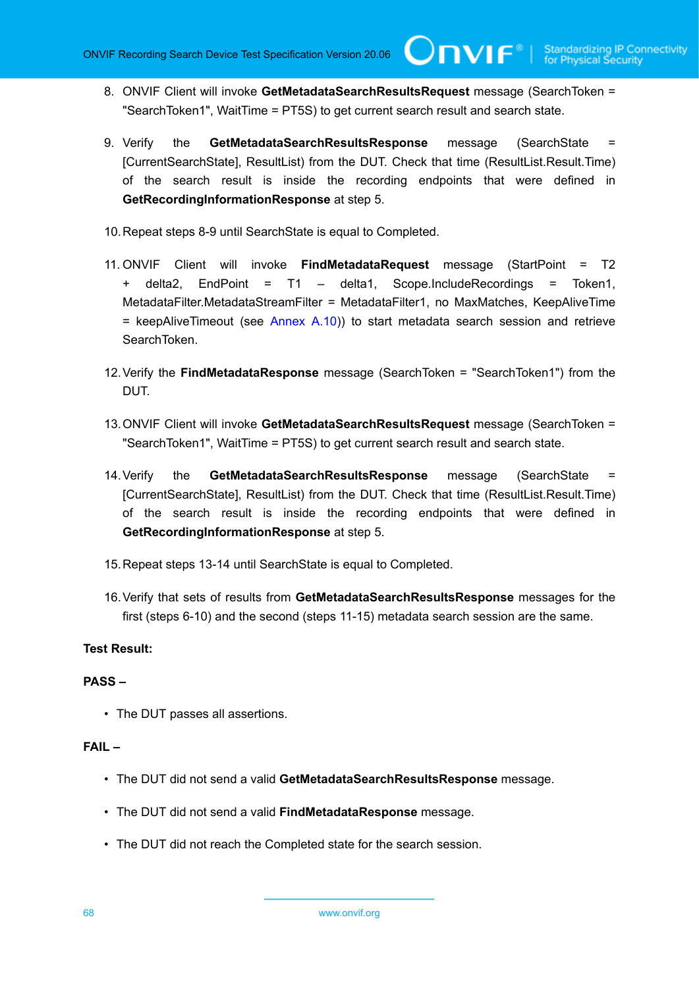8. ONVIF Client will invoke **GetMetadataSearchResultsRequest** message (SearchToken = "SearchToken1", WaitTime = PT5S) to get current search result and search state.

 $\mathsf{Cnv}$ ı $\mathsf{F}^\ast$ 

- 9. Verify the **GetMetadataSearchResultsResponse** message (SearchState = [CurrentSearchState], ResultList) from the DUT. Check that time (ResultList.Result.Time) of the search result is inside the recording endpoints that were defined in **GetRecordingInformationResponse** at step 5.
- 10.Repeat steps 8-9 until SearchState is equal to Completed.
- 11. ONVIF Client will invoke **FindMetadataRequest** message (StartPoint = T2 + delta2, EndPoint = T1 – delta1, Scope.IncludeRecordings = Token1, MetadataFilter.MetadataStreamFilter = MetadataFilter1, no MaxMatches, KeepAliveTime  $=$  keepAliveTimeout (see [Annex A.10](#page-108-0))) to start metadata search session and retrieve SearchToken.
- 12.Verify the **FindMetadataResponse** message (SearchToken = "SearchToken1") from the DUT.
- 13.ONVIF Client will invoke **GetMetadataSearchResultsRequest** message (SearchToken = "SearchToken1", WaitTime = PT5S) to get current search result and search state.
- 14.Verify the **GetMetadataSearchResultsResponse** message (SearchState = [CurrentSearchState], ResultList) from the DUT. Check that time (ResultList.Result.Time) of the search result is inside the recording endpoints that were defined in **GetRecordingInformationResponse** at step 5.
- 15.Repeat steps 13-14 until SearchState is equal to Completed.
- 16.Verify that sets of results from **GetMetadataSearchResultsResponse** messages for the first (steps 6-10) and the second (steps 11-15) metadata search session are the same.

# **Test Result:**

# **PASS –**

• The DUT passes all assertions.

- The DUT did not send a valid **GetMetadataSearchResultsResponse** message.
- The DUT did not send a valid **FindMetadataResponse** message.
- The DUT did not reach the Completed state for the search session.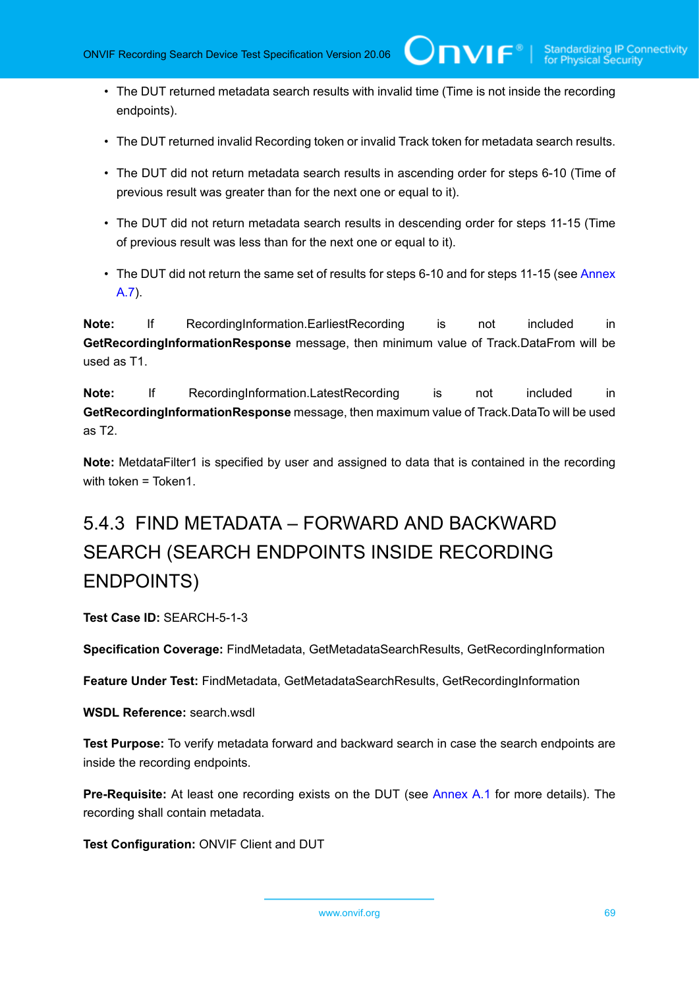• The DUT returned metadata search results with invalid time (Time is not inside the recording endpoints).

 $\bigcup$ NVIF $^\circ$ l

- The DUT returned invalid Recording token or invalid Track token for metadata search results.
- The DUT did not return metadata search results in ascending order for steps 6-10 (Time of previous result was greater than for the next one or equal to it).
- The DUT did not return metadata search results in descending order for steps 11-15 (Time of previous result was less than for the next one or equal to it).
- The DUT did not return the same set of results for steps 6-10 and for steps 11-15 (see [Annex](#page-105-0) [A.7\)](#page-105-0).

**Note:** If RecordingInformation.EarliestRecording is not included in **GetRecordingInformationResponse** message, then minimum value of Track.DataFrom will be used as T1.

**Note:** If RecordingInformation.LatestRecording is not included in **GetRecordingInformationResponse** message, then maximum value of Track.DataTo will be used as T2.

**Note:** MetdataFilter1 is specified by user and assigned to data that is contained in the recording with token = Token1.

# 5.4.3 FIND METADATA – FORWARD AND BACKWARD SEARCH (SEARCH ENDPOINTS INSIDE RECORDING ENDPOINTS)

**Test Case ID:** SEARCH-5-1-3

**Specification Coverage:** FindMetadata, GetMetadataSearchResults, GetRecordingInformation

**Feature Under Test:** FindMetadata, GetMetadataSearchResults, GetRecordingInformation

**WSDL Reference:** search.wsdl

**Test Purpose:** To verify metadata forward and backward search in case the search endpoints are inside the recording endpoints.

**Pre-Requisite:** At least one recording exists on the DUT (see [Annex A.1](#page-101-0) for more details). The recording shall contain metadata.

**Test Configuration:** ONVIF Client and DUT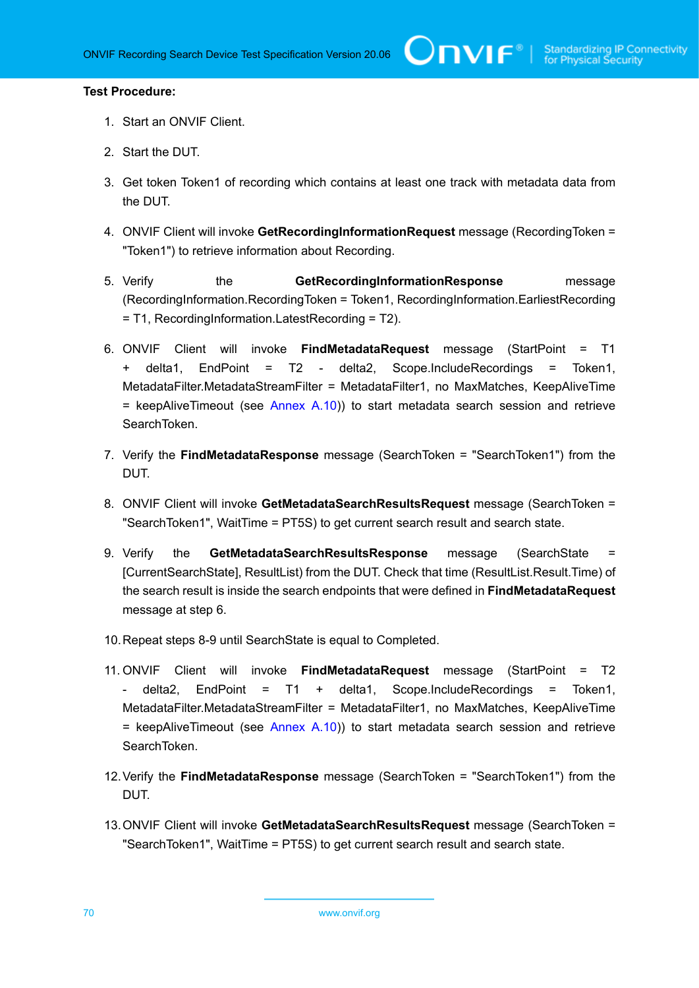- 1. Start an ONVIF Client.
- 2. Start the DUT.
- 3. Get token Token1 of recording which contains at least one track with metadata data from the DUT.
- 4. ONVIF Client will invoke **GetRecordingInformationRequest** message (RecordingToken = "Token1") to retrieve information about Recording.
- 5. Verify the **GetRecordingInformationResponse** message (RecordingInformation.RecordingToken = Token1, RecordingInformation.EarliestRecording = T1, RecordingInformation.LatestRecording = T2).
- 6. ONVIF Client will invoke **FindMetadataRequest** message (StartPoint = T1 + delta1, EndPoint = T2 - delta2, Scope.IncludeRecordings = Token1, MetadataFilter.MetadataStreamFilter = MetadataFilter1, no MaxMatches, KeepAliveTime  $=$  keepAliveTimeout (see [Annex A.10](#page-108-0))) to start metadata search session and retrieve SearchToken.
- 7. Verify the **FindMetadataResponse** message (SearchToken = "SearchToken1") from the DUT.
- 8. ONVIF Client will invoke **GetMetadataSearchResultsRequest** message (SearchToken = "SearchToken1", WaitTime = PT5S) to get current search result and search state.
- 9. Verify the **GetMetadataSearchResultsResponse** message (SearchState [CurrentSearchState], ResultList) from the DUT. Check that time (ResultList.Result.Time) of the search result is inside the search endpoints that were defined in **FindMetadataRequest** message at step 6.
- 10.Repeat steps 8-9 until SearchState is equal to Completed.
- 11. ONVIF Client will invoke **FindMetadataRequest** message (StartPoint = T2 - delta2, EndPoint = T1 + delta1, Scope.IncludeRecordings = Token1, MetadataFilter.MetadataStreamFilter = MetadataFilter1, no MaxMatches, KeepAliveTime  $=$  keepAliveTimeout (see [Annex A.10](#page-108-0))) to start metadata search session and retrieve SearchToken.
- 12.Verify the **FindMetadataResponse** message (SearchToken = "SearchToken1") from the DUT.
- 13.ONVIF Client will invoke **GetMetadataSearchResultsRequest** message (SearchToken = "SearchToken1", WaitTime = PT5S) to get current search result and search state.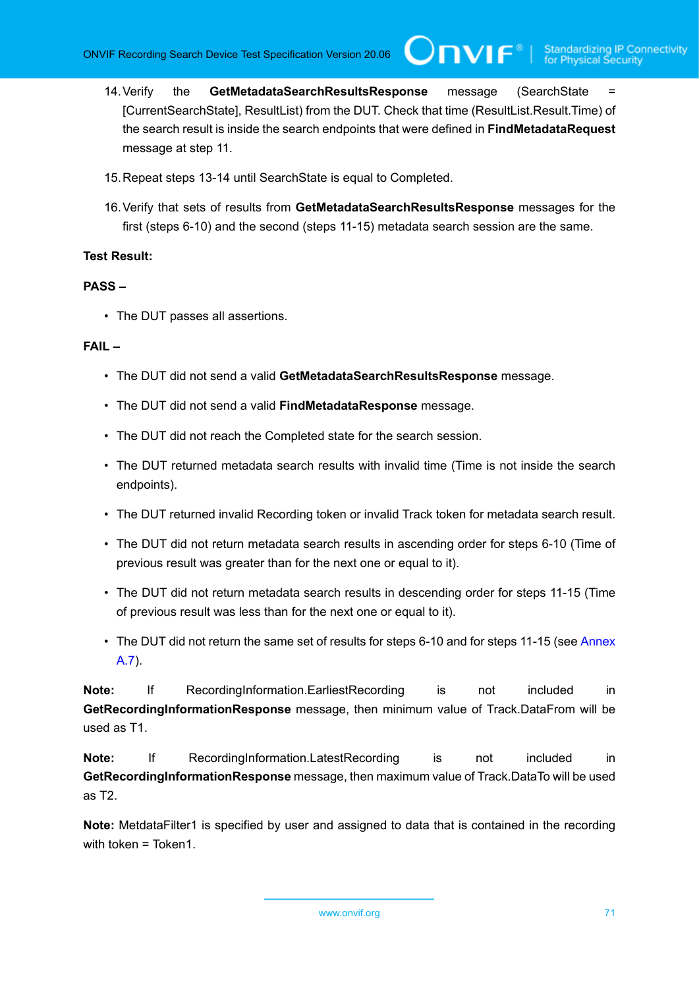IVIF®I

- 14.Verify the **GetMetadataSearchResultsResponse** message (SearchState = [CurrentSearchState], ResultList) from the DUT. Check that time (ResultList.Result.Time) of the search result is inside the search endpoints that were defined in **FindMetadataRequest** message at step 11.
- 15.Repeat steps 13-14 until SearchState is equal to Completed.
- 16.Verify that sets of results from **GetMetadataSearchResultsResponse** messages for the first (steps 6-10) and the second (steps 11-15) metadata search session are the same.

#### **Test Result:**

### **PASS –**

• The DUT passes all assertions.

#### **FAIL –**

- The DUT did not send a valid **GetMetadataSearchResultsResponse** message.
- The DUT did not send a valid **FindMetadataResponse** message.
- The DUT did not reach the Completed state for the search session.
- The DUT returned metadata search results with invalid time (Time is not inside the search endpoints).
- The DUT returned invalid Recording token or invalid Track token for metadata search result.
- The DUT did not return metadata search results in ascending order for steps 6-10 (Time of previous result was greater than for the next one or equal to it).
- The DUT did not return metadata search results in descending order for steps 11-15 (Time of previous result was less than for the next one or equal to it).
- The DUT did not return the same set of results for steps 6-10 and for steps 11-15 (see [Annex](#page-105-0) [A.7\)](#page-105-0).

**Note:** If RecordingInformation.EarliestRecording is not included in **GetRecordingInformationResponse** message, then minimum value of Track.DataFrom will be used as T1.

**Note:** If RecordingInformation.LatestRecording is not included in **GetRecordingInformationResponse** message, then maximum value of Track.DataTo will be used as T2.

**Note:** MetdataFilter1 is specified by user and assigned to data that is contained in the recording with token = Token1.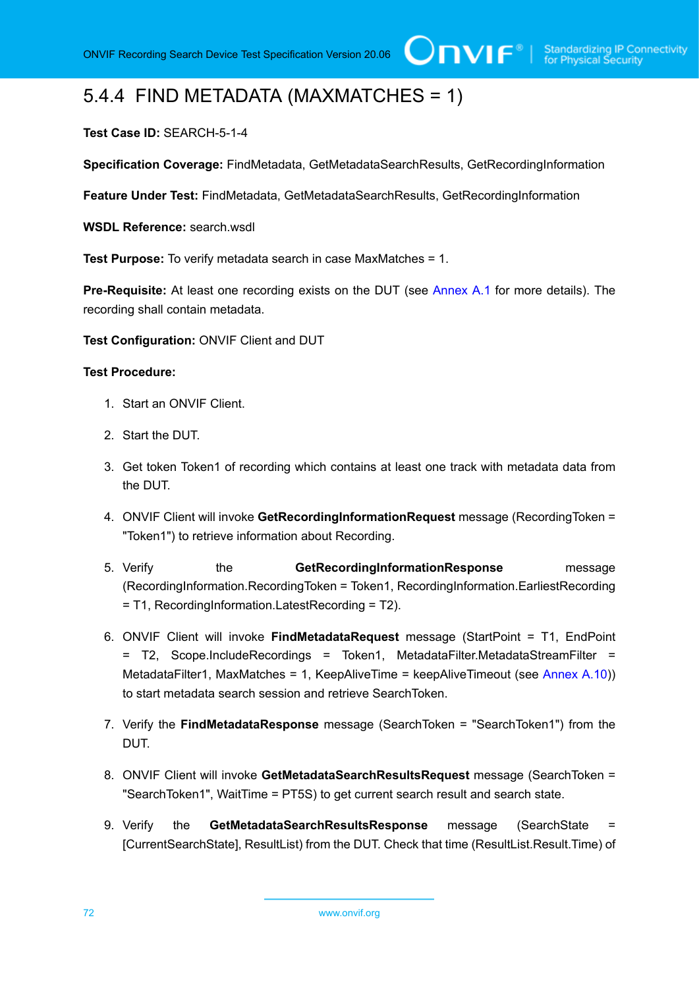# 5.4.4 FIND METADATA (MAXMATCHES = 1)

# **Test Case ID:** SEARCH-5-1-4

**Specification Coverage:** FindMetadata, GetMetadataSearchResults, GetRecordingInformation

**Feature Under Test:** FindMetadata, GetMetadataSearchResults, GetRecordingInformation

**WSDL Reference:** search.wsdl

**Test Purpose:** To verify metadata search in case MaxMatches = 1.

**Pre-Requisite:** At least one recording exists on the DUT (see [Annex A.1](#page-101-0) for more details). The recording shall contain metadata.

**Test Configuration:** ONVIF Client and DUT

#### **Test Procedure:**

- 1. Start an ONVIF Client.
- 2. Start the DUT.
- 3. Get token Token1 of recording which contains at least one track with metadata data from the DUT.
- 4. ONVIF Client will invoke **GetRecordingInformationRequest** message (RecordingToken = "Token1") to retrieve information about Recording.
- 5. Verify the **GetRecordingInformationResponse** message (RecordingInformation.RecordingToken = Token1, RecordingInformation.EarliestRecording = T1, RecordingInformation.LatestRecording = T2).
- 6. ONVIF Client will invoke **FindMetadataRequest** message (StartPoint = T1, EndPoint = T2, Scope.IncludeRecordings = Token1, MetadataFilter.MetadataStreamFilter = MetadataFilter1, MaxMatches = 1, KeepAliveTime = keepAliveTimeout (see [Annex A.10](#page-108-0))) to start metadata search session and retrieve SearchToken.
- 7. Verify the **FindMetadataResponse** message (SearchToken = "SearchToken1") from the DUT.
- 8. ONVIF Client will invoke **GetMetadataSearchResultsRequest** message (SearchToken = "SearchToken1", WaitTime = PT5S) to get current search result and search state.
- 9. Verify the **GetMetadataSearchResultsResponse** message (SearchState = [CurrentSearchState], ResultList) from the DUT. Check that time (ResultList.Result.Time) of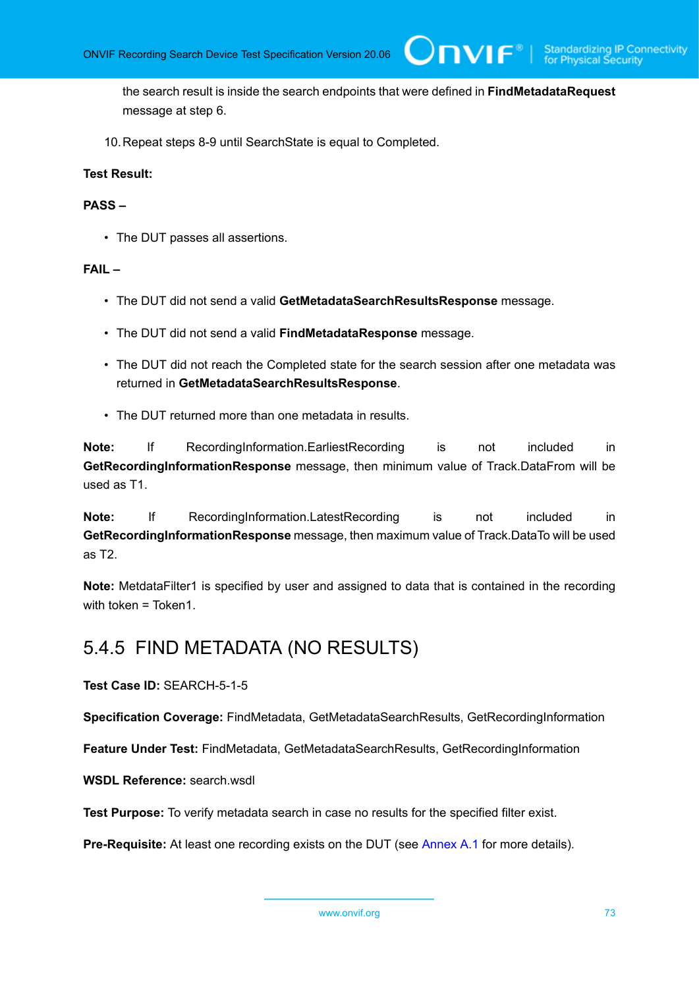the search result is inside the search endpoints that were defined in **FindMetadataRequest** message at step 6.

 $\bm{\cup}$ NIF $^*$ l

10.Repeat steps 8-9 until SearchState is equal to Completed.

#### **Test Result:**

#### **PASS –**

• The DUT passes all assertions.

#### **FAIL –**

- The DUT did not send a valid **GetMetadataSearchResultsResponse** message.
- The DUT did not send a valid **FindMetadataResponse** message.
- The DUT did not reach the Completed state for the search session after one metadata was returned in **GetMetadataSearchResultsResponse**.
- The DUT returned more than one metadata in results.

**Note:** If RecordingInformation.EarliestRecording is not included in **GetRecordingInformationResponse** message, then minimum value of Track.DataFrom will be used as T1.

**Note:** If RecordingInformation.LatestRecording is not included in **GetRecordingInformationResponse** message, then maximum value of Track.DataTo will be used as T2.

**Note:** MetdataFilter1 is specified by user and assigned to data that is contained in the recording with token = Token1.

### 5.4.5 FIND METADATA (NO RESULTS)

**Test Case ID:** SEARCH-5-1-5

**Specification Coverage:** FindMetadata, GetMetadataSearchResults, GetRecordingInformation

**Feature Under Test:** FindMetadata, GetMetadataSearchResults, GetRecordingInformation

**WSDL Reference:** search.wsdl

**Test Purpose:** To verify metadata search in case no results for the specified filter exist.

**Pre-Requisite:** At least one recording exists on the DUT (see [Annex A.1](#page-101-0) for more details).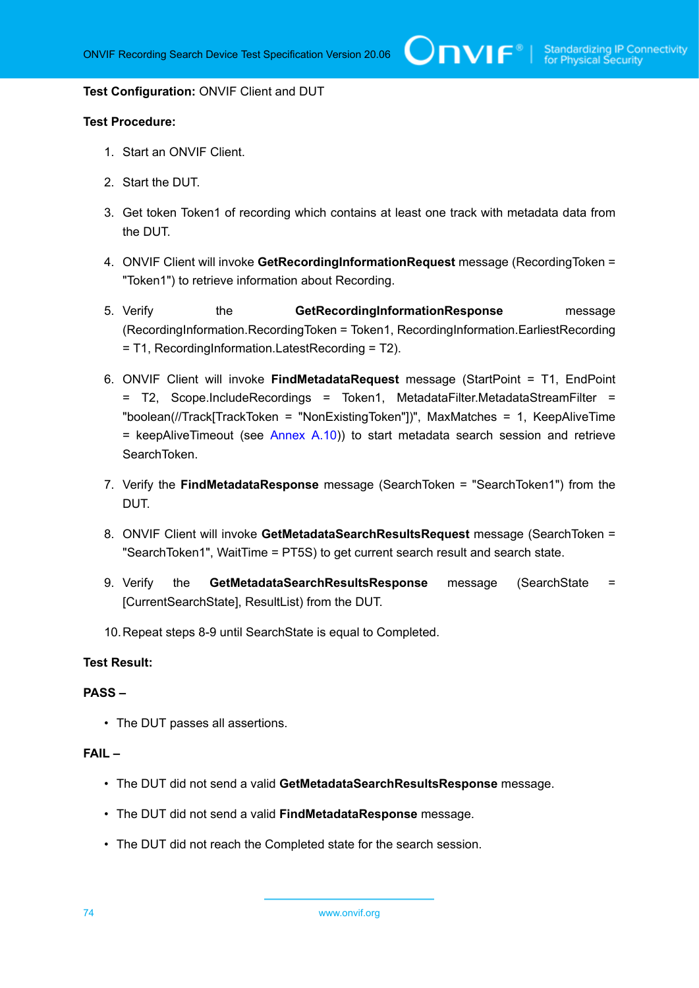#### **Test Configuration:** ONVIF Client and DUT

#### **Test Procedure:**

- 1. Start an ONVIF Client.
- 2. Start the DUT.
- 3. Get token Token1 of recording which contains at least one track with metadata data from the DUT.
- 4. ONVIF Client will invoke **GetRecordingInformationRequest** message (RecordingToken = "Token1") to retrieve information about Recording.
- 5. Verify the **GetRecordingInformationResponse** message (RecordingInformation.RecordingToken = Token1, RecordingInformation.EarliestRecording = T1, RecordingInformation.LatestRecording = T2).
- 6. ONVIF Client will invoke **FindMetadataRequest** message (StartPoint = T1, EndPoint = T2, Scope.IncludeRecordings = Token1, MetadataFilter.MetadataStreamFilter = "boolean(//Track[TrackToken = "NonExistingToken"])", MaxMatches = 1, KeepAliveTime  $=$  keepAliveTimeout (see [Annex A.10](#page-108-0))) to start metadata search session and retrieve SearchToken.
- 7. Verify the **FindMetadataResponse** message (SearchToken = "SearchToken1") from the DUT.
- 8. ONVIF Client will invoke **GetMetadataSearchResultsRequest** message (SearchToken = "SearchToken1", WaitTime = PT5S) to get current search result and search state.
- 9. Verify the **GetMetadataSearchResultsResponse** message (SearchState = [CurrentSearchState], ResultList) from the DUT.
- 10.Repeat steps 8-9 until SearchState is equal to Completed.

#### **Test Result:**

#### **PASS –**

• The DUT passes all assertions.

#### **FAIL –**

- The DUT did not send a valid **GetMetadataSearchResultsResponse** message.
- The DUT did not send a valid **FindMetadataResponse** message.
- The DUT did not reach the Completed state for the search session.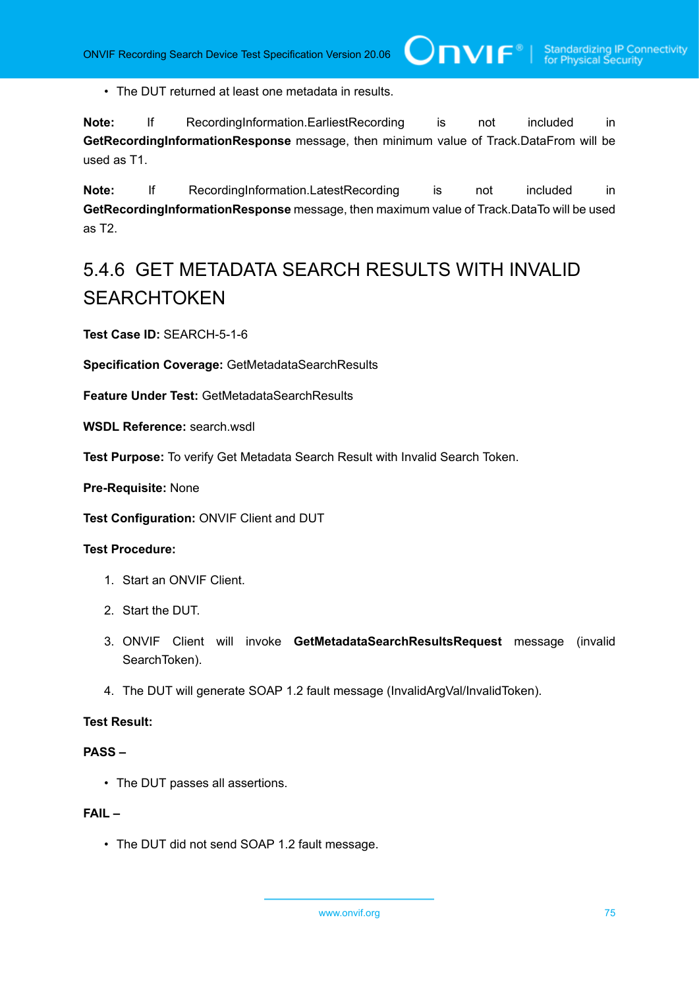• The DUT returned at least one metadata in results.

**Note:** If RecordingInformation.EarliestRecording is not included in **GetRecordingInformationResponse** message, then minimum value of Track.DataFrom will be used as T1.

**Note:** If RecordingInformation.LatestRecording is not included in **GetRecordingInformationResponse** message, then maximum value of Track.DataTo will be used as T2.

## 5.4.6 GET METADATA SEARCH RESULTS WITH INVALID **SEARCHTOKEN**

**Test Case ID:** SEARCH-5-1-6

**Specification Coverage:** GetMetadataSearchResults

**Feature Under Test:** GetMetadataSearchResults

**WSDL Reference:** search.wsdl

**Test Purpose:** To verify Get Metadata Search Result with Invalid Search Token.

**Pre-Requisite:** None

**Test Configuration:** ONVIF Client and DUT

#### **Test Procedure:**

- 1. Start an ONVIF Client.
- 2. Start the DUT.
- 3. ONVIF Client will invoke **GetMetadataSearchResultsRequest** message (invalid SearchToken).
- 4. The DUT will generate SOAP 1.2 fault message (InvalidArgVal/InvalidToken).

#### **Test Result:**

#### **PASS –**

• The DUT passes all assertions.

#### **FAIL –**

• The DUT did not send SOAP 1.2 fault message.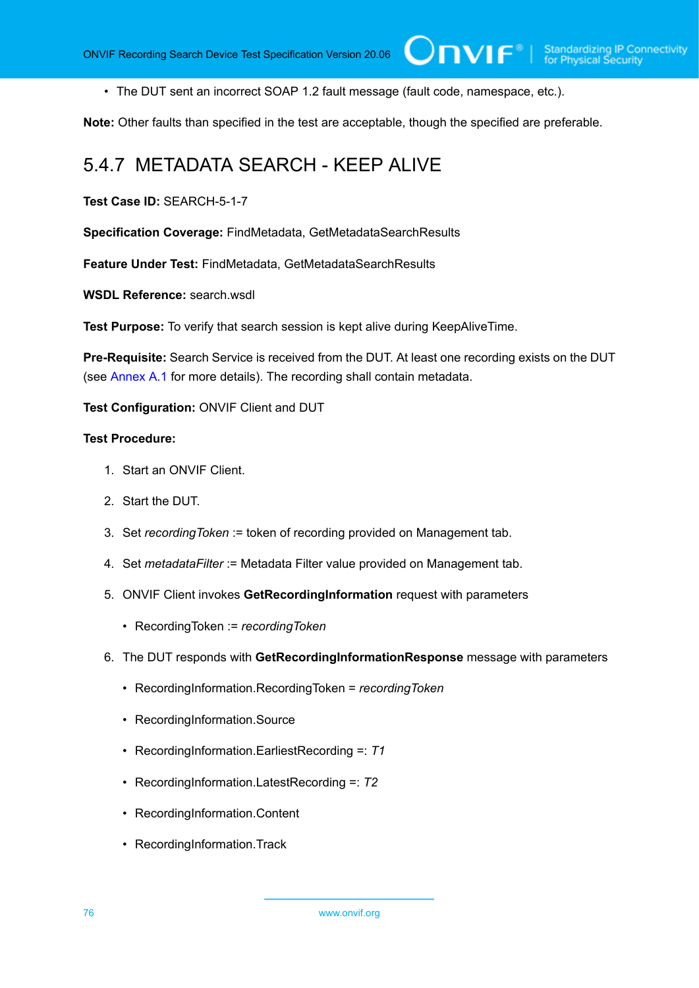• The DUT sent an incorrect SOAP 1.2 fault message (fault code, namespace, etc.).

**Note:** Other faults than specified in the test are acceptable, though the specified are preferable.

 $\square$ nvif ${}^*$ l

### 5.4.7 METADATA SEARCH - KEEP ALIVE

**Test Case ID:** SEARCH-5-1-7

**Specification Coverage:** FindMetadata, GetMetadataSearchResults

**Feature Under Test:** FindMetadata, GetMetadataSearchResults

**WSDL Reference:** search.wsdl

**Test Purpose:** To verify that search session is kept alive during KeepAliveTime.

**Pre-Requisite:** Search Service is received from the DUT. At least one recording exists on the DUT (see [Annex A.1](#page-101-0) for more details). The recording shall contain metadata.

**Test Configuration:** ONVIF Client and DUT

- 1. Start an ONVIF Client.
- 2. Start the DUT.
- 3. Set *recordingToken* := token of recording provided on Management tab.
- 4. Set *metadataFilter* := Metadata Filter value provided on Management tab.
- 5. ONVIF Client invokes **GetRecordingInformation** request with parameters
	- RecordingToken := *recordingToken*
- 6. The DUT responds with **GetRecordingInformationResponse** message with parameters
	- RecordingInformation.RecordingToken = *recordingToken*
	- RecordingInformation.Source
	- RecordingInformation.EarliestRecording =: *T1*
	- RecordingInformation.LatestRecording =: *T2*
	- RecordingInformation.Content
	- RecordingInformation.Track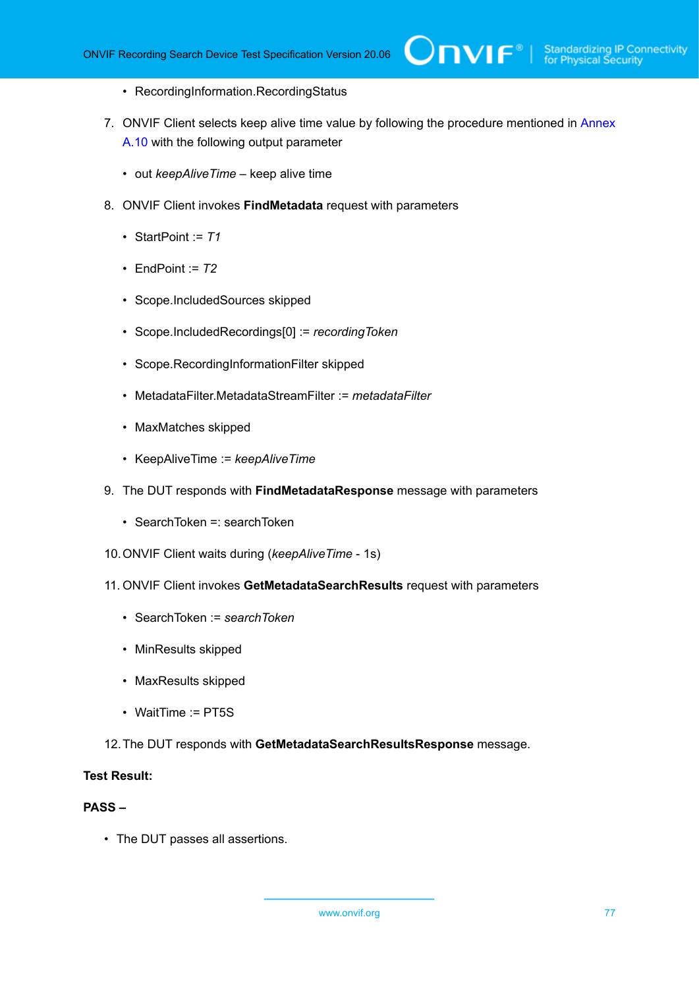- RecordingInformation.RecordingStatus
- 7. ONVIF Client selects keep alive time value by following the procedure mentioned in [Annex](#page-108-0) [A.10](#page-108-0) with the following output parameter
	- out *keepAliveTime* keep alive time
- 8. ONVIF Client invokes **FindMetadata** request with parameters
	- StartPoint := *T1*
	- EndPoint  $= 72$
	- Scope.IncludedSources skipped
	- Scope.IncludedRecordings[0] := *recordingToken*
	- Scope.RecordingInformationFilter skipped
	- MetadataFilter.MetadataStreamFilter := *metadataFilter*
	- MaxMatches skipped
	- KeepAliveTime := *keepAliveTime*
- 9. The DUT responds with **FindMetadataResponse** message with parameters
	- SearchToken =: searchToken
- 10.ONVIF Client waits during (*keepAliveTime* 1s)
- 11. ONVIF Client invokes **GetMetadataSearchResults** request with parameters
	- SearchToken := *searchToken*
	- MinResults skipped
	- MaxResults skipped
	- WaitTime := PT5S
- 12.The DUT responds with **GetMetadataSearchResultsResponse** message.

#### **Test Result:**

#### **PASS –**

• The DUT passes all assertions.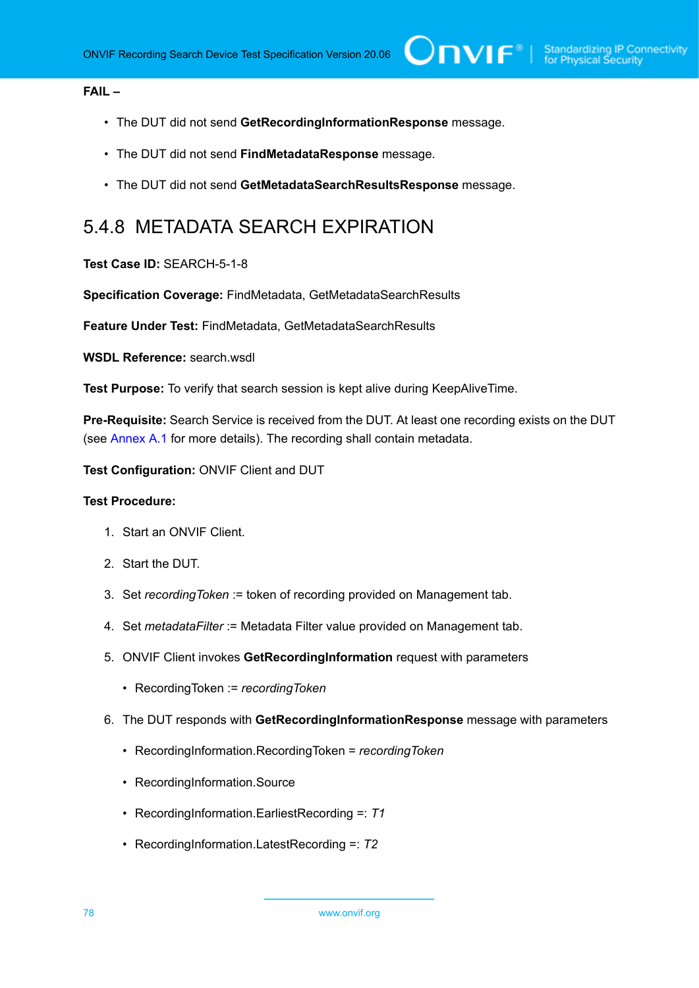#### **FAIL –**

- The DUT did not send **GetRecordingInformationResponse** message.
- The DUT did not send **FindMetadataResponse** message.
- The DUT did not send **GetMetadataSearchResultsResponse** message.

### 5.4.8 METADATA SEARCH EXPIRATION

#### **Test Case ID:** SEARCH-5-1-8

**Specification Coverage:** FindMetadata, GetMetadataSearchResults

**Feature Under Test:** FindMetadata, GetMetadataSearchResults

**WSDL Reference:** search.wsdl

**Test Purpose:** To verify that search session is kept alive during KeepAliveTime.

**Pre-Requisite:** Search Service is received from the DUT. At least one recording exists on the DUT (see [Annex A.1](#page-101-0) for more details). The recording shall contain metadata.

**Test Configuration:** ONVIF Client and DUT

- 1. Start an ONVIF Client.
- 2. Start the DUT.
- 3. Set *recordingToken* := token of recording provided on Management tab.
- 4. Set *metadataFilter* := Metadata Filter value provided on Management tab.
- 5. ONVIF Client invokes **GetRecordingInformation** request with parameters
	- RecordingToken := *recordingToken*
- 6. The DUT responds with **GetRecordingInformationResponse** message with parameters
	- RecordingInformation.RecordingToken = *recordingToken*
	- RecordingInformation.Source
	- RecordingInformation.EarliestRecording =: *T1*
	- RecordingInformation.LatestRecording =: *T2*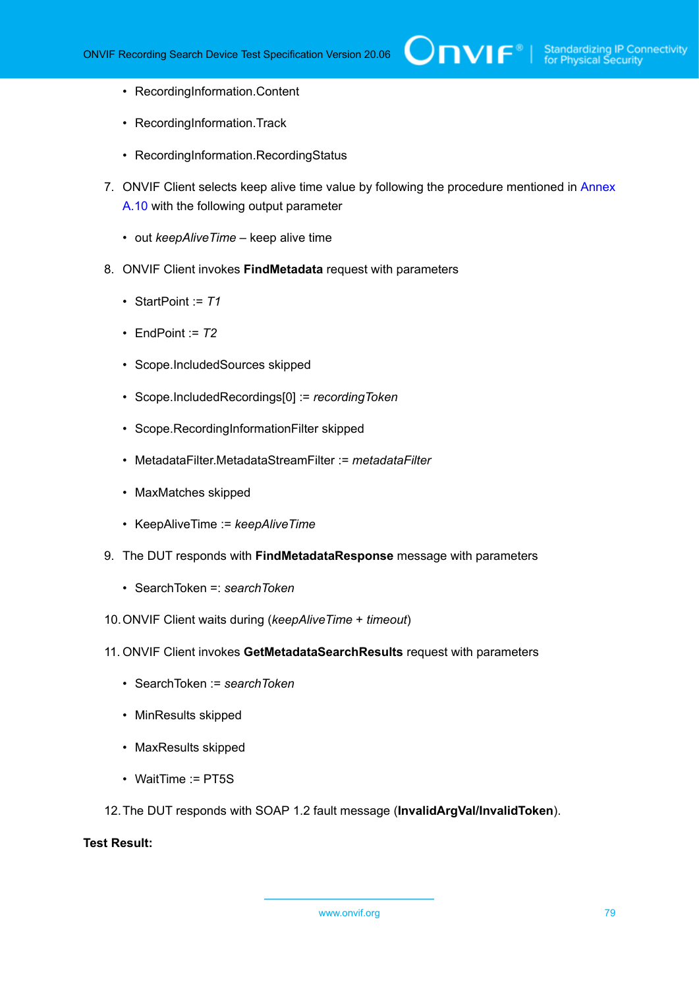- RecordingInformation.Content
- RecordingInformation.Track
- RecordingInformation.RecordingStatus
- 7. ONVIF Client selects keep alive time value by following the procedure mentioned in [Annex](#page-108-0) [A.10](#page-108-0) with the following output parameter
	- out *keepAliveTime* keep alive time
- 8. ONVIF Client invokes **FindMetadata** request with parameters
	- StartPoint := *T1*
	- EndPoint := *T2*
	- Scope.IncludedSources skipped
	- Scope.IncludedRecordings[0] := *recordingToken*
	- Scope.RecordingInformationFilter skipped
	- MetadataFilter.MetadataStreamFilter := *metadataFilter*
	- MaxMatches skipped
	- KeepAliveTime := *keepAliveTime*
- 9. The DUT responds with **FindMetadataResponse** message with parameters
	- SearchToken =: *searchToken*
- 10.ONVIF Client waits during (*keepAliveTime* + *timeout*)
- 11. ONVIF Client invokes **GetMetadataSearchResults** request with parameters
	- SearchToken := *searchToken*
	- MinResults skipped
	- MaxResults skipped
	- WaitTime := PT5S
- 12.The DUT responds with SOAP 1.2 fault message (**InvalidArgVal/InvalidToken**).

#### **Test Result:**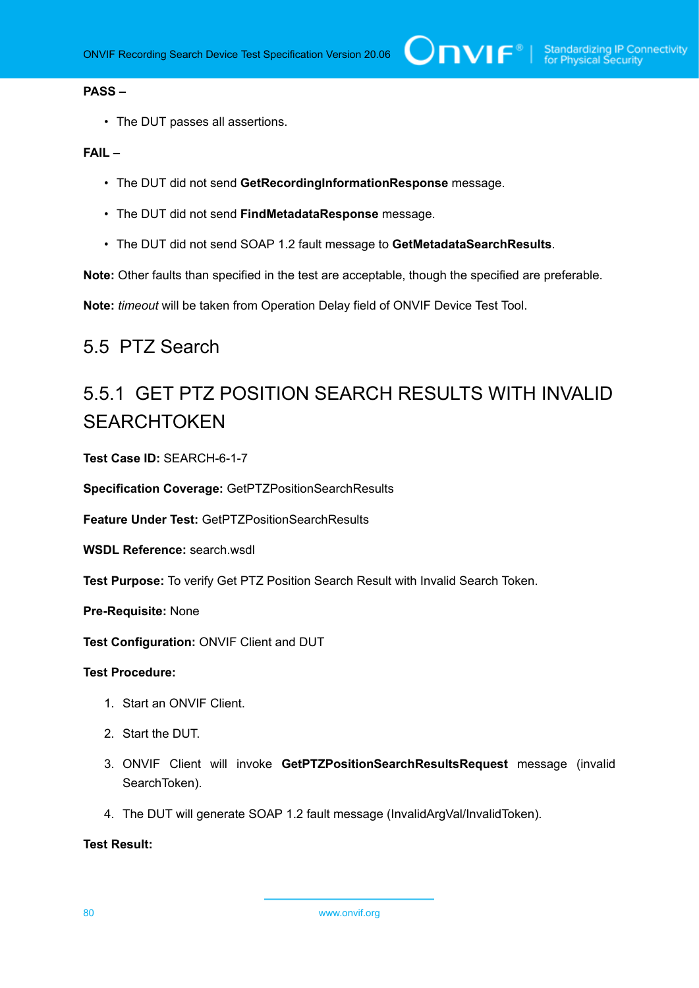#### **PASS –**

• The DUT passes all assertions.

#### **FAIL –**

- The DUT did not send **GetRecordingInformationResponse** message.
- The DUT did not send **FindMetadataResponse** message.
- The DUT did not send SOAP 1.2 fault message to **GetMetadataSearchResults**.

**Note:** Other faults than specified in the test are acceptable, though the specified are preferable.

**Note:** *timeout* will be taken from Operation Delay field of ONVIF Device Test Tool.

### 5.5 PTZ Search

## 5.5.1 GET PTZ POSITION SEARCH RESULTS WITH INVALID **SEARCHTOKEN**

**Test Case ID:** SEARCH-6-1-7

**Specification Coverage:** GetPTZPositionSearchResults

**Feature Under Test:** GetPTZPositionSearchResults

**WSDL Reference:** search.wsdl

**Test Purpose:** To verify Get PTZ Position Search Result with Invalid Search Token.

**Pre-Requisite:** None

**Test Configuration:** ONVIF Client and DUT

#### **Test Procedure:**

- 1. Start an ONVIF Client.
- 2. Start the DUT.
- 3. ONVIF Client will invoke **GetPTZPositionSearchResultsRequest** message (invalid SearchToken).
- 4. The DUT will generate SOAP 1.2 fault message (InvalidArgVal/InvalidToken).

#### **Test Result:**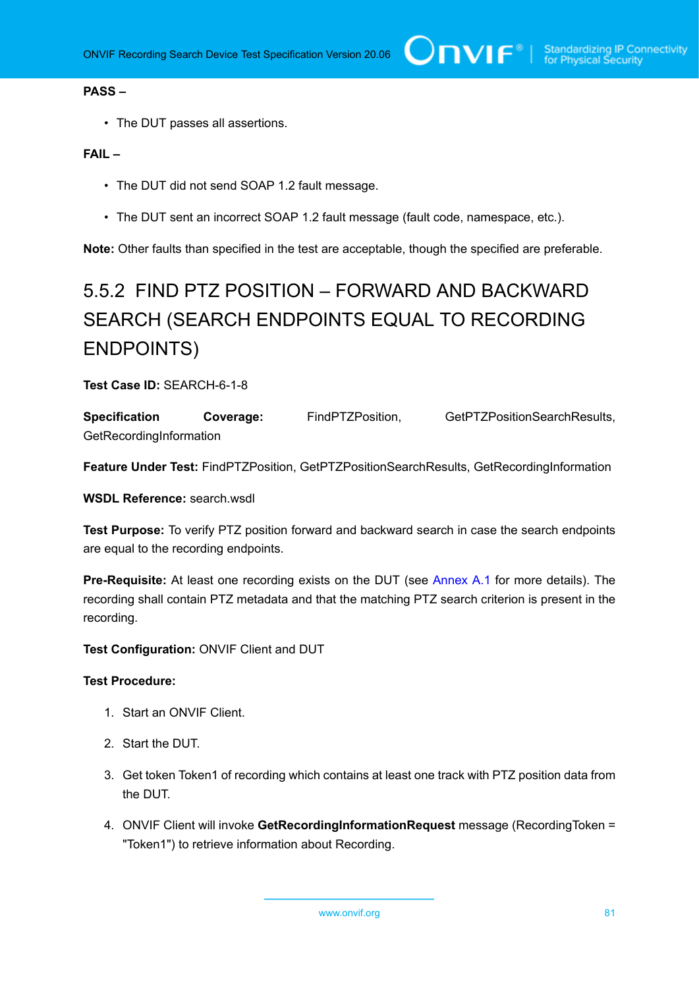#### **PASS –**

• The DUT passes all assertions.

#### **FAIL –**

- The DUT did not send SOAP 1.2 fault message.
- The DUT sent an incorrect SOAP 1.2 fault message (fault code, namespace, etc.).

**Note:** Other faults than specified in the test are acceptable, though the specified are preferable.

# 5.5.2 FIND PTZ POSITION – FORWARD AND BACKWARD SEARCH (SEARCH ENDPOINTS EQUAL TO RECORDING ENDPOINTS)

#### **Test Case ID:** SEARCH-6-1-8

| <b>Specification</b>    | Coverage: | FindPTZPosition, | GetPTZPositionSearchResults, |
|-------------------------|-----------|------------------|------------------------------|
| GetRecordingInformation |           |                  |                              |

**Feature Under Test:** FindPTZPosition, GetPTZPositionSearchResults, GetRecordingInformation

**WSDL Reference:** search.wsdl

**Test Purpose:** To verify PTZ position forward and backward search in case the search endpoints are equal to the recording endpoints.

**Pre-Requisite:** At least one recording exists on the DUT (see [Annex A.1](#page-101-0) for more details). The recording shall contain PTZ metadata and that the matching PTZ search criterion is present in the recording.

**Test Configuration:** ONVIF Client and DUT

#### **Test Procedure:**

- 1. Start an ONVIF Client.
- 2. Start the DUT.
- 3. Get token Token1 of recording which contains at least one track with PTZ position data from the DUT.
- 4. ONVIF Client will invoke **GetRecordingInformationRequest** message (RecordingToken = "Token1") to retrieve information about Recording.

www.onvif.org 81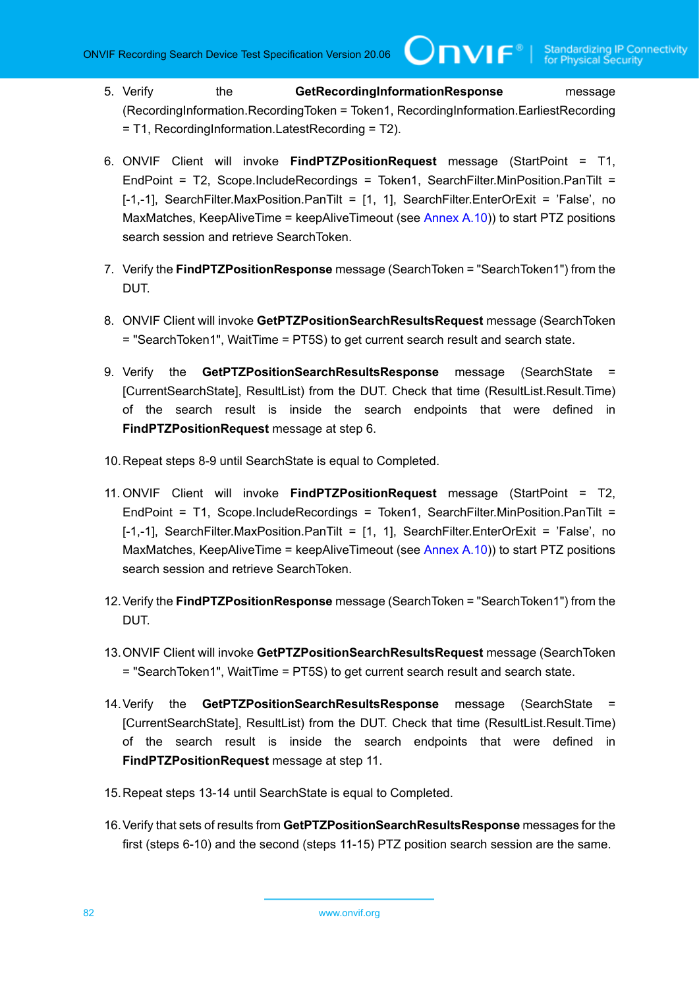- 5. Verify the **GetRecordingInformationResponse** message (RecordingInformation.RecordingToken = Token1, RecordingInformation.EarliestRecording = T1, RecordingInformation.LatestRecording = T2).
- 6. ONVIF Client will invoke **FindPTZPositionRequest** message (StartPoint = T1, EndPoint = T2, Scope.IncludeRecordings = Token1, SearchFilter.MinPosition.PanTilt = [-1,-1], SearchFilter.MaxPosition.PanTilt = [1, 1], SearchFilter.EnterOrExit = 'False', no MaxMatches, KeepAliveTime = keepAliveTimeout (see [Annex A.10](#page-108-0))) to start PTZ positions search session and retrieve SearchToken.
- 7. Verify the **FindPTZPositionResponse** message (SearchToken = "SearchToken1") from the DUT.
- 8. ONVIF Client will invoke **GetPTZPositionSearchResultsRequest** message (SearchToken = "SearchToken1", WaitTime = PT5S) to get current search result and search state.
- 9. Verify the **GetPTZPositionSearchResultsResponse** message (SearchState [CurrentSearchState], ResultList) from the DUT. Check that time (ResultList.Result.Time) of the search result is inside the search endpoints that were defined in **FindPTZPositionRequest** message at step 6.
- 10.Repeat steps 8-9 until SearchState is equal to Completed.
- 11. ONVIF Client will invoke **FindPTZPositionRequest** message (StartPoint = T2, EndPoint = T1, Scope.IncludeRecordings = Token1, SearchFilter.MinPosition.PanTilt = [-1,-1], SearchFilter.MaxPosition.PanTilt = [1, 1], SearchFilter.EnterOrExit = 'False', no MaxMatches, KeepAliveTime = keepAliveTimeout (see [Annex A.10](#page-108-0))) to start PTZ positions search session and retrieve SearchToken.
- 12.Verify the **FindPTZPositionResponse** message (SearchToken = "SearchToken1") from the DUT.
- 13.ONVIF Client will invoke **GetPTZPositionSearchResultsRequest** message (SearchToken = "SearchToken1", WaitTime = PT5S) to get current search result and search state.
- 14.Verify the **GetPTZPositionSearchResultsResponse** message (SearchState = [CurrentSearchState], ResultList) from the DUT. Check that time (ResultList.Result.Time) of the search result is inside the search endpoints that were defined in **FindPTZPositionRequest** message at step 11.
- 15.Repeat steps 13-14 until SearchState is equal to Completed.
- 16.Verify that sets of results from **GetPTZPositionSearchResultsResponse** messages for the first (steps 6-10) and the second (steps 11-15) PTZ position search session are the same.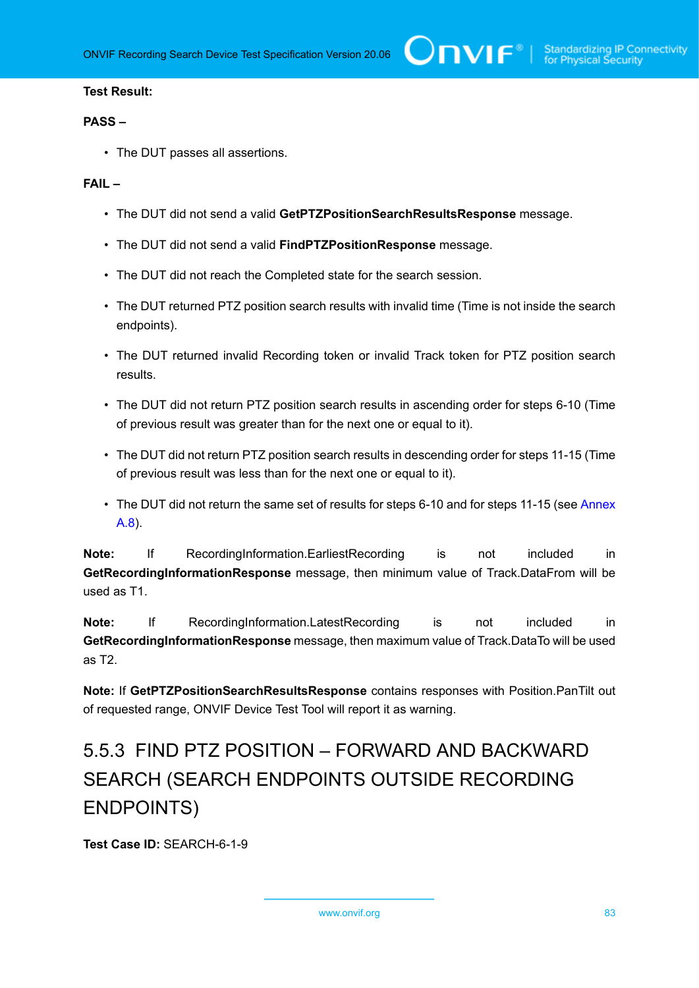$\bigcirc$  MVI  $\mathsf{F}^{\mathsf{e}}$  | Standardizing IP Connectivity

#### **Test Result:**

#### **PASS –**

• The DUT passes all assertions.

#### **FAIL –**

- The DUT did not send a valid **GetPTZPositionSearchResultsResponse** message.
- The DUT did not send a valid **FindPTZPositionResponse** message.
- The DUT did not reach the Completed state for the search session.
- The DUT returned PTZ position search results with invalid time (Time is not inside the search endpoints).
- The DUT returned invalid Recording token or invalid Track token for PTZ position search results.
- The DUT did not return PTZ position search results in ascending order for steps 6-10 (Time of previous result was greater than for the next one or equal to it).
- The DUT did not return PTZ position search results in descending order for steps 11-15 (Time of previous result was less than for the next one or equal to it).
- The DUT did not return the same set of results for steps 6-10 and for steps 11-15 (see [Annex](#page-105-0) [A.8\)](#page-105-0).

**Note:** If RecordingInformation.EarliestRecording is not included in **GetRecordingInformationResponse** message, then minimum value of Track.DataFrom will be used as T1.

**Note:** If RecordingInformation.LatestRecording is not included in **GetRecordingInformationResponse** message, then maximum value of Track.DataTo will be used as T2.

**Note:** If **GetPTZPositionSearchResultsResponse** contains responses with Position.PanTilt out of requested range, ONVIF Device Test Tool will report it as warning.

# 5.5.3 FIND PTZ POSITION – FORWARD AND BACKWARD SEARCH (SEARCH ENDPOINTS OUTSIDE RECORDING ENDPOINTS)

**Test Case ID:** SEARCH-6-1-9

www.onvif.org 83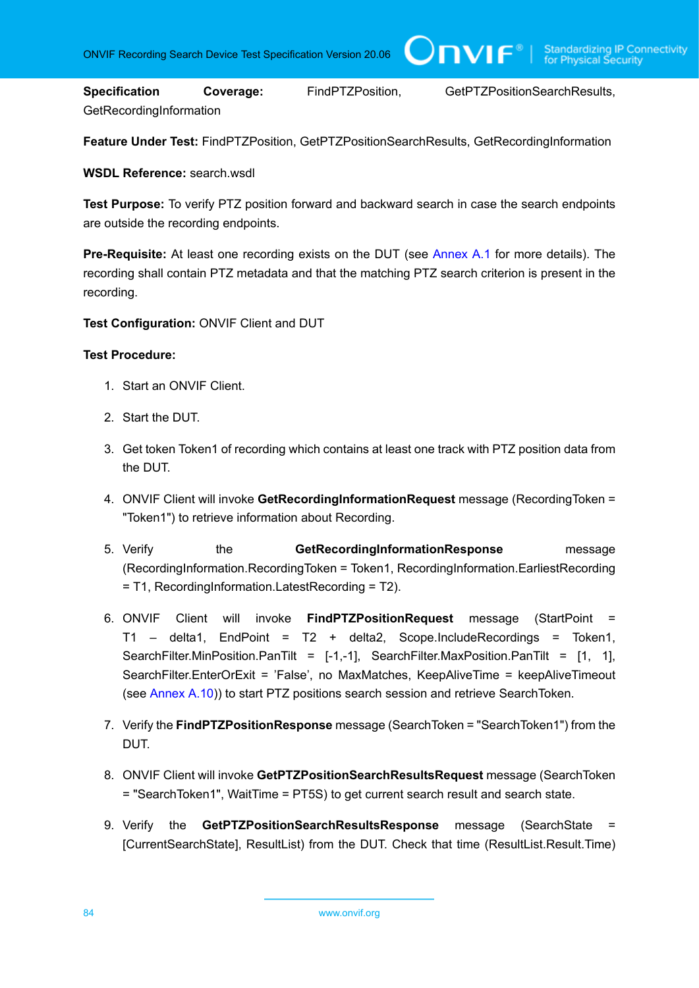**Specification Coverage:** FindPTZPosition, GetPTZPositionSearchResults, GetRecordingInformation

TVIF®

**Feature Under Test:** FindPTZPosition, GetPTZPositionSearchResults, GetRecordingInformation

**WSDL Reference:** search.wsdl

**Test Purpose:** To verify PTZ position forward and backward search in case the search endpoints are outside the recording endpoints.

**Pre-Requisite:** At least one recording exists on the DUT (see [Annex A.1](#page-101-0) for more details). The recording shall contain PTZ metadata and that the matching PTZ search criterion is present in the recording.

**Test Configuration:** ONVIF Client and DUT

- 1. Start an ONVIF Client.
- 2. Start the DUT.
- 3. Get token Token1 of recording which contains at least one track with PTZ position data from the DUT.
- 4. ONVIF Client will invoke **GetRecordingInformationRequest** message (RecordingToken = "Token1") to retrieve information about Recording.
- 5. Verify the **GetRecordingInformationResponse** message (RecordingInformation.RecordingToken = Token1, RecordingInformation.EarliestRecording = T1, RecordingInformation.LatestRecording = T2).
- 6. ONVIF Client will invoke **FindPTZPositionRequest** message (StartPoint = T1 – delta1, EndPoint = T2 + delta2, Scope.IncludeRecordings = Token1, SearchFilter.MinPosition.PanTilt =  $[-1,-1]$ , SearchFilter.MaxPosition.PanTilt =  $[1, 1]$ , SearchFilter.EnterOrExit = 'False', no MaxMatches, KeepAliveTime = keepAliveTimeout (see [Annex A.10](#page-108-0))) to start PTZ positions search session and retrieve SearchToken.
- 7. Verify the **FindPTZPositionResponse** message (SearchToken = "SearchToken1") from the DUT.
- 8. ONVIF Client will invoke **GetPTZPositionSearchResultsRequest** message (SearchToken = "SearchToken1", WaitTime = PT5S) to get current search result and search state.
- 9. Verify the **GetPTZPositionSearchResultsResponse** message (SearchState = [CurrentSearchState], ResultList) from the DUT. Check that time (ResultList.Result.Time)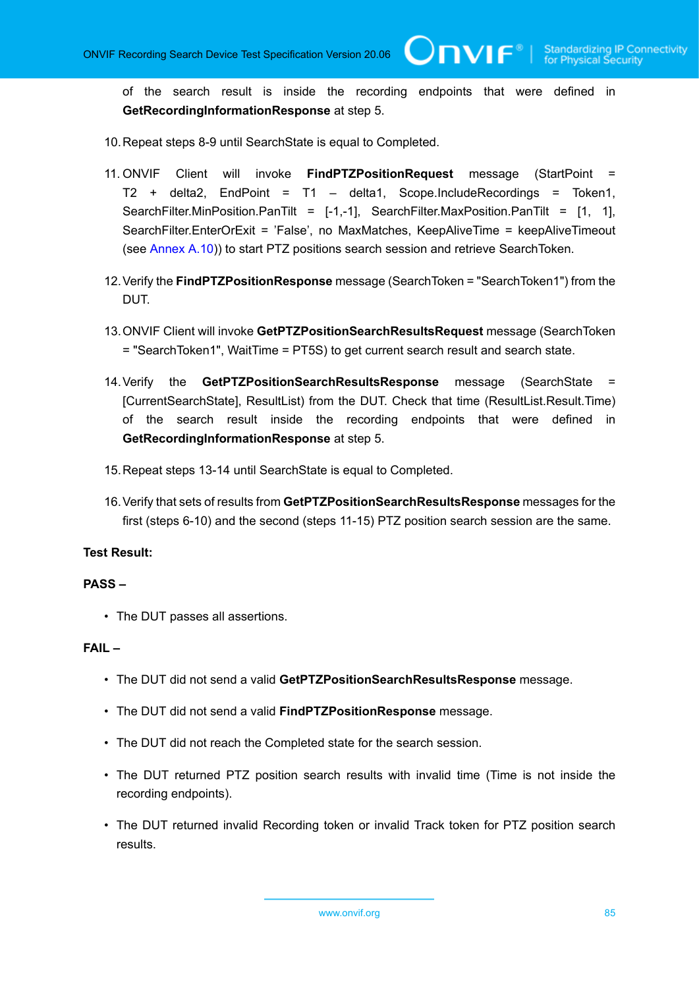of the search result is inside the recording endpoints that were defined in **GetRecordingInformationResponse** at step 5.

 $\bigcirc$ nvif $^{\circ}$ l

10.Repeat steps 8-9 until SearchState is equal to Completed.

- 11. ONVIF Client will invoke **FindPTZPositionRequest** message (StartPoint = T2 + delta2, EndPoint = T1 – delta1, Scope.IncludeRecordings = Token1, SearchFilter.MinPosition.PanTilt =  $[-1,-1]$ , SearchFilter.MaxPosition.PanTilt =  $[1, 1]$ , SearchFilter.EnterOrExit = 'False', no MaxMatches, KeepAliveTime = keepAliveTimeout (see [Annex A.10](#page-108-0))) to start PTZ positions search session and retrieve SearchToken.
- 12.Verify the **FindPTZPositionResponse** message (SearchToken = "SearchToken1") from the DUT.
- 13.ONVIF Client will invoke **GetPTZPositionSearchResultsRequest** message (SearchToken = "SearchToken1", WaitTime = PT5S) to get current search result and search state.
- 14.Verify the **GetPTZPositionSearchResultsResponse** message (SearchState = [CurrentSearchState], ResultList) from the DUT. Check that time (ResultList.Result.Time) of the search result inside the recording endpoints that were defined in **GetRecordingInformationResponse** at step 5.
- 15.Repeat steps 13-14 until SearchState is equal to Completed.
- 16.Verify that sets of results from **GetPTZPositionSearchResultsResponse** messages for the first (steps 6-10) and the second (steps 11-15) PTZ position search session are the same.

#### **Test Result:**

#### **PASS –**

• The DUT passes all assertions.

#### **FAIL –**

- The DUT did not send a valid **GetPTZPositionSearchResultsResponse** message.
- The DUT did not send a valid **FindPTZPositionResponse** message.
- The DUT did not reach the Completed state for the search session.
- The DUT returned PTZ position search results with invalid time (Time is not inside the recording endpoints).
- The DUT returned invalid Recording token or invalid Track token for PTZ position search results.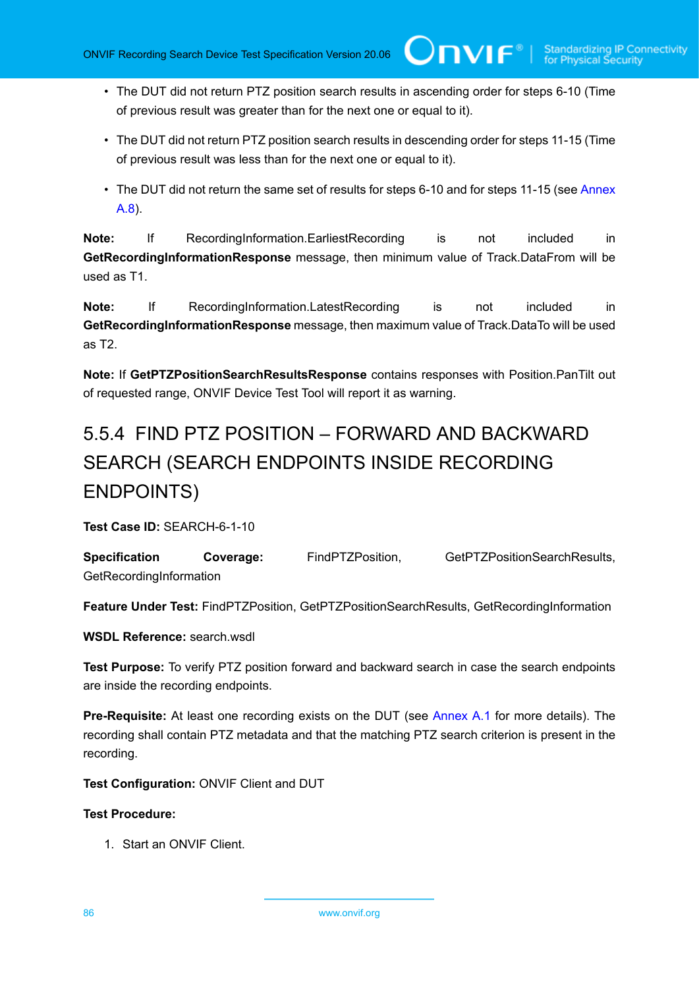• The DUT did not return PTZ position search results in ascending order for steps 6-10 (Time of previous result was greater than for the next one or equal to it).

 $\mathsf{Onv}\mathsf{IF}^*$ l

- The DUT did not return PTZ position search results in descending order for steps 11-15 (Time of previous result was less than for the next one or equal to it).
- The DUT did not return the same set of results for steps 6-10 and for steps 11-15 (see [Annex](#page-105-0) [A.8\)](#page-105-0).

**Note:** If RecordingInformation.EarliestRecording is not included in **GetRecordingInformationResponse** message, then minimum value of Track.DataFrom will be used as T1.

**Note:** If RecordingInformation.LatestRecording is not included in **GetRecordingInformationResponse** message, then maximum value of Track.DataTo will be used as T2.

**Note:** If **GetPTZPositionSearchResultsResponse** contains responses with Position.PanTilt out of requested range, ONVIF Device Test Tool will report it as warning.

# 5.5.4 FIND PTZ POSITION – FORWARD AND BACKWARD SEARCH (SEARCH ENDPOINTS INSIDE RECORDING ENDPOINTS)

**Test Case ID:** SEARCH-6-1-10

**Specification Coverage:** FindPTZPosition, GetPTZPositionSearchResults, **GetRecordingInformation** 

**Feature Under Test:** FindPTZPosition, GetPTZPositionSearchResults, GetRecordingInformation

**WSDL Reference:** search.wsdl

**Test Purpose:** To verify PTZ position forward and backward search in case the search endpoints are inside the recording endpoints.

**Pre-Requisite:** At least one recording exists on the DUT (see [Annex A.1](#page-101-0) for more details). The recording shall contain PTZ metadata and that the matching PTZ search criterion is present in the recording.

**Test Configuration:** ONVIF Client and DUT

#### **Test Procedure:**

1. Start an ONVIF Client.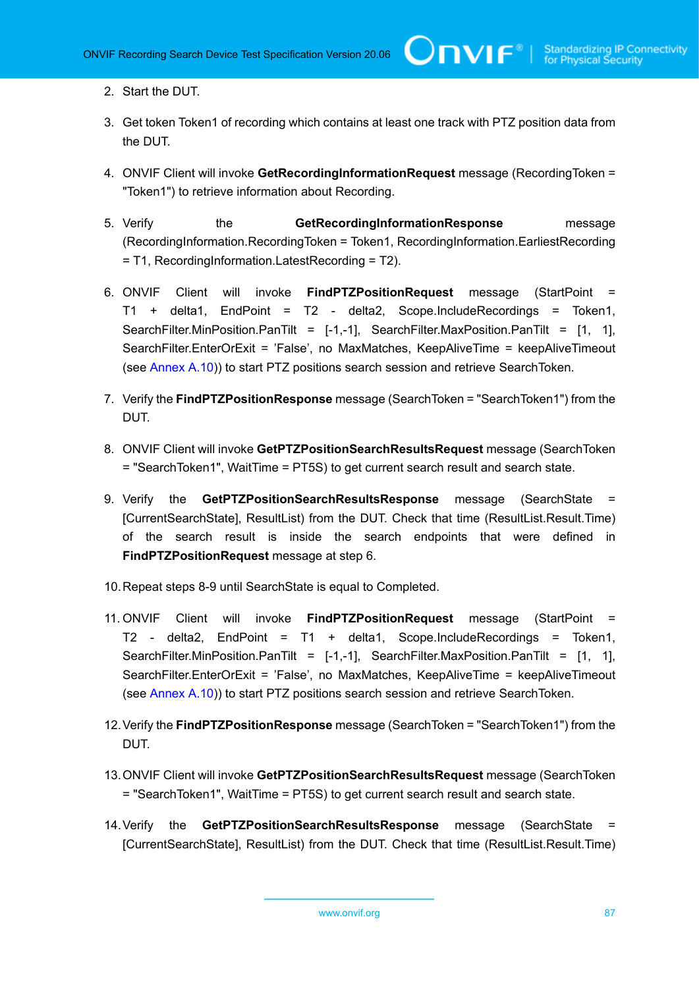- 2. Start the DUT.
- 3. Get token Token1 of recording which contains at least one track with PTZ position data from the DUT.
- 4. ONVIF Client will invoke **GetRecordingInformationRequest** message (RecordingToken = "Token1") to retrieve information about Recording.
- 5. Verify the **GetRecordingInformationResponse** message (RecordingInformation.RecordingToken = Token1, RecordingInformation.EarliestRecording = T1, RecordingInformation.LatestRecording = T2).
- 6. ONVIF Client will invoke **FindPTZPositionRequest** message (StartPoint = T1 + delta1, EndPoint = T2 - delta2, Scope.IncludeRecordings = Token1, SearchFilter.MinPosition.PanTilt =  $[-1,-1]$ , SearchFilter.MaxPosition.PanTilt =  $[1, 1]$ , SearchFilter.EnterOrExit = 'False', no MaxMatches, KeepAliveTime = keepAliveTimeout (see [Annex A.10](#page-108-0))) to start PTZ positions search session and retrieve SearchToken.
- 7. Verify the **FindPTZPositionResponse** message (SearchToken = "SearchToken1") from the DUT.
- 8. ONVIF Client will invoke **GetPTZPositionSearchResultsRequest** message (SearchToken = "SearchToken1", WaitTime = PT5S) to get current search result and search state.
- 9. Verify the **GetPTZPositionSearchResultsResponse** message (SearchState = [CurrentSearchState], ResultList) from the DUT. Check that time (ResultList.Result.Time) of the search result is inside the search endpoints that were defined in **FindPTZPositionRequest** message at step 6.
- 10.Repeat steps 8-9 until SearchState is equal to Completed.
- 11. ONVIF Client will invoke **FindPTZPositionRequest** message (StartPoint = T2 - delta2, EndPoint = T1 + delta1, Scope.IncludeRecordings = Token1, SearchFilter.MinPosition.PanTilt =  $[-1,-1]$ , SearchFilter.MaxPosition.PanTilt =  $[1, 1]$ , SearchFilter.EnterOrExit = 'False', no MaxMatches, KeepAliveTime = keepAliveTimeout (see [Annex A.10](#page-108-0))) to start PTZ positions search session and retrieve SearchToken.
- 12.Verify the **FindPTZPositionResponse** message (SearchToken = "SearchToken1") from the DUT.
- 13.ONVIF Client will invoke **GetPTZPositionSearchResultsRequest** message (SearchToken = "SearchToken1", WaitTime = PT5S) to get current search result and search state.
- 14.Verify the **GetPTZPositionSearchResultsResponse** message (SearchState = [CurrentSearchState], ResultList) from the DUT. Check that time (ResultList.Result.Time)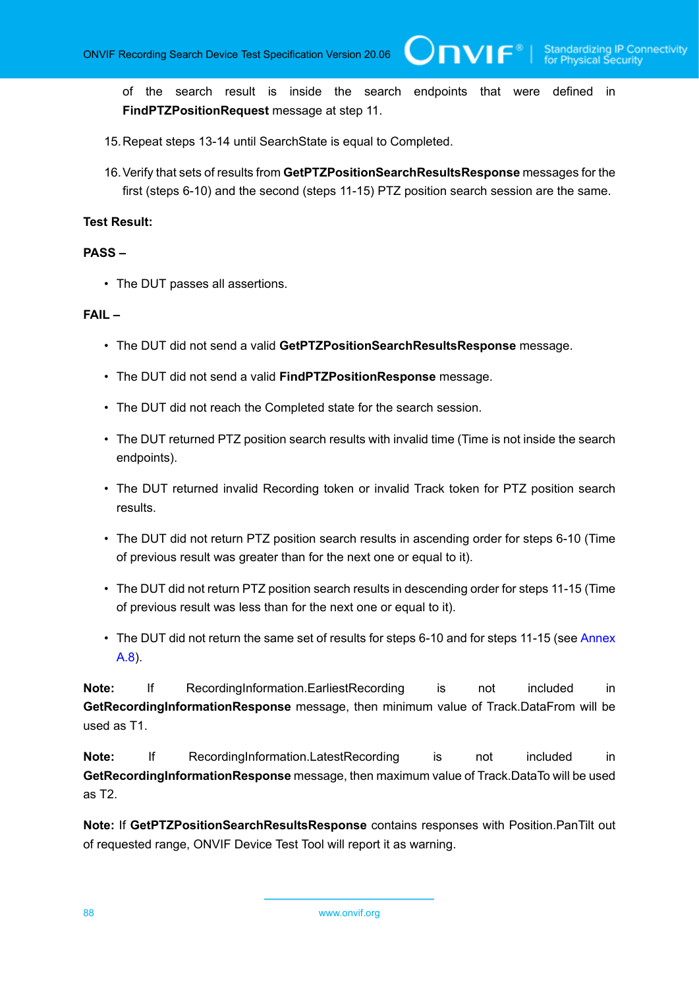IVIF®

of the search result is inside the search endpoints that were defined in **FindPTZPositionRequest** message at step 11.

- 15.Repeat steps 13-14 until SearchState is equal to Completed.
- 16.Verify that sets of results from **GetPTZPositionSearchResultsResponse** messages for the first (steps 6-10) and the second (steps 11-15) PTZ position search session are the same.

#### **Test Result:**

#### **PASS –**

• The DUT passes all assertions.

#### **FAIL –**

- The DUT did not send a valid **GetPTZPositionSearchResultsResponse** message.
- The DUT did not send a valid **FindPTZPositionResponse** message.
- The DUT did not reach the Completed state for the search session.
- The DUT returned PTZ position search results with invalid time (Time is not inside the search endpoints).
- The DUT returned invalid Recording token or invalid Track token for PTZ position search results.
- The DUT did not return PTZ position search results in ascending order for steps 6-10 (Time of previous result was greater than for the next one or equal to it).
- The DUT did not return PTZ position search results in descending order for steps 11-15 (Time of previous result was less than for the next one or equal to it).
- The DUT did not return the same set of results for steps 6-10 and for steps 11-15 (see [Annex](#page-105-0) [A.8\)](#page-105-0).

**Note:** If RecordingInformation.EarliestRecording is not included in **GetRecordingInformationResponse** message, then minimum value of Track.DataFrom will be used as T1.

**Note:** If RecordingInformation.LatestRecording is not included in **GetRecordingInformationResponse** message, then maximum value of Track.DataTo will be used as T2.

**Note:** If **GetPTZPositionSearchResultsResponse** contains responses with Position.PanTilt out of requested range, ONVIF Device Test Tool will report it as warning.

88 www.onvif.org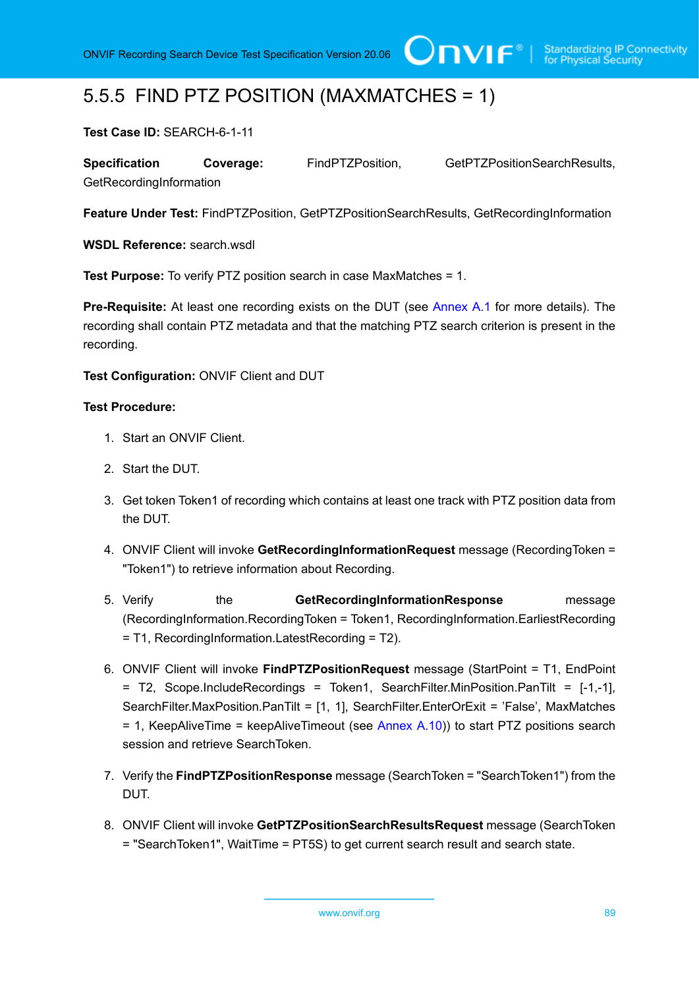### 5.5.5 FIND PTZ POSITION (MAXMATCHES = 1)

**Test Case ID:** SEARCH-6-1-11

**Specification Coverage:** FindPTZPosition, GetPTZPositionSearchResults, GetRecordingInformation

**Feature Under Test:** FindPTZPosition, GetPTZPositionSearchResults, GetRecordingInformation

**WSDL Reference:** search wsdl

**Test Purpose:** To verify PTZ position search in case MaxMatches = 1.

**Pre-Requisite:** At least one recording exists on the DUT (see [Annex A.1](#page-101-0) for more details). The recording shall contain PTZ metadata and that the matching PTZ search criterion is present in the recording.

**Test Configuration:** ONVIF Client and DUT

- 1. Start an ONVIF Client.
- 2. Start the DUT.
- 3. Get token Token1 of recording which contains at least one track with PTZ position data from the DUT.
- 4. ONVIF Client will invoke **GetRecordingInformationRequest** message (RecordingToken = "Token1") to retrieve information about Recording.
- 5. Verify the **GetRecordingInformationResponse** message (RecordingInformation.RecordingToken = Token1, RecordingInformation.EarliestRecording = T1, RecordingInformation.LatestRecording = T2).
- 6. ONVIF Client will invoke **FindPTZPositionRequest** message (StartPoint = T1, EndPoint = T2, Scope.IncludeRecordings = Token1, SearchFilter.MinPosition.PanTilt = [-1,-1], SearchFilter.MaxPosition.PanTilt = [1, 1], SearchFilter.EnterOrExit = 'False', MaxMatches = 1, KeepAliveTime = keepAliveTimeout (see [Annex A.10\)](#page-108-0)) to start PTZ positions search session and retrieve SearchToken.
- 7. Verify the **FindPTZPositionResponse** message (SearchToken = "SearchToken1") from the DUT.
- 8. ONVIF Client will invoke **GetPTZPositionSearchResultsRequest** message (SearchToken = "SearchToken1", WaitTime = PT5S) to get current search result and search state.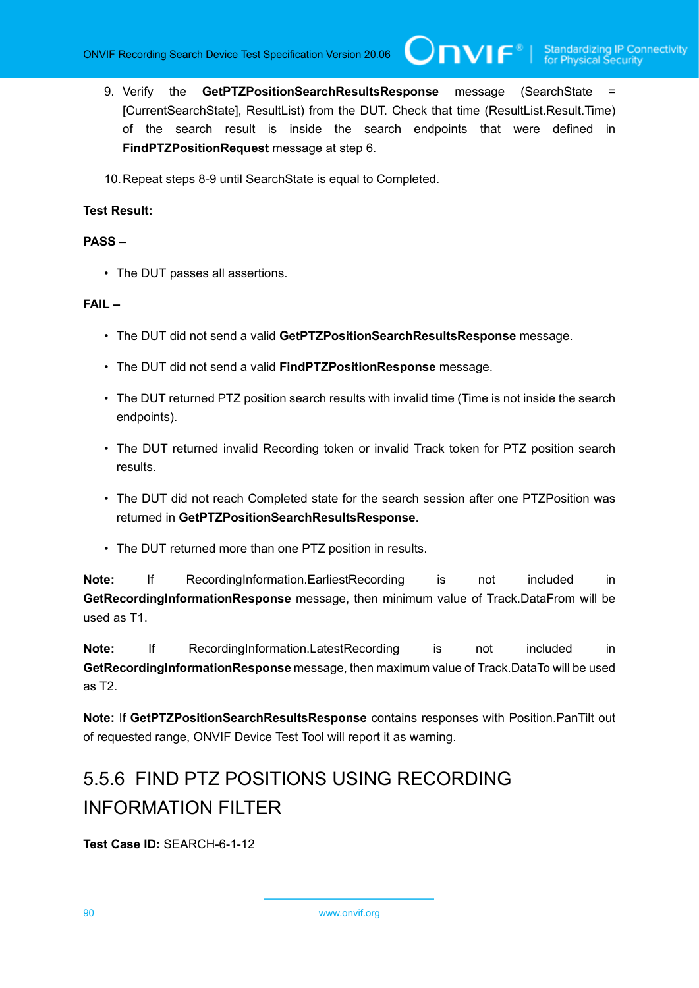9. Verify the **GetPTZPositionSearchResultsResponse** message (SearchState = [CurrentSearchState], ResultList) from the DUT. Check that time (ResultList.Result.Time) of the search result is inside the search endpoints that were defined in **FindPTZPositionRequest** message at step 6.

 $\bigcup$ NVIF $^\circ$ 

10.Repeat steps 8-9 until SearchState is equal to Completed.

#### **Test Result:**

#### **PASS –**

• The DUT passes all assertions.

#### **FAIL –**

- The DUT did not send a valid **GetPTZPositionSearchResultsResponse** message.
- The DUT did not send a valid **FindPTZPositionResponse** message.
- The DUT returned PTZ position search results with invalid time (Time is not inside the search endpoints).
- The DUT returned invalid Recording token or invalid Track token for PTZ position search results.
- The DUT did not reach Completed state for the search session after one PTZPosition was returned in **GetPTZPositionSearchResultsResponse**.
- The DUT returned more than one PTZ position in results.

**Note:** If RecordingInformation.EarliestRecording is not included in **GetRecordingInformationResponse** message, then minimum value of Track.DataFrom will be used as T1.

**Note:** If RecordingInformation.LatestRecording is not included in **GetRecordingInformationResponse** message, then maximum value of Track.DataTo will be used as T2.

**Note:** If **GetPTZPositionSearchResultsResponse** contains responses with Position.PanTilt out of requested range, ONVIF Device Test Tool will report it as warning.

# 5.5.6 FIND PTZ POSITIONS USING RECORDING INFORMATION FILTER

**Test Case ID:** SEARCH-6-1-12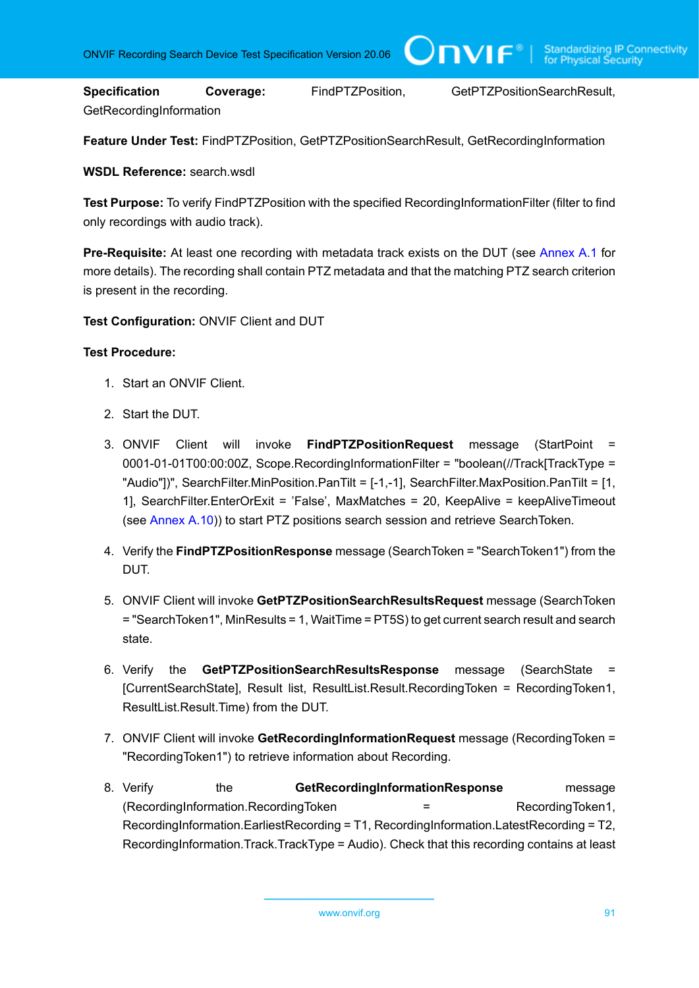**Specification Coverage:** FindPTZPosition, GetPTZPositionSearchResult, GetRecordingInformation

IVIF®

**Feature Under Test:** FindPTZPosition, GetPTZPositionSearchResult, GetRecordingInformation

**WSDL Reference:** search.wsdl

**Test Purpose:** To verify FindPTZPosition with the specified RecordingInformationFilter (filter to find only recordings with audio track).

**Pre-Requisite:** At least one recording with metadata track exists on the DUT (see [Annex A.1](#page-101-0) for more details). The recording shall contain PTZ metadata and that the matching PTZ search criterion is present in the recording.

**Test Configuration:** ONVIF Client and DUT

- 1. Start an ONVIF Client.
- 2. Start the DUT.
- 3. ONVIF Client will invoke **FindPTZPositionRequest** message (StartPoint = 0001-01-01T00:00:00Z, Scope.RecordingInformationFilter = "boolean(//Track[TrackType = "Audio"])", SearchFilter.MinPosition.PanTilt = [-1,-1], SearchFilter.MaxPosition.PanTilt = [1, 1], SearchFilter.EnterOrExit = 'False', MaxMatches = 20, KeepAlive = keepAliveTimeout (see [Annex A.10](#page-108-0))) to start PTZ positions search session and retrieve SearchToken.
- 4. Verify the **FindPTZPositionResponse** message (SearchToken = "SearchToken1") from the DUT.
- 5. ONVIF Client will invoke **GetPTZPositionSearchResultsRequest** message (SearchToken = "SearchToken1", MinResults = 1, WaitTime = PT5S) to get current search result and search state.
- 6. Verify the **GetPTZPositionSearchResultsResponse** message (SearchState = [CurrentSearchState], Result list, ResultList.Result.RecordingToken = RecordingToken1, ResultList.Result.Time) from the DUT.
- 7. ONVIF Client will invoke **GetRecordingInformationRequest** message (RecordingToken = "RecordingToken1") to retrieve information about Recording.
- 8. Verify the **GetRecordingInformationResponse** message (RecordingInformation.RecordingToken = RecordingToken1, RecordingInformation.EarliestRecording = T1, RecordingInformation.LatestRecording = T2, RecordingInformation.Track.TrackType = Audio). Check that this recording contains at least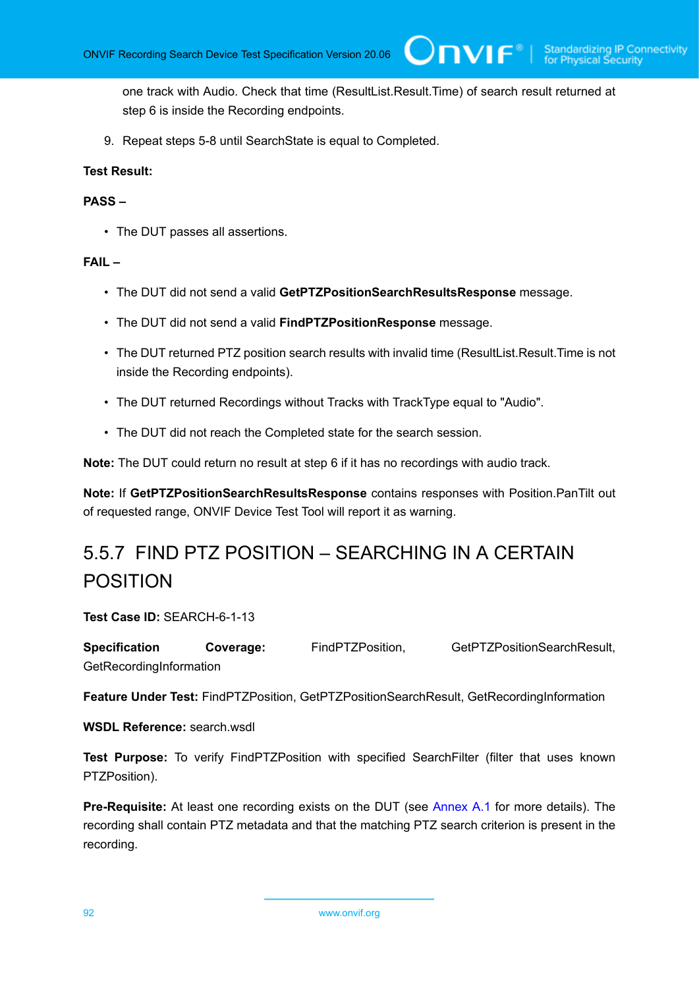one track with Audio. Check that time (ResultList.Result.Time) of search result returned at step 6 is inside the Recording endpoints.

 $\bm{\cup}$ NIF $^*$ l

9. Repeat steps 5-8 until SearchState is equal to Completed.

#### **Test Result:**

#### **PASS –**

• The DUT passes all assertions.

#### **FAIL –**

- The DUT did not send a valid **GetPTZPositionSearchResultsResponse** message.
- The DUT did not send a valid **FindPTZPositionResponse** message.
- The DUT returned PTZ position search results with invalid time (ResultList.Result.Time is not inside the Recording endpoints).
- The DUT returned Recordings without Tracks with TrackType equal to "Audio".
- The DUT did not reach the Completed state for the search session.

**Note:** The DUT could return no result at step 6 if it has no recordings with audio track.

**Note:** If **GetPTZPositionSearchResultsResponse** contains responses with Position.PanTilt out of requested range, ONVIF Device Test Tool will report it as warning.

# 5.5.7 FIND PTZ POSITION – SEARCHING IN A CERTAIN POSITION

**Test Case ID:** SEARCH-6-1-13

**Specification Coverage:** FindPTZPosition, GetPTZPositionSearchResult, **GetRecordingInformation** 

**Feature Under Test:** FindPTZPosition, GetPTZPositionSearchResult, GetRecordingInformation

**WSDL Reference:** search.wsdl

**Test Purpose:** To verify FindPTZPosition with specified SearchFilter (filter that uses known PTZPosition).

**Pre-Requisite:** At least one recording exists on the DUT (see [Annex A.1](#page-101-0) for more details). The recording shall contain PTZ metadata and that the matching PTZ search criterion is present in the recording.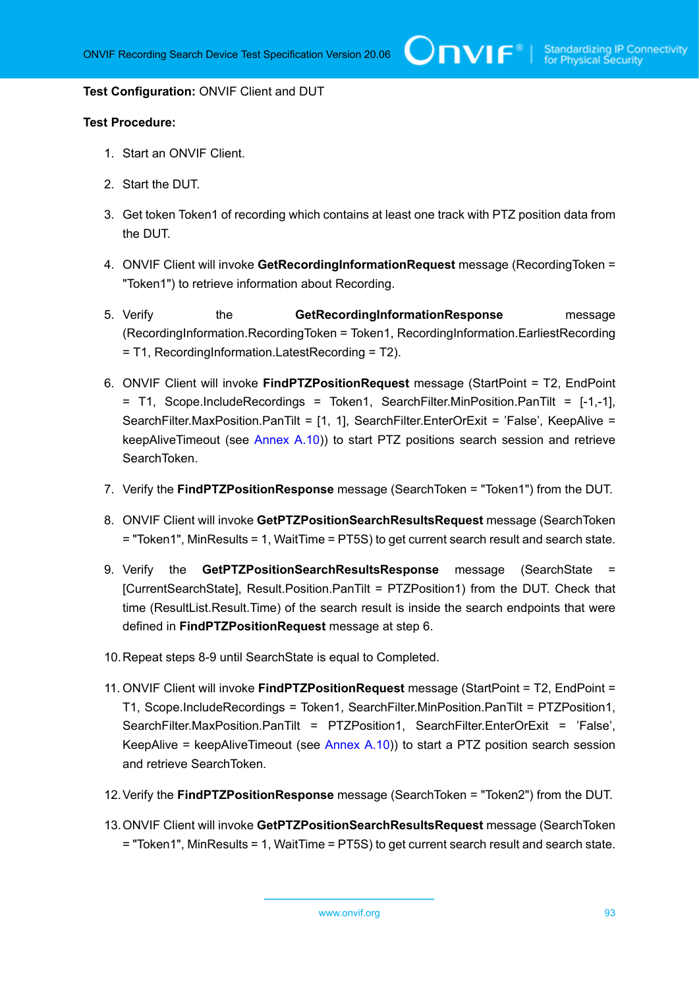#### **Test Configuration:** ONVIF Client and DUT

- 1. Start an ONVIF Client.
- 2. Start the DUT.
- 3. Get token Token1 of recording which contains at least one track with PTZ position data from the DUT.
- 4. ONVIF Client will invoke **GetRecordingInformationRequest** message (RecordingToken = "Token1") to retrieve information about Recording.
- 5. Verify the **GetRecordingInformationResponse** message (RecordingInformation.RecordingToken = Token1, RecordingInformation.EarliestRecording = T1, RecordingInformation.LatestRecording = T2).
- 6. ONVIF Client will invoke **FindPTZPositionRequest** message (StartPoint = T2, EndPoint = T1, Scope.IncludeRecordings = Token1, SearchFilter.MinPosition.PanTilt = [-1,-1], SearchFilter.MaxPosition.PanTilt = [1, 1], SearchFilter.EnterOrExit = 'False', KeepAlive = keepAliveTimeout (see [Annex A.10](#page-108-0))) to start PTZ positions search session and retrieve SearchToken.
- 7. Verify the **FindPTZPositionResponse** message (SearchToken = "Token1") from the DUT.
- 8. ONVIF Client will invoke **GetPTZPositionSearchResultsRequest** message (SearchToken = "Token1", MinResults = 1, WaitTime = PT5S) to get current search result and search state.
- 9. Verify the **GetPTZPositionSearchResultsResponse** message (SearchState = [CurrentSearchState], Result.Position.PanTilt = PTZPosition1) from the DUT. Check that time (ResultList.Result.Time) of the search result is inside the search endpoints that were defined in **FindPTZPositionRequest** message at step 6.
- 10.Repeat steps 8-9 until SearchState is equal to Completed.
- 11. ONVIF Client will invoke **FindPTZPositionRequest** message (StartPoint = T2, EndPoint = T1, Scope.IncludeRecordings = Token1, SearchFilter.MinPosition.PanTilt = PTZPosition1, SearchFilter.MaxPosition.PanTilt = PTZPosition1, SearchFilter.EnterOrExit = 'False', KeepAlive = keepAliveTimeout (see [Annex A.10](#page-108-0))) to start a PTZ position search session and retrieve SearchToken.
- 12.Verify the **FindPTZPositionResponse** message (SearchToken = "Token2") from the DUT.
- 13.ONVIF Client will invoke **GetPTZPositionSearchResultsRequest** message (SearchToken = "Token1", MinResults = 1, WaitTime = PT5S) to get current search result and search state.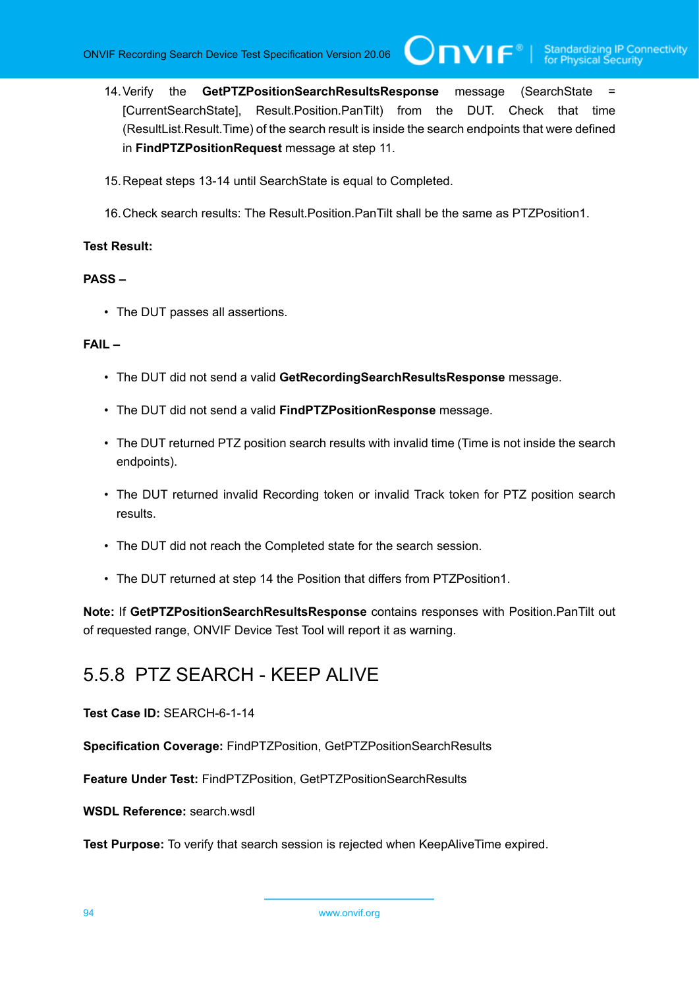14.Verify the **GetPTZPositionSearchResultsResponse** message (SearchState = [CurrentSearchState], Result.Position.PanTilt) from the DUT. Check that time (ResultList.Result.Time) of the search result is inside the search endpoints that were defined in **FindPTZPositionRequest** message at step 11.

 $\mathsf{ConvIF}^*$ l

- 15.Repeat steps 13-14 until SearchState is equal to Completed.
- 16.Check search results: The Result.Position.PanTilt shall be the same as PTZPosition1.

#### **Test Result:**

#### **PASS –**

• The DUT passes all assertions.

#### **FAIL –**

- The DUT did not send a valid **GetRecordingSearchResultsResponse** message.
- The DUT did not send a valid **FindPTZPositionResponse** message.
- The DUT returned PTZ position search results with invalid time (Time is not inside the search endpoints).
- The DUT returned invalid Recording token or invalid Track token for PTZ position search results.
- The DUT did not reach the Completed state for the search session.
- The DUT returned at step 14 the Position that differs from PTZPosition1.

**Note:** If **GetPTZPositionSearchResultsResponse** contains responses with Position.PanTilt out of requested range, ONVIF Device Test Tool will report it as warning.

### 5.5.8 PTZ SEARCH - KEEP ALIVE

**Test Case ID:** SEARCH-6-1-14

**Specification Coverage:** FindPTZPosition, GetPTZPositionSearchResults

**Feature Under Test:** FindPTZPosition, GetPTZPositionSearchResults

**WSDL Reference:** search.wsdl

**Test Purpose:** To verify that search session is rejected when KeepAliveTime expired.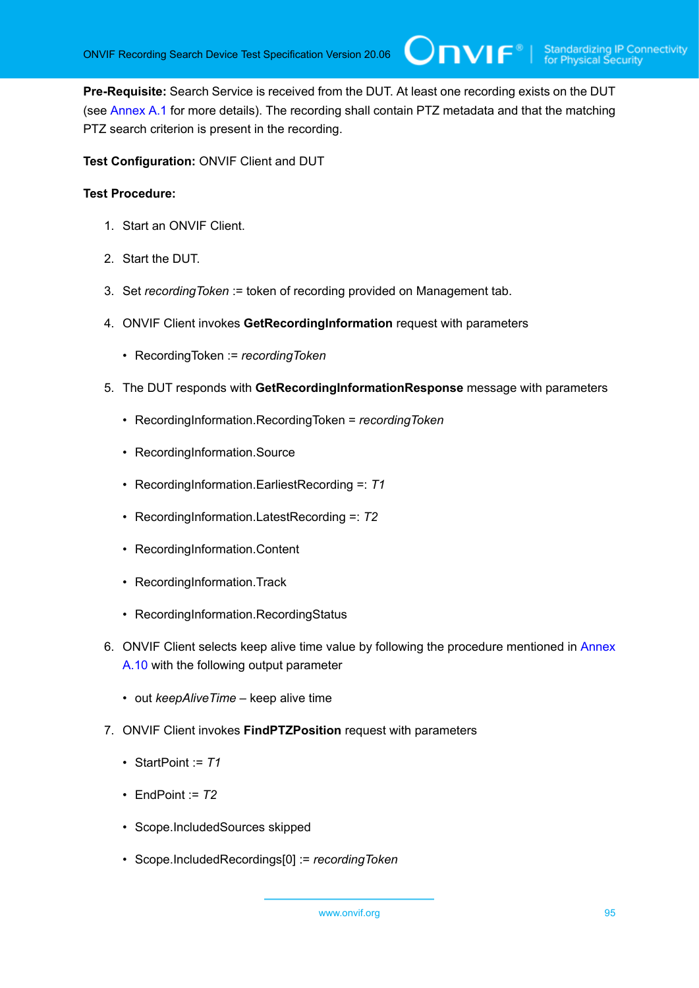**Pre-Requisite:** Search Service is received from the DUT. At least one recording exists on the DUT (see [Annex A.1](#page-101-0) for more details). The recording shall contain PTZ metadata and that the matching PTZ search criterion is present in the recording.

 $\bigcup$ NIF $^{\circ}$ l

**Test Configuration:** ONVIF Client and DUT

- 1. Start an ONVIF Client.
- 2. Start the DUT.
- 3. Set *recordingToken* := token of recording provided on Management tab.
- 4. ONVIF Client invokes **GetRecordingInformation** request with parameters
	- RecordingToken := *recordingToken*
- 5. The DUT responds with **GetRecordingInformationResponse** message with parameters
	- RecordingInformation.RecordingToken = *recordingToken*
	- RecordingInformation.Source
	- RecordingInformation.EarliestRecording =: *T1*
	- RecordingInformation.LatestRecording =: *T2*
	- RecordingInformation.Content
	- RecordingInformation.Track
	- RecordingInformation.RecordingStatus
- 6. ONVIF Client selects keep alive time value by following the procedure mentioned in [Annex](#page-108-0) [A.10](#page-108-0) with the following output parameter
	- out *keepAliveTime* keep alive time
- 7. ONVIF Client invokes **FindPTZPosition** request with parameters
	- StartPoint := *T1*
	- EndPoint  $= 72$
	- Scope.IncludedSources skipped
	- Scope.IncludedRecordings[0] := *recordingToken*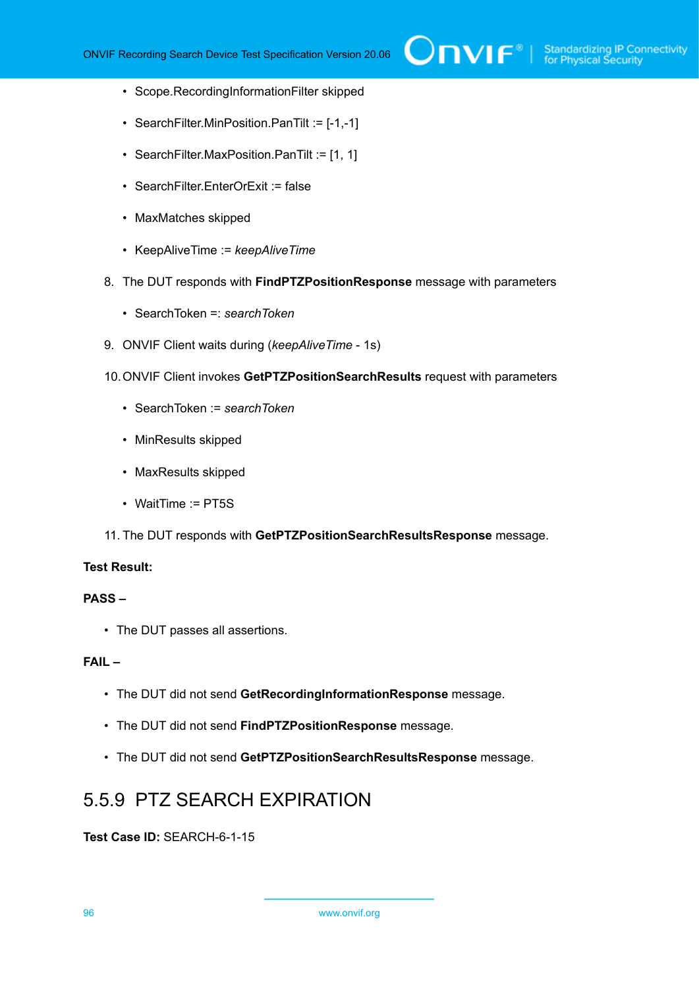- Scope.RecordingInformationFilter skipped
- SearchFilter.MinPosition.PanTilt := [-1,-1]
- SearchFilter.MaxPosition.PanTilt := [1, 1]
- SearchFilter.EnterOrExit := false
- MaxMatches skipped
- KeepAliveTime := *keepAliveTime*
- 8. The DUT responds with **FindPTZPositionResponse** message with parameters
	- SearchToken =: *searchToken*
- 9. ONVIF Client waits during (*keepAliveTime* 1s)
- 10.ONVIF Client invokes **GetPTZPositionSearchResults** request with parameters
	- SearchToken := *searchToken*
	- MinResults skipped
	- MaxResults skipped
	- WaitTime := PT5S
- 11. The DUT responds with **GetPTZPositionSearchResultsResponse** message.

#### **Test Result:**

#### **PASS –**

• The DUT passes all assertions.

#### **FAIL –**

- The DUT did not send **GetRecordingInformationResponse** message.
- The DUT did not send **FindPTZPositionResponse** message.
- The DUT did not send **GetPTZPositionSearchResultsResponse** message.

### 5.5.9 PTZ SEARCH EXPIRATION

**Test Case ID:** SEARCH-6-1-15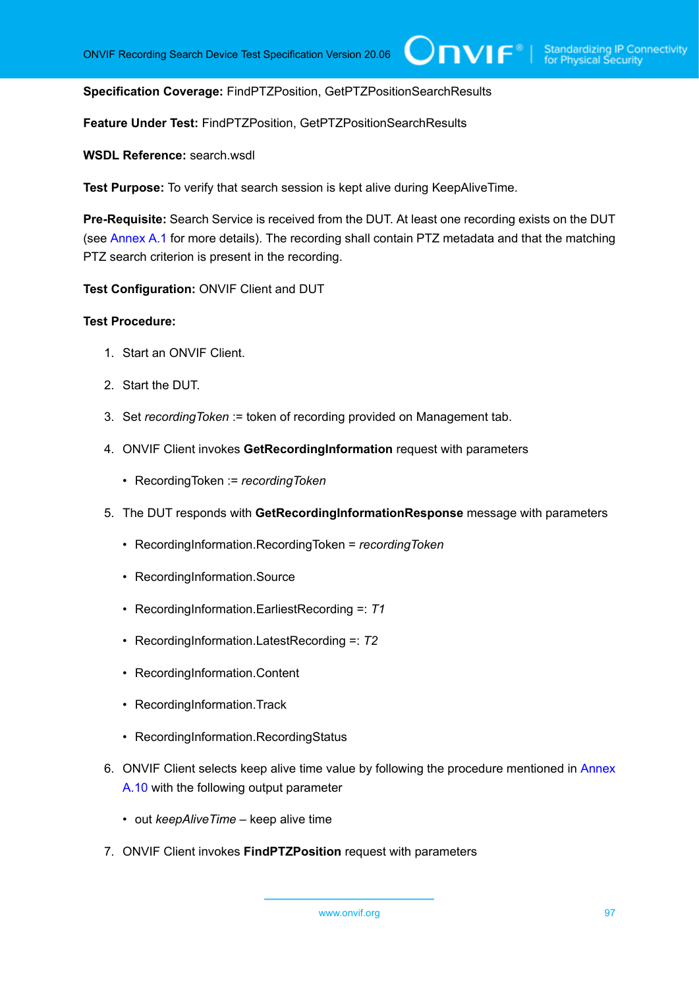#### **Specification Coverage:** FindPTZPosition, GetPTZPositionSearchResults

**Feature Under Test:** FindPTZPosition, GetPTZPositionSearchResults

**WSDL Reference:** search.wsdl

**Test Purpose:** To verify that search session is kept alive during KeepAliveTime.

**Pre-Requisite:** Search Service is received from the DUT. At least one recording exists on the DUT (see [Annex A.1](#page-101-0) for more details). The recording shall contain PTZ metadata and that the matching PTZ search criterion is present in the recording.

**Test Configuration:** ONVIF Client and DUT

- 1. Start an ONVIF Client.
- 2. Start the DUT.
- 3. Set *recordingToken* := token of recording provided on Management tab.
- 4. ONVIF Client invokes **GetRecordingInformation** request with parameters
	- RecordingToken := *recordingToken*
- 5. The DUT responds with **GetRecordingInformationResponse** message with parameters
	- RecordingInformation.RecordingToken = *recordingToken*
	- RecordingInformation.Source
	- RecordingInformation.EarliestRecording =: *T1*
	- RecordingInformation.LatestRecording =: *T2*
	- RecordingInformation.Content
	- RecordingInformation.Track
	- RecordingInformation.RecordingStatus
- 6. ONVIF Client selects keep alive time value by following the procedure mentioned in [Annex](#page-108-0) [A.10](#page-108-0) with the following output parameter
	- out *keepAliveTime* keep alive time
- 7. ONVIF Client invokes **FindPTZPosition** request with parameters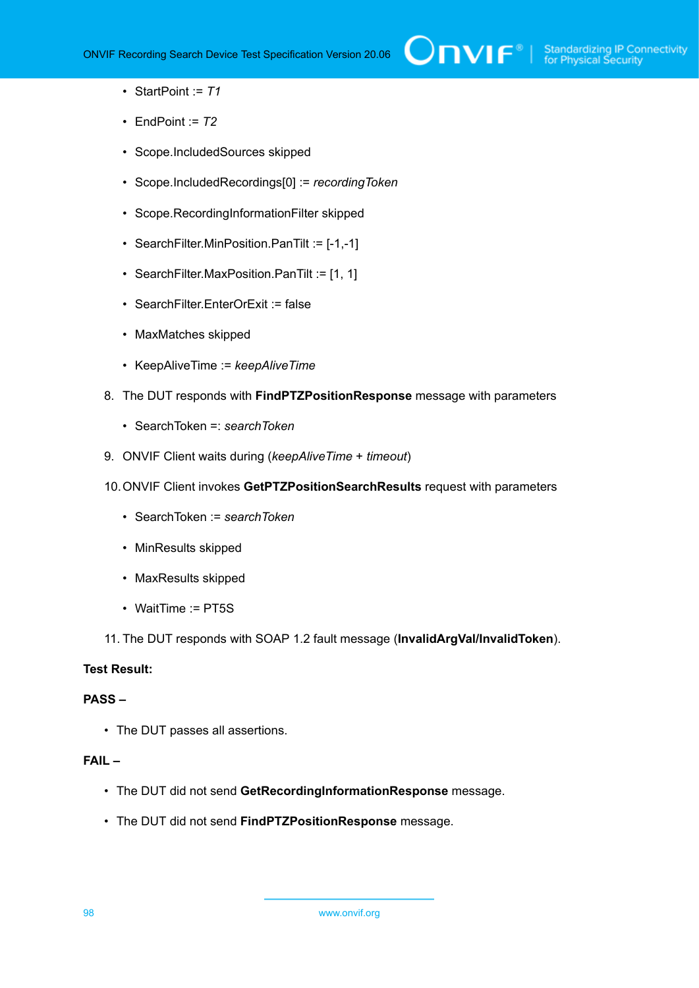- StartPoint := *T1*
- EndPoint  $= 72$
- Scope.IncludedSources skipped
- Scope.IncludedRecordings[0] := *recordingToken*
- Scope.RecordingInformationFilter skipped
- SearchFilter.MinPosition.PanTilt := [-1,-1]
- SearchFilter.MaxPosition.PanTilt := [1, 1]
- SearchFilter  $EnterOrExit = false$
- MaxMatches skipped
- KeepAliveTime := *keepAliveTime*
- 8. The DUT responds with **FindPTZPositionResponse** message with parameters
	- SearchToken =: *searchToken*
- 9. ONVIF Client waits during (*keepAliveTime* + *timeout*)
- 10.ONVIF Client invokes **GetPTZPositionSearchResults** request with parameters
	- SearchToken := *searchToken*
	- MinResults skipped
	- MaxResults skipped
	- WaitTime := PT5S
- 11. The DUT responds with SOAP 1.2 fault message (**InvalidArgVal/InvalidToken**).

#### **Test Result:**

#### **PASS –**

• The DUT passes all assertions.

#### **FAIL –**

- The DUT did not send **GetRecordingInformationResponse** message.
- The DUT did not send **FindPTZPositionResponse** message.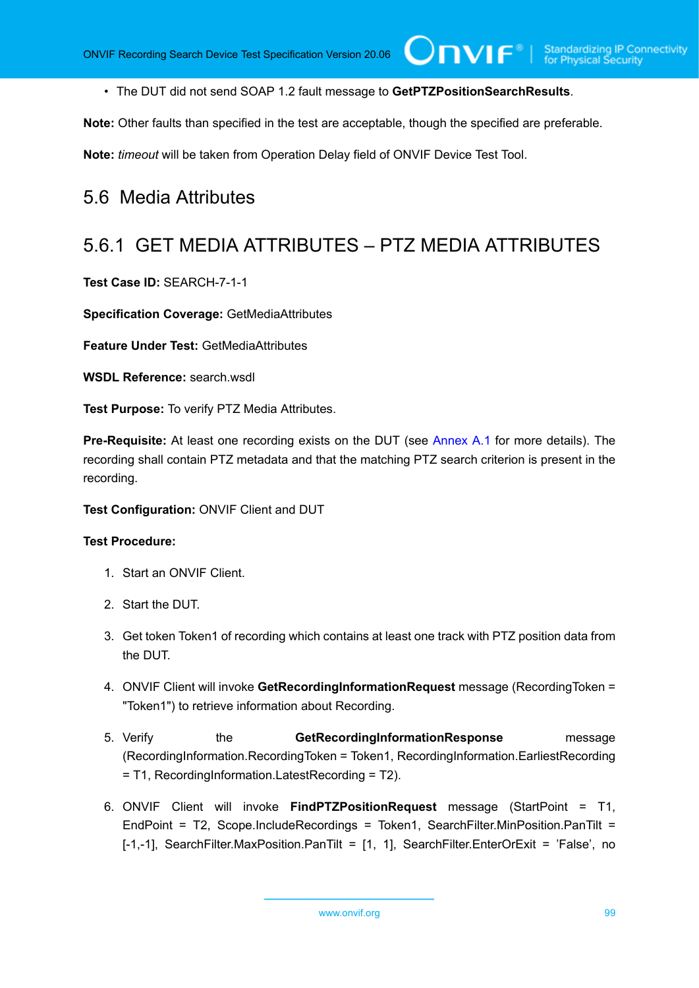• The DUT did not send SOAP 1.2 fault message to **GetPTZPositionSearchResults**.

 $\bigcirc$ nvı $\mathsf{F}^\ast$ l

**Note:** Other faults than specified in the test are acceptable, though the specified are preferable.

**Note:** *timeout* will be taken from Operation Delay field of ONVIF Device Test Tool.

### 5.6 Media Attributes

### 5.6.1 GET MEDIA ATTRIBUTES – PTZ MEDIA ATTRIBUTES

**Test Case ID:** SEARCH-7-1-1

**Specification Coverage:** GetMediaAttributes

**Feature Under Test:** GetMediaAttributes

**WSDL Reference:** search.wsdl

**Test Purpose:** To verify PTZ Media Attributes.

**Pre-Requisite:** At least one recording exists on the DUT (see [Annex A.1](#page-101-0) for more details). The recording shall contain PTZ metadata and that the matching PTZ search criterion is present in the recording.

#### **Test Configuration:** ONVIF Client and DUT

- 1. Start an ONVIF Client.
- 2. Start the DUT.
- 3. Get token Token1 of recording which contains at least one track with PTZ position data from the DUT.
- 4. ONVIF Client will invoke **GetRecordingInformationRequest** message (RecordingToken = "Token1") to retrieve information about Recording.
- 5. Verify the **GetRecordingInformationResponse** message (RecordingInformation.RecordingToken = Token1, RecordingInformation.EarliestRecording = T1, RecordingInformation.LatestRecording = T2).
- 6. ONVIF Client will invoke **FindPTZPositionRequest** message (StartPoint = T1, EndPoint = T2, Scope.IncludeRecordings = Token1, SearchFilter.MinPosition.PanTilt = [-1,-1], SearchFilter.MaxPosition.PanTilt = [1, 1], SearchFilter.EnterOrExit = 'False', no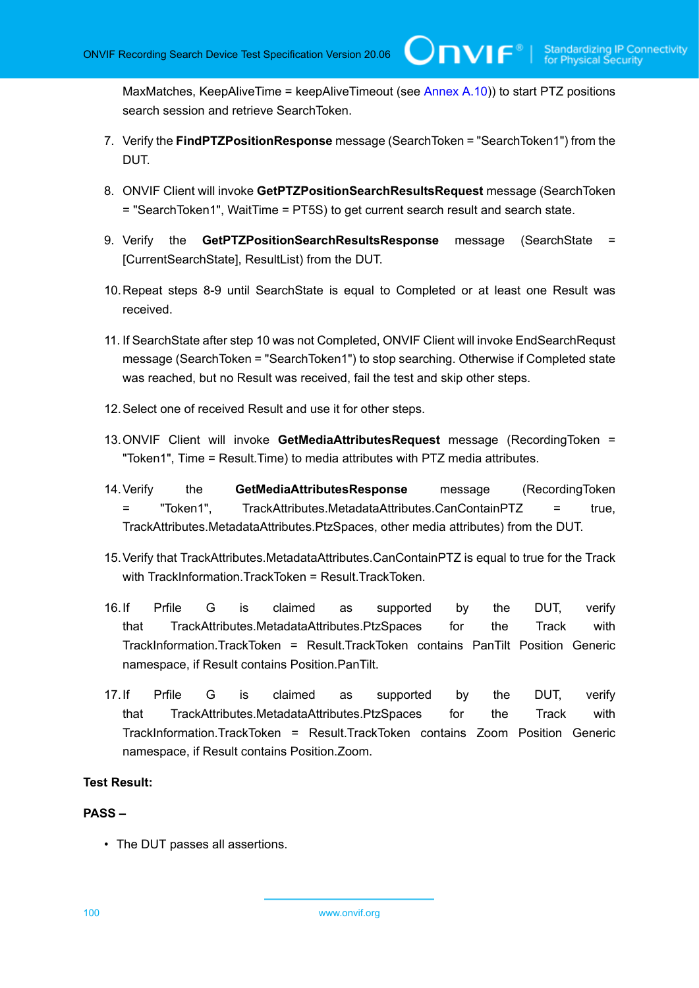MaxMatches, KeepAliveTime = keepAliveTimeout (see [Annex A.10](#page-108-0))) to start PTZ positions search session and retrieve SearchToken.

 $\cup$ NVIF $^\circ$ 

- 7. Verify the **FindPTZPositionResponse** message (SearchToken = "SearchToken1") from the DUT.
- 8. ONVIF Client will invoke **GetPTZPositionSearchResultsRequest** message (SearchToken = "SearchToken1", WaitTime = PT5S) to get current search result and search state.
- 9. Verify the **GetPTZPositionSearchResultsResponse** message (SearchState = [CurrentSearchState], ResultList) from the DUT.
- 10.Repeat steps 8-9 until SearchState is equal to Completed or at least one Result was received.
- 11. If SearchState after step 10 was not Completed, ONVIF Client will invoke EndSearchRequst message (SearchToken = "SearchToken1") to stop searching. Otherwise if Completed state was reached, but no Result was received, fail the test and skip other steps.
- 12.Select one of received Result and use it for other steps.
- 13.ONVIF Client will invoke **GetMediaAttributesRequest** message (RecordingToken = "Token1", Time = Result.Time) to media attributes with PTZ media attributes.
- 14.Verify the **GetMediaAttributesResponse** message (RecordingToken = "Token1", TrackAttributes.MetadataAttributes.CanContainPTZ = true, TrackAttributes.MetadataAttributes.PtzSpaces, other media attributes) from the DUT.
- 15.Verify that TrackAttributes.MetadataAttributes.CanContainPTZ is equal to true for the Track with TrackInformation.TrackToken = Result.TrackToken.
- 16.If Prfile G is claimed as supported by the DUT, verify that TrackAttributes.MetadataAttributes.PtzSpaces for the Track with TrackInformation.TrackToken = Result.TrackToken contains PanTilt Position Generic namespace, if Result contains Position.PanTilt.
- 17.If Prfile G is claimed as supported by the DUT, verify that TrackAttributes.MetadataAttributes.PtzSpaces for the Track with TrackInformation.TrackToken = Result.TrackToken contains Zoom Position Generic namespace, if Result contains Position.Zoom.

#### **Test Result:**

#### **PASS –**

• The DUT passes all assertions.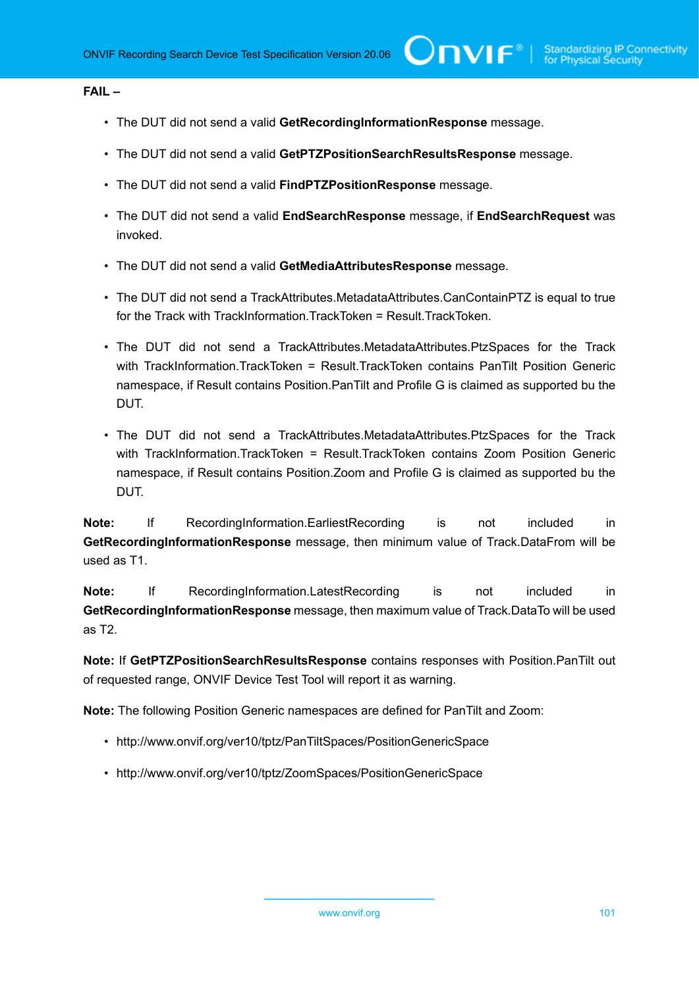#### **FAIL –**

- The DUT did not send a valid **GetRecordingInformationResponse** message.
- The DUT did not send a valid **GetPTZPositionSearchResultsResponse** message.
- The DUT did not send a valid **FindPTZPositionResponse** message.
- The DUT did not send a valid **EndSearchResponse** message, if **EndSearchRequest** was invoked.
- The DUT did not send a valid **GetMediaAttributesResponse** message.
- The DUT did not send a TrackAttributes.MetadataAttributes.CanContainPTZ is equal to true for the Track with TrackInformation.TrackToken = Result.TrackToken.
- The DUT did not send a TrackAttributes.MetadataAttributes.PtzSpaces for the Track with TrackInformation.TrackToken = Result.TrackToken contains PanTilt Position Generic namespace, if Result contains Position.PanTilt and Profile G is claimed as supported bu the DUT.
- The DUT did not send a TrackAttributes.MetadataAttributes.PtzSpaces for the Track with TrackInformation.TrackToken = Result.TrackToken contains Zoom Position Generic namespace, if Result contains Position.Zoom and Profile G is claimed as supported bu the DUT.

**Note:** If RecordingInformation.EarliestRecording is not included in **GetRecordingInformationResponse** message, then minimum value of Track.DataFrom will be used as T1.

**Note:** If RecordingInformation.LatestRecording is not included in **GetRecordingInformationResponse** message, then maximum value of Track.DataTo will be used as T2.

**Note:** If **GetPTZPositionSearchResultsResponse** contains responses with Position.PanTilt out of requested range, ONVIF Device Test Tool will report it as warning.

**Note:** The following Position Generic namespaces are defined for PanTilt and Zoom:

- http://www.onvif.org/ver10/tptz/PanTiltSpaces/PositionGenericSpace
- http://www.onvif.org/ver10/tptz/ZoomSpaces/PositionGenericSpace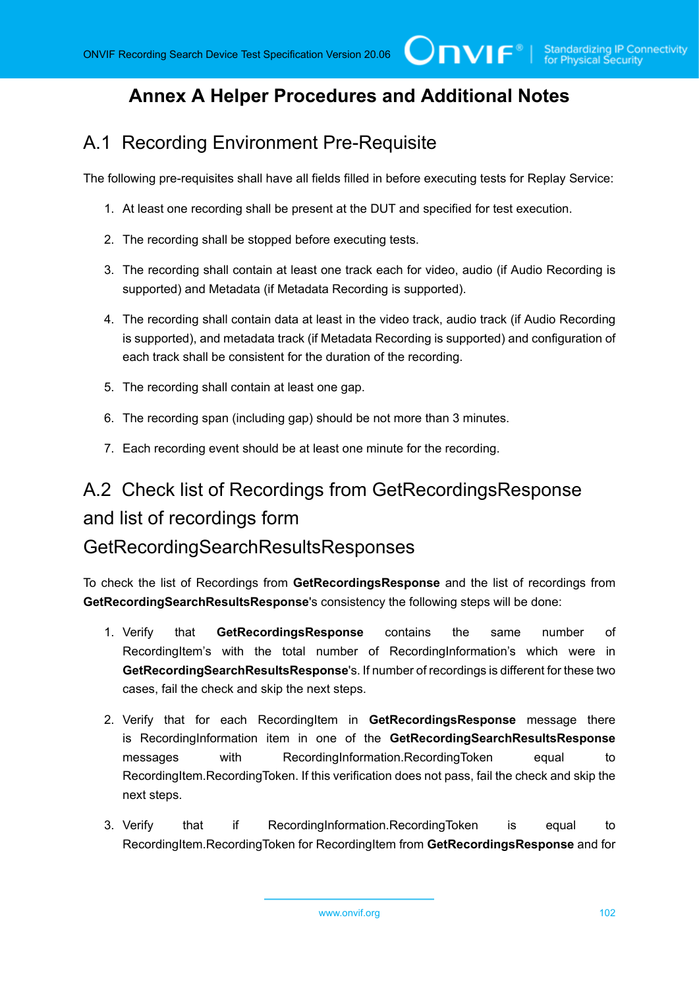### **Annex A Helper Procedures and Additional Notes**

### <span id="page-101-0"></span>A.1 Recording Environment Pre-Requisite

The following pre-requisites shall have all fields filled in before executing tests for Replay Service:

- 1. At least one recording shall be present at the DUT and specified for test execution.
- 2. The recording shall be stopped before executing tests.
- 3. The recording shall contain at least one track each for video, audio (if Audio Recording is supported) and Metadata (if Metadata Recording is supported).
- 4. The recording shall contain data at least in the video track, audio track (if Audio Recording is supported), and metadata track (if Metadata Recording is supported) and configuration of each track shall be consistent for the duration of the recording.
- 5. The recording shall contain at least one gap.
- 6. The recording span (including gap) should be not more than 3 minutes.
- 7. Each recording event should be at least one minute for the recording.

# A.2 Check list of Recordings from GetRecordingsResponse and list of recordings form GetRecordingSearchResultsResponses

To check the list of Recordings from **GetRecordingsResponse** and the list of recordings from **GetRecordingSearchResultsResponse**'s consistency the following steps will be done:

- 1. Verify that **GetRecordingsResponse** contains the same number of RecordingItem's with the total number of RecordingInformation's which were in **GetRecordingSearchResultsResponse**'s. If number of recordings is different for these two cases, fail the check and skip the next steps.
- 2. Verify that for each RecordingItem in **GetRecordingsResponse** message there is RecordingInformation item in one of the **GetRecordingSearchResultsResponse** messages with RecordingInformation.RecordingToken equal to RecordingItem.RecordingToken. If this verification does not pass, fail the check and skip the next steps.
- 3. Verify that if RecordingInformation.RecordingToken is equal to RecordingItem.RecordingToken for RecordingItem from **GetRecordingsResponse** and for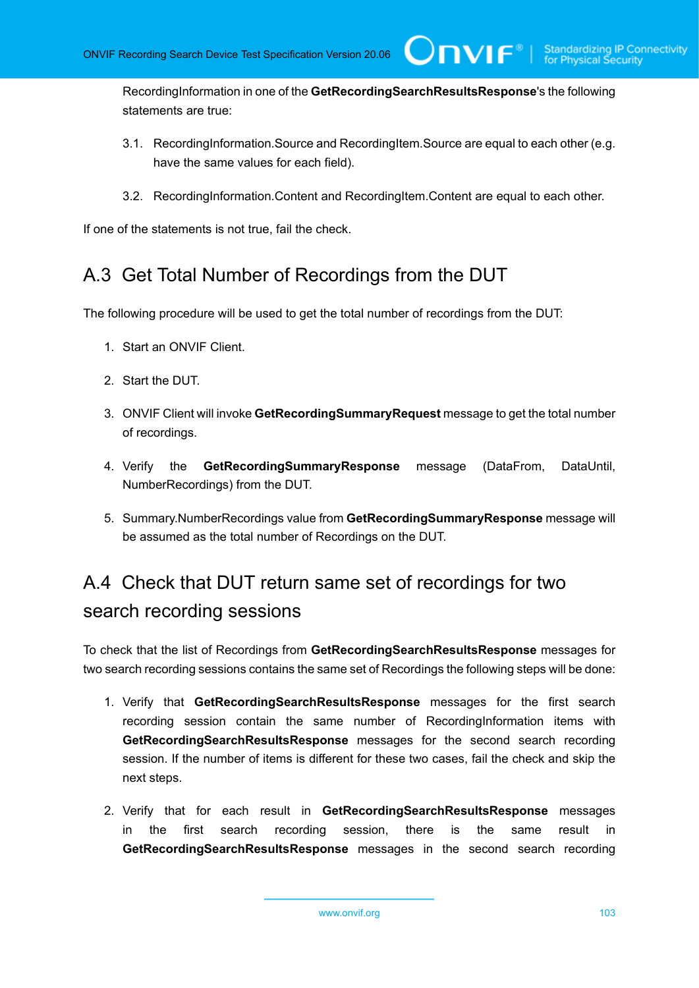RecordingInformation in one of the **GetRecordingSearchResultsResponse**'s the following statements are true:

 $\square$ nvif ${}^*$ 

- 3.1. RecordingInformation.Source and RecordingItem.Source are equal to each other (e.g. have the same values for each field).
- 3.2. RecordingInformation.Content and RecordingItem.Content are equal to each other.

If one of the statements is not true, fail the check.

### A.3 Get Total Number of Recordings from the DUT

The following procedure will be used to get the total number of recordings from the DUT:

- 1. Start an ONVIF Client.
- 2. Start the DUT.
- 3. ONVIF Client will invoke **GetRecordingSummaryRequest** message to get the total number of recordings.
- 4. Verify the **GetRecordingSummaryResponse** message (DataFrom, DataUntil, NumberRecordings) from the DUT.
- 5. Summary.NumberRecordings value from **GetRecordingSummaryResponse** message will be assumed as the total number of Recordings on the DUT.

# A.4 Check that DUT return same set of recordings for two search recording sessions

To check that the list of Recordings from **GetRecordingSearchResultsResponse** messages for two search recording sessions contains the same set of Recordings the following steps will be done:

- 1. Verify that **GetRecordingSearchResultsResponse** messages for the first search recording session contain the same number of RecordingInformation items with **GetRecordingSearchResultsResponse** messages for the second search recording session. If the number of items is different for these two cases, fail the check and skip the next steps.
- 2. Verify that for each result in **GetRecordingSearchResultsResponse** messages in the first search recording session, there is the same result in **GetRecordingSearchResultsResponse** messages in the second search recording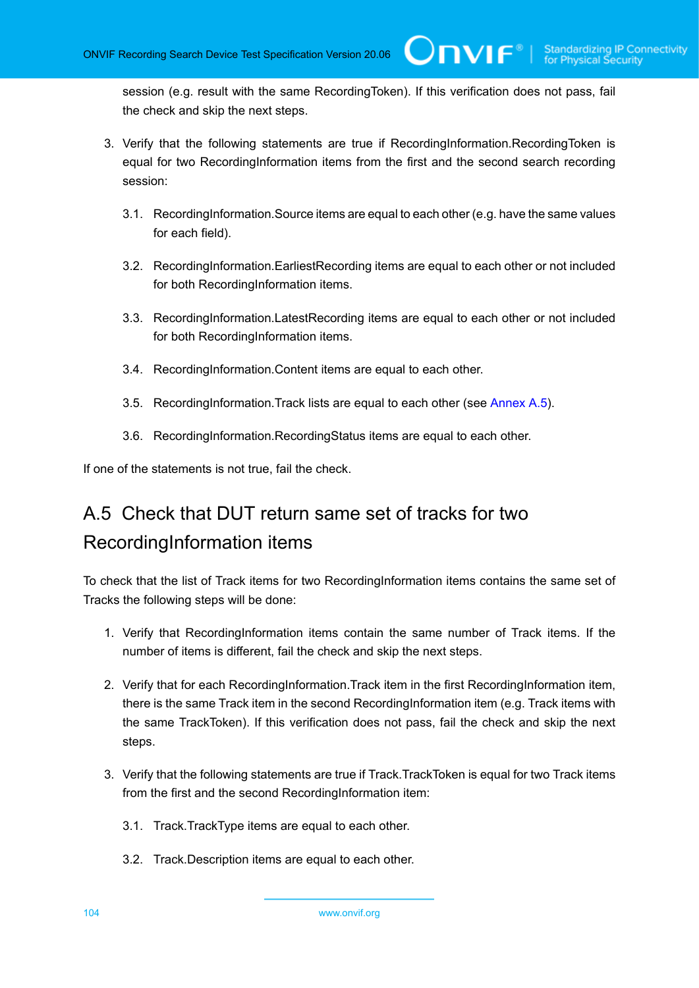session (e.g. result with the same RecordingToken). If this verification does not pass, fail the check and skip the next steps.

 $\bigcup$ NIF $^\circ$ l

- 3. Verify that the following statements are true if RecordingInformation.RecordingToken is equal for two RecordingInformation items from the first and the second search recording session:
	- 3.1. RecordingInformation.Source items are equal to each other (e.g. have the same values for each field).
	- 3.2. RecordingInformation.EarliestRecording items are equal to each other or not included for both RecordingInformation items.
	- 3.3. RecordingInformation.LatestRecording items are equal to each other or not included for both RecordingInformation items.
	- 3.4. RecordingInformation.Content items are equal to each other.
	- 3.5. RecordingInformation.Track lists are equal to each other (see [Annex A.5](#page-103-0)).
	- 3.6. RecordingInformation.RecordingStatus items are equal to each other.

<span id="page-103-0"></span>If one of the statements is not true, fail the check.

# A.5 Check that DUT return same set of tracks for two RecordingInformation items

To check that the list of Track items for two RecordingInformation items contains the same set of Tracks the following steps will be done:

- 1. Verify that RecordingInformation items contain the same number of Track items. If the number of items is different, fail the check and skip the next steps.
- 2. Verify that for each RecordingInformation.Track item in the first RecordingInformation item, there is the same Track item in the second RecordingInformation item (e.g. Track items with the same TrackToken). If this verification does not pass, fail the check and skip the next steps.
- 3. Verify that the following statements are true if Track.TrackToken is equal for two Track items from the first and the second RecordingInformation item:
	- 3.1. Track.TrackType items are equal to each other.
	- 3.2. Track.Description items are equal to each other.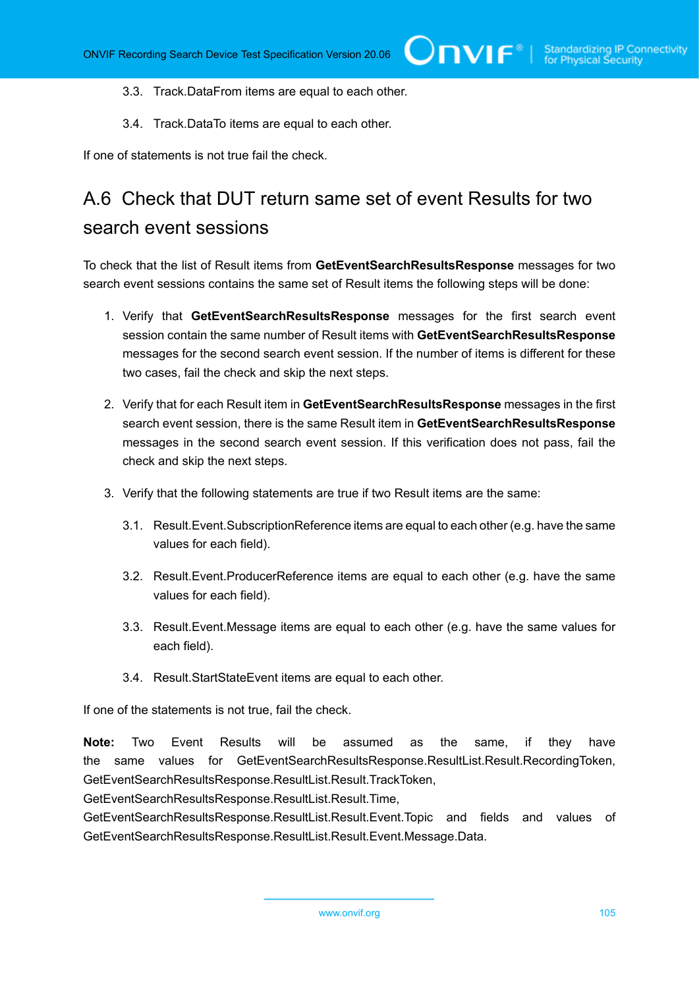- 3.3. Track.DataFrom items are equal to each other.
- 3.4. Track.DataTo items are equal to each other.

If one of statements is not true fail the check.

## A.6 Check that DUT return same set of event Results for two search event sessions

To check that the list of Result items from **GetEventSearchResultsResponse** messages for two search event sessions contains the same set of Result items the following steps will be done:

- 1. Verify that **GetEventSearchResultsResponse** messages for the first search event session contain the same number of Result items with **GetEventSearchResultsResponse** messages for the second search event session. If the number of items is different for these two cases, fail the check and skip the next steps.
- 2. Verify that for each Result item in **GetEventSearchResultsResponse** messages in the first search event session, there is the same Result item in **GetEventSearchResultsResponse** messages in the second search event session. If this verification does not pass, fail the check and skip the next steps.
- 3. Verify that the following statements are true if two Result items are the same:
	- 3.1. Result.Event.SubscriptionReference items are equal to each other (e.g. have the same values for each field).
	- 3.2. Result.Event.ProducerReference items are equal to each other (e.g. have the same values for each field).
	- 3.3. Result.Event.Message items are equal to each other (e.g. have the same values for each field).
	- 3.4. Result.StartStateEvent items are equal to each other.

If one of the statements is not true, fail the check.

**Note:** Two Event Results will be assumed as the same, if they have the same values for GetEventSearchResultsResponse.ResultList.Result.RecordingToken, GetEventSearchResultsResponse.ResultList.Result.TrackToken,

GetEventSearchResultsResponse.ResultList.Result.Time,

GetEventSearchResultsResponse.ResultList.Result.Event.Topic and fields and values of GetEventSearchResultsResponse.ResultList.Result.Event.Message.Data.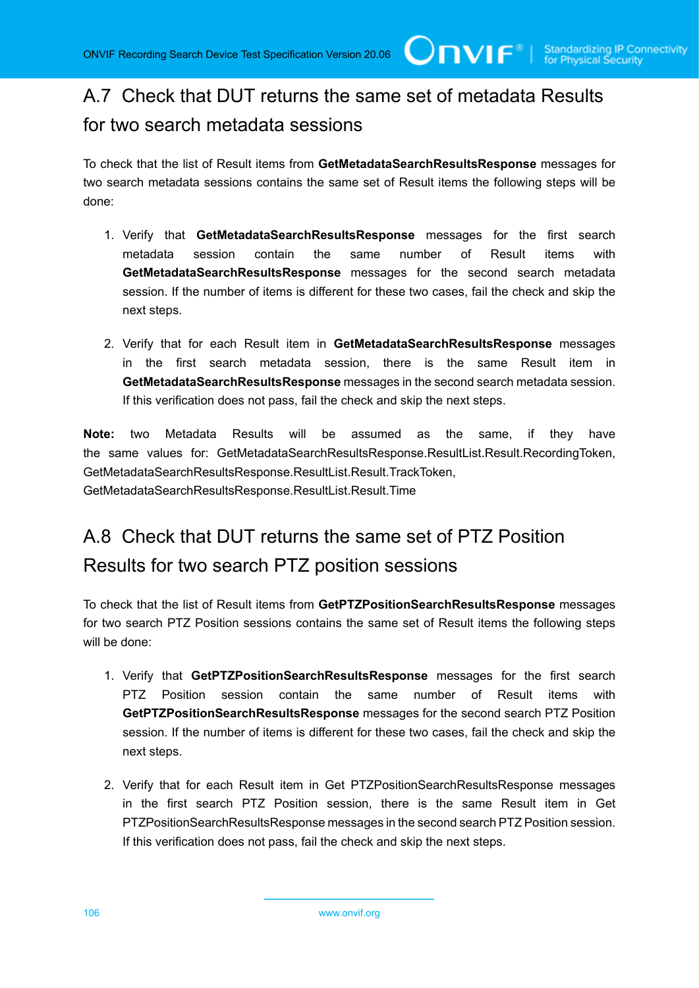## A.7 Check that DUT returns the same set of metadata Results for two search metadata sessions

To check that the list of Result items from **GetMetadataSearchResultsResponse** messages for two search metadata sessions contains the same set of Result items the following steps will be done:

- 1. Verify that **GetMetadataSearchResultsResponse** messages for the first search metadata session contain the same number of Result items with **GetMetadataSearchResultsResponse** messages for the second search metadata session. If the number of items is different for these two cases, fail the check and skip the next steps.
- 2. Verify that for each Result item in **GetMetadataSearchResultsResponse** messages in the first search metadata session, there is the same Result item in **GetMetadataSearchResultsResponse** messages in the second search metadata session. If this verification does not pass, fail the check and skip the next steps.

**Note:** two Metadata Results will be assumed as the same, if they have the same values for: GetMetadataSearchResultsResponse.ResultList.Result.RecordingToken, GetMetadataSearchResultsResponse.ResultList.Result.TrackToken, GetMetadataSearchResultsResponse.ResultList.Result.Time

# <span id="page-105-0"></span>A.8 Check that DUT returns the same set of PTZ Position Results for two search PTZ position sessions

To check that the list of Result items from **GetPTZPositionSearchResultsResponse** messages for two search PTZ Position sessions contains the same set of Result items the following steps will be done:

- 1. Verify that **GetPTZPositionSearchResultsResponse** messages for the first search PTZ Position session contain the same number of Result items with **GetPTZPositionSearchResultsResponse** messages for the second search PTZ Position session. If the number of items is different for these two cases, fail the check and skip the next steps.
- 2. Verify that for each Result item in Get PTZPositionSearchResultsResponse messages in the first search PTZ Position session, there is the same Result item in Get PTZPositionSearchResultsResponse messages in the second search PTZ Position session. If this verification does not pass, fail the check and skip the next steps.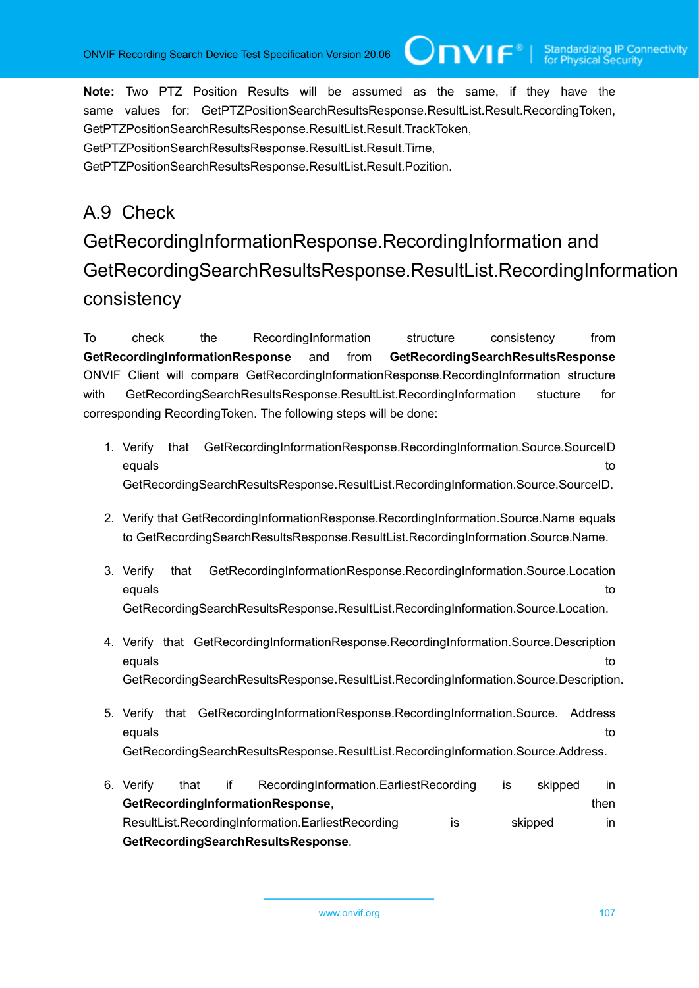**Note:** Two PTZ Position Results will be assumed as the same, if they have the same values for: GetPTZPositionSearchResultsResponse.ResultList.Result.RecordingToken, GetPTZPositionSearchResultsResponse.ResultList.Result.TrackToken, GetPTZPositionSearchResultsResponse.ResultList.Result.Time, GetPTZPositionSearchResultsResponse.ResultList.Result.Pozition.

# A.9 Check

# GetRecordingInformationResponse.RecordingInformation and GetRecordingSearchResultsResponse.ResultList.RecordingInformation consistency

**Unvir®** 

To check the RecordingInformation structure consistency from **GetRecordingInformationResponse** and from **GetRecordingSearchResultsResponse** ONVIF Client will compare GetRecordingInformationResponse.RecordingInformation structure with GetRecordingSearchResultsResponse.ResultList.RecordingInformation stucture for corresponding RecordingToken. The following steps will be done:

- 1. Verify that GetRecordingInformationResponse.RecordingInformation.Source.SourceID equals to the control of the control of the control of the control of the control of the control of the control of the control of the control of the control of the control of the control of the control of the control of th GetRecordingSearchResultsResponse.ResultList.RecordingInformation.Source.SourceID.
- 2. Verify that GetRecordingInformationResponse.RecordingInformation.Source.Name equals to GetRecordingSearchResultsResponse.ResultList.RecordingInformation.Source.Name.
- 3. Verify that GetRecordingInformationResponse.RecordingInformation.Source.Location equals to the control of the control of the control of the control of the control of the control of the control of the control of the control of the control of the control of the control of the control of the control of th GetRecordingSearchResultsResponse.ResultList.RecordingInformation.Source.Location.
- 4. Verify that GetRecordingInformationResponse.RecordingInformation.Source.Description equals to the control of the control of the control of the control of the control of the control of the control of the control of the control of the control of the control of the control of the control of the control of th GetRecordingSearchResultsResponse.ResultList.RecordingInformation.Source.Description.
- 5. Verify that GetRecordingInformationResponse.RecordingInformation.Source. Address equals to the control of the control of the control of the control of the control of the control of the control of the control of the control of the control of the control of the control of the control of the control of th GetRecordingSearchResultsResponse.ResultList.RecordingInformation.Source.Address.
- 6. Verify that if RecordingInformation.EarliestRecording is skipped in **GetRecordingInformationResponse**, then ResultList.RecordingInformation.EarliestRecording is skipped in **GetRecordingSearchResultsResponse**.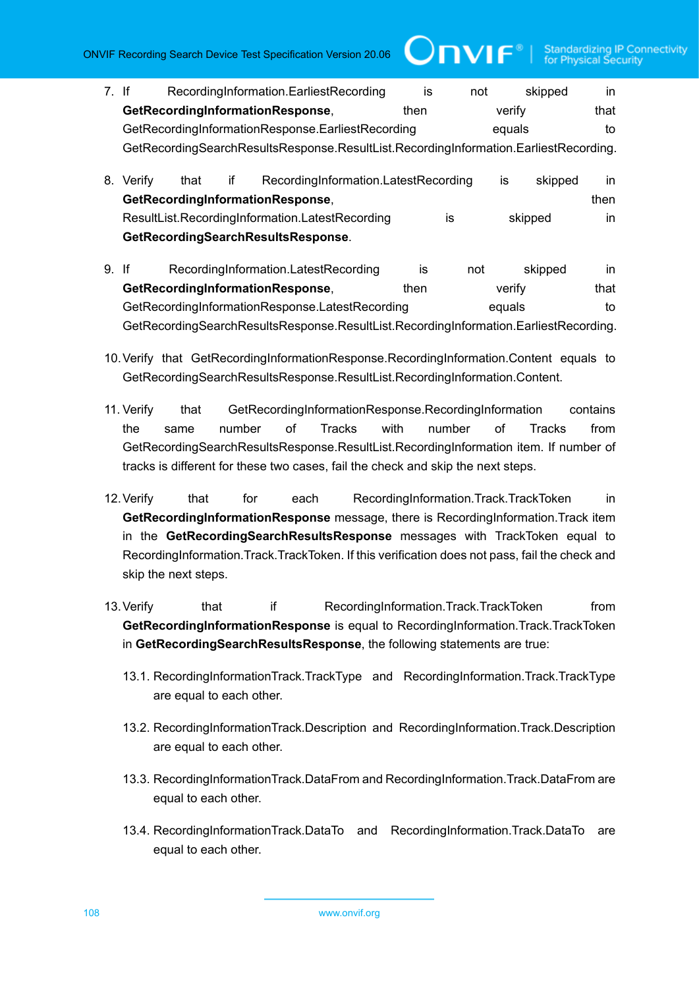7. If RecordingInformation.EarliestRecording is not skipped in **GetRecordingInformationResponse**, then verify that GetRecordingInformationResponse.EarliestRecording equals equals to GetRecordingSearchResultsResponse.ResultList.RecordingInformation.EarliestRecording.

 $\square$ nvif ${}^*$ 

- 8. Verify that if RecordingInformation.LatestRecording is skipped in **GetRecordingInformationResponse, example 20 and 20 and 20 and 20 and 20 and 20 and 20 and 20 and 20 and 20 and 20 and 20 and 20 and 20 and 20 and 20 and 20 and 20 and 20 and 20 and 20 and 20 and 20 and 20 and 20 and 20 an** ResultList.RecordingInformation.LatestRecording is skipped in **GetRecordingSearchResultsResponse**.
- 9. If RecordingInformation.LatestRecording is not skipped in **GetRecordingInformationResponse,** then verify that GetRecordingInformationResponse.LatestRecording equals equals to GetRecordingSearchResultsResponse.ResultList.RecordingInformation.EarliestRecording.
- 10.Verify that GetRecordingInformationResponse.RecordingInformation.Content equals to GetRecordingSearchResultsResponse.ResultList.RecordingInformation.Content.
- 11. Verify that GetRecordingInformationResponse.RecordingInformation contains the same number of Tracks with number of Tracks from GetRecordingSearchResultsResponse.ResultList.RecordingInformation item. If number of tracks is different for these two cases, fail the check and skip the next steps.
- 12.Verify that for each RecordingInformation.Track.TrackToken in **GetRecordingInformationResponse** message, there is RecordingInformation.Track item in the **GetRecordingSearchResultsResponse** messages with TrackToken equal to RecordingInformation.Track.TrackToken. If this verification does not pass, fail the check and skip the next steps.
- 13. Verify that if RecordingInformation.Track.TrackToken from **GetRecordingInformationResponse** is equal to RecordingInformation.Track.TrackToken in **GetRecordingSearchResultsResponse**, the following statements are true:
	- 13.1. RecordingInformationTrack.TrackType and RecordingInformation.Track.TrackType are equal to each other.
	- 13.2. RecordingInformationTrack.Description and RecordingInformation.Track.Description are equal to each other.
	- 13.3. RecordingInformationTrack.DataFrom and RecordingInformation.Track.DataFrom are equal to each other.
	- 13.4. RecordingInformationTrack.DataTo and RecordingInformation.Track.DataTo are equal to each other.